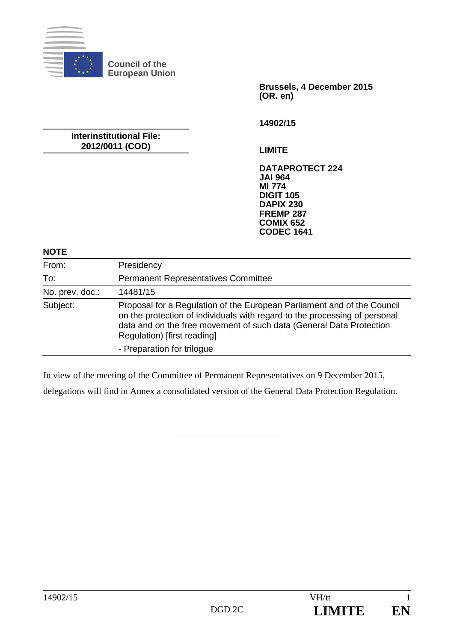

**Council of the European Union** 

**Interinstitutional File: 2012/0011 (COD)** 

**Brussels, 4 December 2015 (OR. en)** 

**14902/15** 

**LIMITE** 

**DATAPROTECT 224 JAI 964 MI 774 DIGIT 105 DAPIX 230 FREMP 287 COMIX 652 CODEC 1641**

## **NOTE**

| From:           | Presidency                                                                                                                                                                                                                                                  |
|-----------------|-------------------------------------------------------------------------------------------------------------------------------------------------------------------------------------------------------------------------------------------------------------|
| To:             | <b>Permanent Representatives Committee</b>                                                                                                                                                                                                                  |
| No. prev. doc.: | 14481/15                                                                                                                                                                                                                                                    |
| Subject:        | Proposal for a Regulation of the European Parliament and of the Council<br>on the protection of individuals with regard to the processing of personal<br>data and on the free movement of such data (General Data Protection<br>Regulation) [first reading] |
|                 | - Preparation for trilogue                                                                                                                                                                                                                                  |

In view of the meeting of the Committee of Permanent Representatives on 9 December 2015,

delegations will find in Annex a consolidated version of the General Data Protection Regulation.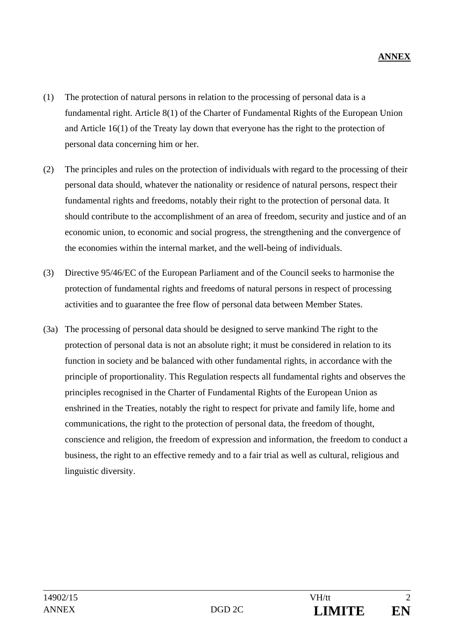- (1) The protection of natural persons in relation to the processing of personal data is a fundamental right. Article 8(1) of the Charter of Fundamental Rights of the European Union and Article 16(1) of the Treaty lay down that everyone has the right to the protection of personal data concerning him or her.
- (2) The principles and rules on the protection of individuals with regard to the processing of their personal data should, whatever the nationality or residence of natural persons, respect their fundamental rights and freedoms, notably their right to the protection of personal data. It should contribute to the accomplishment of an area of freedom, security and justice and of an economic union, to economic and social progress, the strengthening and the convergence of the economies within the internal market, and the well-being of individuals.
- (3) Directive 95/46/EC of the European Parliament and of the Council seeks to harmonise the protection of fundamental rights and freedoms of natural persons in respect of processing activities and to guarantee the free flow of personal data between Member States.
- (3a) The processing of personal data should be designed to serve mankind The right to the protection of personal data is not an absolute right; it must be considered in relation to its function in society and be balanced with other fundamental rights, in accordance with the principle of proportionality. This Regulation respects all fundamental rights and observes the principles recognised in the Charter of Fundamental Rights of the European Union as enshrined in the Treaties, notably the right to respect for private and family life, home and communications, the right to the protection of personal data, the freedom of thought, conscience and religion, the freedom of expression and information, the freedom to conduct a business, the right to an effective remedy and to a fair trial as well as cultural, religious and linguistic diversity.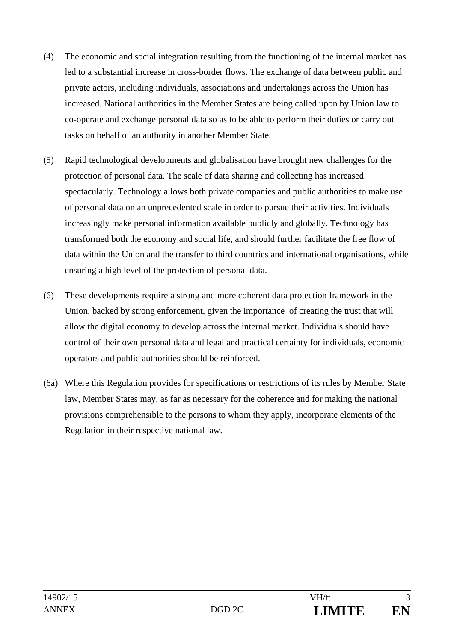- (4) The economic and social integration resulting from the functioning of the internal market has led to a substantial increase in cross-border flows. The exchange of data between public and private actors*,* including individuals, associations and undertakings across the Union has increased. National authorities in the Member States are being called upon by Union law to co-operate and exchange personal data so as to be able to perform their duties or carry out tasks on behalf of an authority in another Member State.
- (5) Rapid technological developments and globalisation have brought new challenges for the protection of personal data. The scale of data sharing and collecting has increased spectacularly. Technology allows both private companies and public authorities to make use of personal data on an unprecedented scale in order to pursue their activities. Individuals increasingly make personal information available publicly and globally. Technology has transformed both the economy and social life, and should further facilitate the free flow of data within the Union and the transfer to third countries and international organisations, while ensuring a high level of the protection of personal data.
- (6) These developments require a strong and more coherent data protection framework in the Union, backed by strong enforcement, given the importance of creating the trust that will allow the digital economy to develop across the internal market. Individuals should have control of their own personal data and legal and practical certainty for individuals, economic operators and public authorities should be reinforced.
- (6a) Where this Regulation provides for specifications or restrictions of its rules by Member State law, Member States may, as far as necessary for the coherence and for making the national provisions comprehensible to the persons to whom they apply, incorporate elements of the Regulation in their respective national law.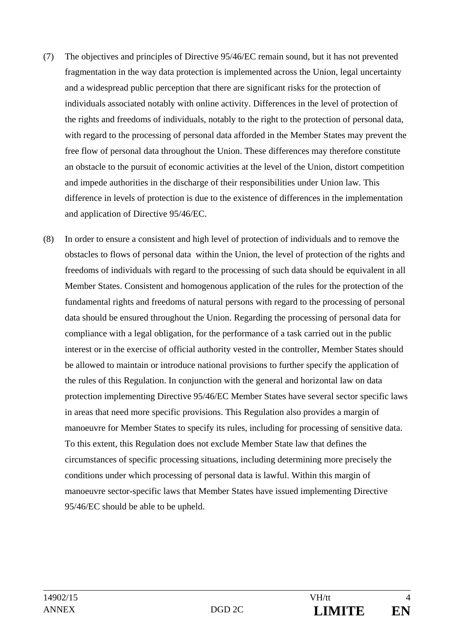- (7) The objectives and principles of Directive 95/46/EC remain sound, but it has not prevented fragmentation in the way data protection is implemented across the Union, legal uncertainty and a widespread public perception that there are significant risks for the protection of individuals associated notably with online activity. Differences in the level of protection of the rights and freedoms of individuals, notably to the right to the protection of personal data, with regard to the processing of personal data afforded in the Member States may prevent the free flow of personal data throughout the Union. These differences may therefore constitute an obstacle to the pursuit of economic activities at the level of the Union, distort competition and impede authorities in the discharge of their responsibilities under Union law. This difference in levels of protection is due to the existence of differences in the implementation and application of Directive 95/46/EC.
- (8) In order to ensure a consistent and high level of protection of individuals and to remove the obstacles to flows of personal data within the Union, the level of protection of the rights and freedoms of individuals with regard to the processing of such data should be equivalent in all Member States. Consistent and homogenous application of the rules for the protection of the fundamental rights and freedoms of natural persons with regard to the processing of personal data should be ensured throughout the Union. Regarding the processing of personal data for compliance with a legal obligation, for the performance of a task carried out in the public interest or in the exercise of official authority vested in the controller, Member States should be allowed to maintain or introduce national provisions to further specify the application of the rules of this Regulation. In conjunction with the general and horizontal law on data protection implementing Directive 95/46/EC Member States have several sector specific laws in areas that need more specific provisions. This Regulation also provides a margin of manoeuvre for Member States to specify its rules, including for processing of sensitive data. To this extent, this Regulation does not exclude Member State law that defines the circumstances of specific processing situations, including determining more precisely the conditions under which processing of personal data is lawful. Within this margin of manoeuvre sector-specific laws that Member States have issued implementing Directive 95/46/EC should be able to be upheld.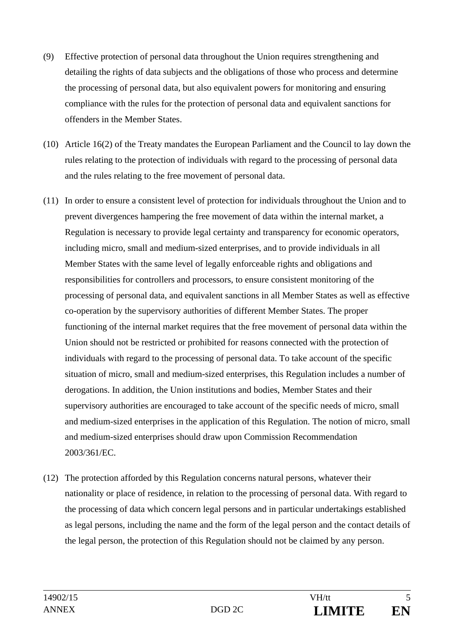- (9) Effective protection of personal data throughout the Union requires strengthening and detailing the rights of data subjects and the obligations of those who process and determine the processing of personal data, but also equivalent powers for monitoring and ensuring compliance with the rules for the protection of personal data and equivalent sanctions for offenders in the Member States.
- (10) Article 16(2) of the Treaty mandates the European Parliament and the Council to lay down the rules relating to the protection of individuals with regard to the processing of personal data and the rules relating to the free movement of personal data.
- (11) In order to ensure a consistent level of protection for individuals throughout the Union and to prevent divergences hampering the free movement of data within the internal market, a Regulation is necessary to provide legal certainty and transparency for economic operators, including micro, small and medium-sized enterprises, and to provide individuals in all Member States with the same level of legally enforceable rights and obligations and responsibilities for controllers and processors, to ensure consistent monitoring of the processing of personal data, and equivalent sanctions in all Member States as well as effective co-operation by the supervisory authorities of different Member States. The proper functioning of the internal market requires that the free movement of personal data within the Union should not be restricted or prohibited for reasons connected with the protection of individuals with regard to the processing of personal data. To take account of the specific situation of micro, small and medium-sized enterprises, this Regulation includes a number of derogations. In addition, the Union institutions and bodies, Member States and their supervisory authorities are encouraged to take account of the specific needs of micro, small and medium-sized enterprises in the application of this Regulation. The notion of micro, small and medium-sized enterprises should draw upon Commission Recommendation 2003/361/EC.
- (12) The protection afforded by this Regulation concerns natural persons, whatever their nationality or place of residence, in relation to the processing of personal data. With regard to the processing of data which concern legal persons and in particular undertakings established as legal persons, including the name and the form of the legal person and the contact details of the legal person, the protection of this Regulation should not be claimed by any person.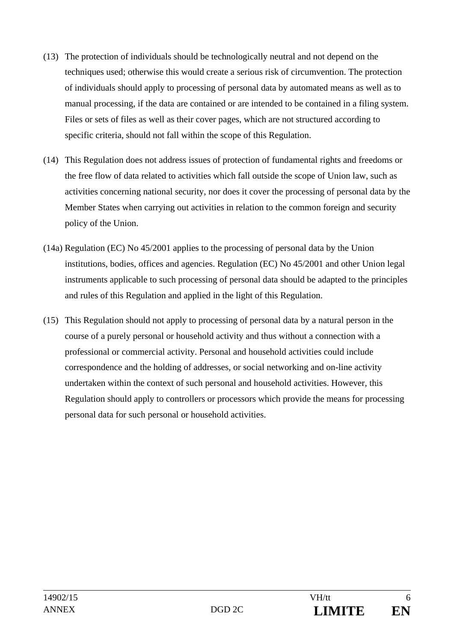- (13) The protection of individuals should be technologically neutral and not depend on the techniques used; otherwise this would create a serious risk of circumvention. The protection of individuals should apply to processing of personal data by automated means as well as to manual processing, if the data are contained or are intended to be contained in a filing system. Files or sets of files as well as their cover pages, which are not structured according to specific criteria, should not fall within the scope of this Regulation.
- (14) This Regulation does not address issues of protection of fundamental rights and freedoms or the free flow of data related to activities which fall outside the scope of Union law, such as activities concerning national security, nor does it cover the processing of personal data by the Member States when carrying out activities in relation to the common foreign and security policy of the Union.
- (14a) Regulation (EC) No 45/2001 applies to the processing of personal data by the Union institutions, bodies, offices and agencies. Regulation (EC) No 45/2001 and other Union legal instruments applicable to such processing of personal data should be adapted to the principles and rules of this Regulation and applied in the light of this Regulation.
- (15) This Regulation should not apply to processing of personal data by a natural person in the course of a purely personal or household activity and thus without a connection with a professional or commercial activity. Personal and household activities could include correspondence and the holding of addresses, or social networking and on-line activity undertaken within the context of such personal and household activities. However, this Regulation should apply to controllers or processors which provide the means for processing personal data for such personal or household activities.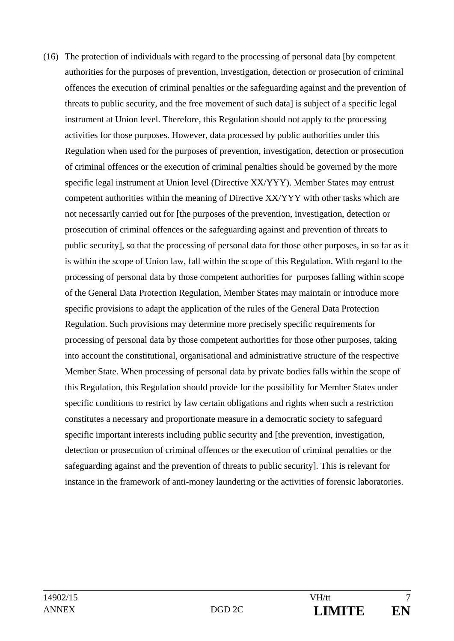(16) The protection of individuals with regard to the processing of personal data [by competent authorities for the purposes of prevention, investigation, detection or prosecution of criminal offences the execution of criminal penalties or the safeguarding against and the prevention of threats to public security, and the free movement of such data] is subject of a specific legal instrument at Union level. Therefore, this Regulation should not apply to the processing activities for those purposes. However, data processed by public authorities under this Regulation when used for the purposes of prevention, investigation, detection or prosecution of criminal offences or the execution of criminal penalties should be governed by the more specific legal instrument at Union level (Directive XX/YYY). Member States may entrust competent authorities within the meaning of Directive XX/YYY with other tasks which are not necessarily carried out for [the purposes of the prevention, investigation, detection or prosecution of criminal offences or the safeguarding against and prevention of threats to public security], so that the processing of personal data for those other purposes, in so far as it is within the scope of Union law, fall within the scope of this Regulation. With regard to the processing of personal data by those competent authorities for purposes falling within scope of the General Data Protection Regulation, Member States may maintain or introduce more specific provisions to adapt the application of the rules of the General Data Protection Regulation. Such provisions may determine more precisely specific requirements for processing of personal data by those competent authorities for those other purposes, taking into account the constitutional, organisational and administrative structure of the respective Member State. When processing of personal data by private bodies falls within the scope of this Regulation, this Regulation should provide for the possibility for Member States under specific conditions to restrict by law certain obligations and rights when such a restriction constitutes a necessary and proportionate measure in a democratic society to safeguard specific important interests including public security and [the prevention, investigation, detection or prosecution of criminal offences or the execution of criminal penalties or the safeguarding against and the prevention of threats to public security]. This is relevant for instance in the framework of anti-money laundering or the activities of forensic laboratories.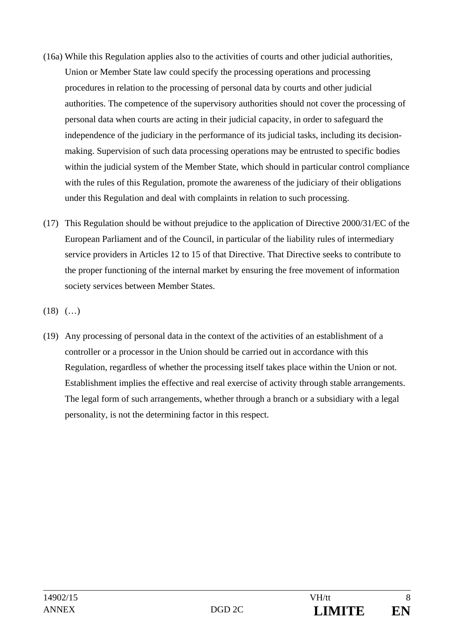- (16a) While this Regulation applies also to the activities of courts and other judicial authorities, Union or Member State law could specify the processing operations and processing procedures in relation to the processing of personal data by courts and other judicial authorities. The competence of the supervisory authorities should not cover the processing of personal data when courts are acting in their judicial capacity, in order to safeguard the independence of the judiciary in the performance of its judicial tasks, including its decisionmaking. Supervision of such data processing operations may be entrusted to specific bodies within the judicial system of the Member State, which should in particular control compliance with the rules of this Regulation, promote the awareness of the judiciary of their obligations under this Regulation and deal with complaints in relation to such processing.
- (17) This Regulation should be without prejudice to the application of Directive 2000/31/EC of the European Parliament and of the Council, in particular of the liability rules of intermediary service providers in Articles 12 to 15 of that Directive. That Directive seeks to contribute to the proper functioning of the internal market by ensuring the free movement of information society services between Member States.
- $(18)$   $(...)$
- (19) Any processing of personal data in the context of the activities of an establishment of a controller or a processor in the Union should be carried out in accordance with this Regulation, regardless of whether the processing itself takes place within the Union or not. Establishment implies the effective and real exercise of activity through stable arrangements. The legal form of such arrangements, whether through a branch or a subsidiary with a legal personality, is not the determining factor in this respect.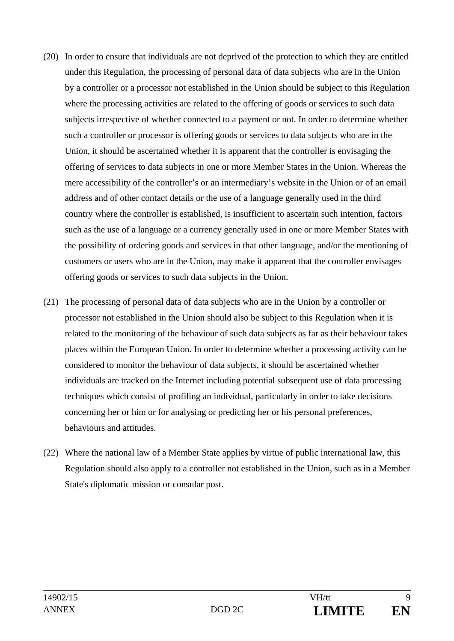- (20) In order to ensure that individuals are not deprived of the protection to which they are entitled under this Regulation, the processing of personal data of data subjects who are in the Union by a controller or a processor not established in the Union should be subject to this Regulation where the processing activities are related to the offering of goods or services to such data subjects irrespective of whether connected to a payment or not. In order to determine whether such a controller or processor is offering goods or services to data subjects who are in the Union, it should be ascertained whether it is apparent that the controller is envisaging the offering of services to data subjects in one or more Member States in the Union. Whereas the mere accessibility of the controller's or an intermediary's website in the Union or of an email address and of other contact details or the use of a language generally used in the third country where the controller is established, is insufficient to ascertain such intention, factors such as the use of a language or a currency generally used in one or more Member States with the possibility of ordering goods and services in that other language, and/or the mentioning of customers or users who are in the Union, may make it apparent that the controller envisages offering goods or services to such data subjects in the Union.
- (21) The processing of personal data of data subjects who are in the Union by a controller or processor not established in the Union should also be subject to this Regulation when it is related to the monitoring of the behaviour of such data subjects as far as their behaviour takes places within the European Union. In order to determine whether a processing activity can be considered to monitor the behaviour of data subjects, it should be ascertained whether individuals are tracked on the Internet including potential subsequent use of data processing techniques which consist of profiling an individual, particularly in order to take decisions concerning her or him or for analysing or predicting her or his personal preferences, behaviours and attitudes.
- (22) Where the national law of a Member State applies by virtue of public international law, this Regulation should also apply to a controller not established in the Union, such as in a Member State's diplomatic mission or consular post.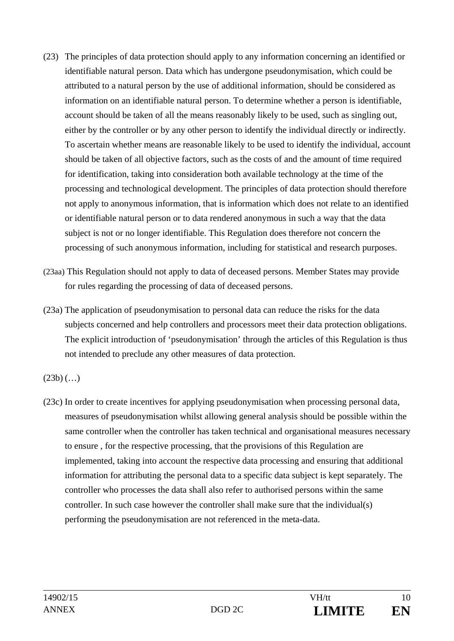- (23) The principles of data protection should apply to any information concerning an identified or identifiable natural person. Data which has undergone pseudonymisation, which could be attributed to a natural person by the use of additional information, should be considered as information on an identifiable natural person. To determine whether a person is identifiable, account should be taken of all the means reasonably likely to be used, such as singling out, either by the controller or by any other person to identify the individual directly or indirectly. To ascertain whether means are reasonable likely to be used to identify the individual, account should be taken of all objective factors, such as the costs of and the amount of time required for identification, taking into consideration both available technology at the time of the processing and technological development. The principles of data protection should therefore not apply to anonymous information, that is information which does not relate to an identified or identifiable natural person or to data rendered anonymous in such a way that the data subject is not or no longer identifiable. This Regulation does therefore not concern the processing of such anonymous information, including for statistical and research purposes.
- (23aa) This Regulation should not apply to data of deceased persons. Member States may provide for rules regarding the processing of data of deceased persons.
- (23a) The application of pseudonymisation to personal data can reduce the risks for the data subjects concerned and help controllers and processors meet their data protection obligations. The explicit introduction of 'pseudonymisation' through the articles of this Regulation is thus not intended to preclude any other measures of data protection.

 $(23b)$  (...)

(23c) In order to create incentives for applying pseudonymisation when processing personal data, measures of pseudonymisation whilst allowing general analysis should be possible within the same controller when the controller has taken technical and organisational measures necessary to ensure , for the respective processing, that the provisions of this Regulation are implemented, taking into account the respective data processing and ensuring that additional information for attributing the personal data to a specific data subject is kept separately. The controller who processes the data shall also refer to authorised persons within the same controller. In such case however the controller shall make sure that the individual(s) performing the pseudonymisation are not referenced in the meta-data.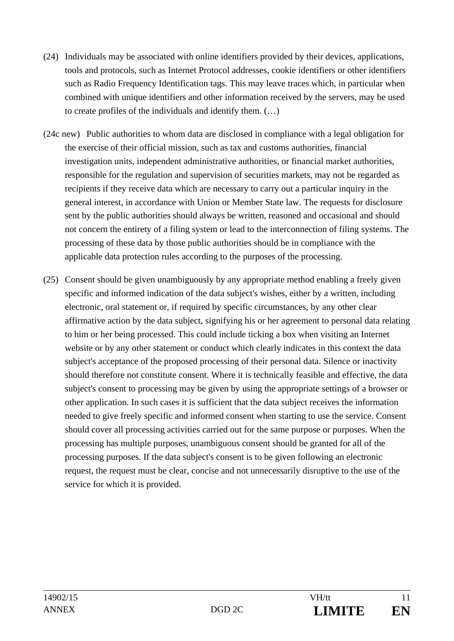- (24) Individuals may be associated with online identifiers provided by their devices, applications, tools and protocols, such as Internet Protocol addresses, cookie identifiers or other identifiers such as Radio Frequency Identification tags. This may leave traces which, in particular when combined with unique identifiers and other information received by the servers, may be used to create profiles of the individuals and identify them. (…)
- (24c new) Public authorities to whom data are disclosed in compliance with a legal obligation for the exercise of their official mission, such as tax and customs authorities, financial investigation units, independent administrative authorities, or financial market authorities, responsible for the regulation and supervision of securities markets, may not be regarded as recipients if they receive data which are necessary to carry out a particular inquiry in the general interest, in accordance with Union or Member State law. The requests for disclosure sent by the public authorities should always be written, reasoned and occasional and should not concern the entirety of a filing system or lead to the interconnection of filing systems. The processing of these data by those public authorities should be in compliance with the applicable data protection rules according to the purposes of the processing.
- (25) Consent should be given unambiguously by any appropriate method enabling a freely given specific and informed indication of the data subject's wishes, either by a written, including electronic, oral statement or, if required by specific circumstances, by any other clear affirmative action by the data subject, signifying his or her agreement to personal data relating to him or her being processed. This could include ticking a box when visiting an Internet website or by any other statement or conduct which clearly indicates in this context the data subject's acceptance of the proposed processing of their personal data. Silence or inactivity should therefore not constitute consent. Where it is technically feasible and effective, the data subject's consent to processing may be given by using the appropriate settings of a browser or other application. In such cases it is sufficient that the data subject receives the information needed to give freely specific and informed consent when starting to use the service. Consent should cover all processing activities carried out for the same purpose or purposes. When the processing has multiple purposes, unambiguous consent should be granted for all of the processing purposes. If the data subject's consent is to be given following an electronic request, the request must be clear, concise and not unnecessarily disruptive to the use of the service for which it is provided.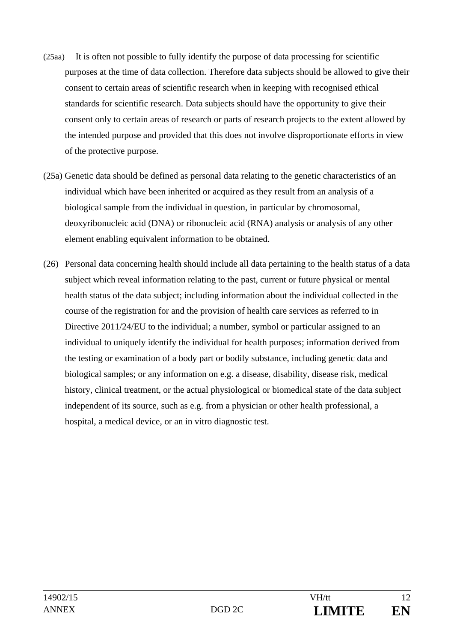- (25aa) It is often not possible to fully identify the purpose of data processing for scientific purposes at the time of data collection. Therefore data subjects should be allowed to give their consent to certain areas of scientific research when in keeping with recognised ethical standards for scientific research. Data subjects should have the opportunity to give their consent only to certain areas of research or parts of research projects to the extent allowed by the intended purpose and provided that this does not involve disproportionate efforts in view of the protective purpose.
- (25a) Genetic data should be defined as personal data relating to the genetic characteristics of an individual which have been inherited or acquired as they result from an analysis of a biological sample from the individual in question, in particular by chromosomal, deoxyribonucleic acid (DNA) or ribonucleic acid (RNA) analysis or analysis of any other element enabling equivalent information to be obtained.
- (26) Personal data concerning health should include all data pertaining to the health status of a data subject which reveal information relating to the past, current or future physical or mental health status of the data subject; including information about the individual collected in the course of the registration for and the provision of health care services as referred to in Directive 2011/24/EU to the individual; a number, symbol or particular assigned to an individual to uniquely identify the individual for health purposes; information derived from the testing or examination of a body part or bodily substance, including genetic data and biological samples; or any information on e.g. a disease, disability, disease risk, medical history, clinical treatment, or the actual physiological or biomedical state of the data subject independent of its source, such as e.g. from a physician or other health professional, a hospital, a medical device, or an in vitro diagnostic test.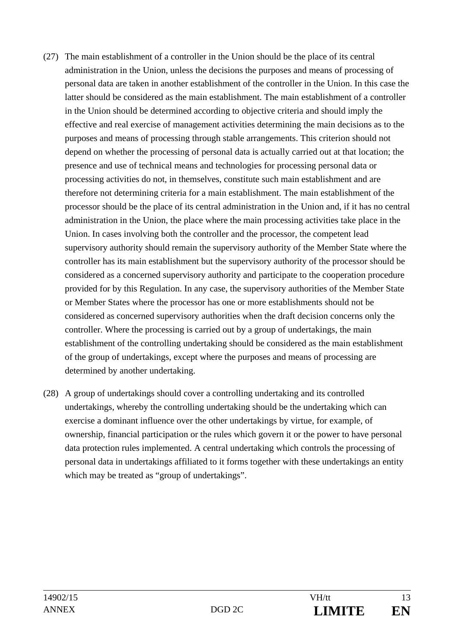- (27) The main establishment of a controller in the Union should be the place of its central administration in the Union, unless the decisions the purposes and means of processing of personal data are taken in another establishment of the controller in the Union. In this case the latter should be considered as the main establishment. The main establishment of a controller in the Union should be determined according to objective criteria and should imply the effective and real exercise of management activities determining the main decisions as to the purposes and means of processing through stable arrangements. This criterion should not depend on whether the processing of personal data is actually carried out at that location; the presence and use of technical means and technologies for processing personal data or processing activities do not, in themselves, constitute such main establishment and are therefore not determining criteria for a main establishment. The main establishment of the processor should be the place of its central administration in the Union and, if it has no central administration in the Union, the place where the main processing activities take place in the Union. In cases involving both the controller and the processor, the competent lead supervisory authority should remain the supervisory authority of the Member State where the controller has its main establishment but the supervisory authority of the processor should be considered as a concerned supervisory authority and participate to the cooperation procedure provided for by this Regulation. In any case, the supervisory authorities of the Member State or Member States where the processor has one or more establishments should not be considered as concerned supervisory authorities when the draft decision concerns only the controller. Where the processing is carried out by a group of undertakings, the main establishment of the controlling undertaking should be considered as the main establishment of the group of undertakings, except where the purposes and means of processing are determined by another undertaking.
- (28) A group of undertakings should cover a controlling undertaking and its controlled undertakings, whereby the controlling undertaking should be the undertaking which can exercise a dominant influence over the other undertakings by virtue, for example, of ownership, financial participation or the rules which govern it or the power to have personal data protection rules implemented. A central undertaking which controls the processing of personal data in undertakings affiliated to it forms together with these undertakings an entity which may be treated as "group of undertakings".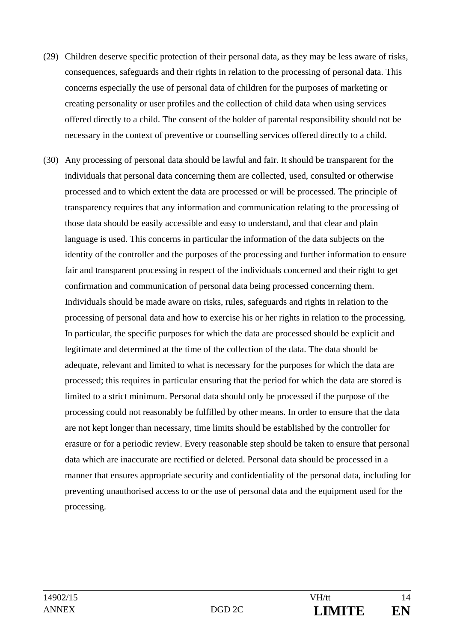- (29) Children deserve specific protection of their personal data, as they may be less aware of risks, consequences, safeguards and their rights in relation to the processing of personal data. This concerns especially the use of personal data of children for the purposes of marketing or creating personality or user profiles and the collection of child data when using services offered directly to a child. The consent of the holder of parental responsibility should not be necessary in the context of preventive or counselling services offered directly to a child.
- (30) Any processing of personal data should be lawful and fair. It should be transparent for the individuals that personal data concerning them are collected, used, consulted or otherwise processed and to which extent the data are processed or will be processed. The principle of transparency requires that any information and communication relating to the processing of those data should be easily accessible and easy to understand, and that clear and plain language is used. This concerns in particular the information of the data subjects on the identity of the controller and the purposes of the processing and further information to ensure fair and transparent processing in respect of the individuals concerned and their right to get confirmation and communication of personal data being processed concerning them. Individuals should be made aware on risks, rules, safeguards and rights in relation to the processing of personal data and how to exercise his or her rights in relation to the processing. In particular, the specific purposes for which the data are processed should be explicit and legitimate and determined at the time of the collection of the data. The data should be adequate, relevant and limited to what is necessary for the purposes for which the data are processed; this requires in particular ensuring that the period for which the data are stored is limited to a strict minimum. Personal data should only be processed if the purpose of the processing could not reasonably be fulfilled by other means. In order to ensure that the data are not kept longer than necessary, time limits should be established by the controller for erasure or for a periodic review. Every reasonable step should be taken to ensure that personal data which are inaccurate are rectified or deleted. Personal data should be processed in a manner that ensures appropriate security and confidentiality of the personal data, including for preventing unauthorised access to or the use of personal data and the equipment used for the processing.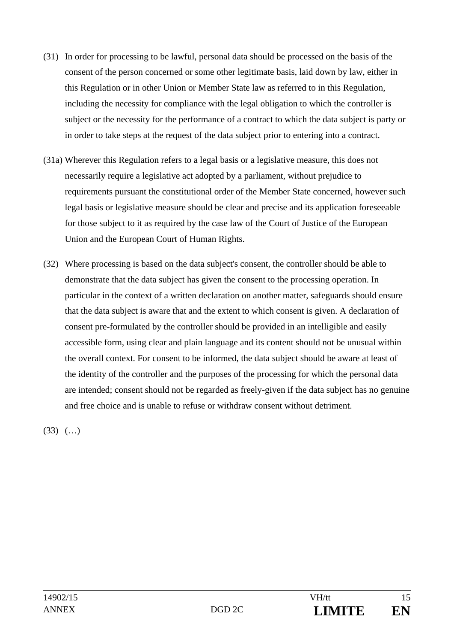- (31) In order for processing to be lawful, personal data should be processed on the basis of the consent of the person concerned or some other legitimate basis, laid down by law, either in this Regulation or in other Union or Member State law as referred to in this Regulation, including the necessity for compliance with the legal obligation to which the controller is subject or the necessity for the performance of a contract to which the data subject is party or in order to take steps at the request of the data subject prior to entering into a contract.
- (31a) Wherever this Regulation refers to a legal basis or a legislative measure, this does not necessarily require a legislative act adopted by a parliament, without prejudice to requirements pursuant the constitutional order of the Member State concerned, however such legal basis or legislative measure should be clear and precise and its application foreseeable for those subject to it as required by the case law of the Court of Justice of the European Union and the European Court of Human Rights.
- (32) Where processing is based on the data subject's consent, the controller should be able to demonstrate that the data subject has given the consent to the processing operation. In particular in the context of a written declaration on another matter, safeguards should ensure that the data subject is aware that and the extent to which consent is given. A declaration of consent pre-formulated by the controller should be provided in an intelligible and easily accessible form, using clear and plain language and its content should not be unusual within the overall context. For consent to be informed, the data subject should be aware at least of the identity of the controller and the purposes of the processing for which the personal data are intended; consent should not be regarded as freely-given if the data subject has no genuine and free choice and is unable to refuse or withdraw consent without detriment.

 $(33)$   $(...)$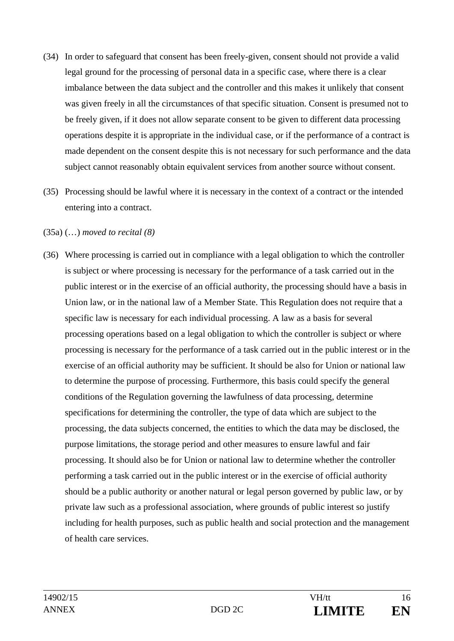- (34) In order to safeguard that consent has been freely-given, consent should not provide a valid legal ground for the processing of personal data in a specific case, where there is a clear imbalance between the data subject and the controller and this makes it unlikely that consent was given freely in all the circumstances of that specific situation. Consent is presumed not to be freely given, if it does not allow separate consent to be given to different data processing operations despite it is appropriate in the individual case, or if the performance of a contract is made dependent on the consent despite this is not necessary for such performance and the data subject cannot reasonably obtain equivalent services from another source without consent.
- (35) Processing should be lawful where it is necessary in the context of a contract or the intended entering into a contract.

## (35a) (…) *moved to recital (8)*

(36) Where processing is carried out in compliance with a legal obligation to which the controller is subject or where processing is necessary for the performance of a task carried out in the public interest or in the exercise of an official authority, the processing should have a basis in Union law, or in the national law of a Member State. This Regulation does not require that a specific law is necessary for each individual processing. A law as a basis for several processing operations based on a legal obligation to which the controller is subject or where processing is necessary for the performance of a task carried out in the public interest or in the exercise of an official authority may be sufficient. It should be also for Union or national law to determine the purpose of processing. Furthermore, this basis could specify the general conditions of the Regulation governing the lawfulness of data processing, determine specifications for determining the controller, the type of data which are subject to the processing, the data subjects concerned, the entities to which the data may be disclosed, the purpose limitations, the storage period and other measures to ensure lawful and fair processing. It should also be for Union or national law to determine whether the controller performing a task carried out in the public interest or in the exercise of official authority should be a public authority or another natural or legal person governed by public law, or by private law such as a professional association, where grounds of public interest so justify including for health purposes, such as public health and social protection and the management of health care services.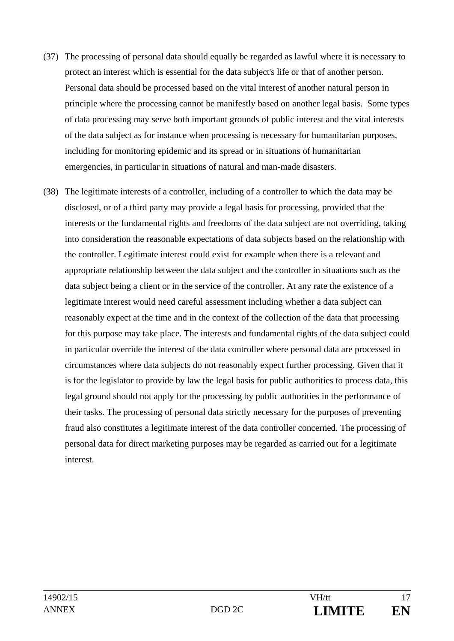- (37) The processing of personal data should equally be regarded as lawful where it is necessary to protect an interest which is essential for the data subject's life or that of another person. Personal data should be processed based on the vital interest of another natural person in principle where the processing cannot be manifestly based on another legal basis. Some types of data processing may serve both important grounds of public interest and the vital interests of the data subject as for instance when processing is necessary for humanitarian purposes, including for monitoring epidemic and its spread or in situations of humanitarian emergencies, in particular in situations of natural and man-made disasters.
- (38) The legitimate interests of a controller, including of a controller to which the data may be disclosed, or of a third party may provide a legal basis for processing, provided that the interests or the fundamental rights and freedoms of the data subject are not overriding, taking into consideration the reasonable expectations of data subjects based on the relationship with the controller. Legitimate interest could exist for example when there is a relevant and appropriate relationship between the data subject and the controller in situations such as the data subject being a client or in the service of the controller. At any rate the existence of a legitimate interest would need careful assessment including whether a data subject can reasonably expect at the time and in the context of the collection of the data that processing for this purpose may take place. The interests and fundamental rights of the data subject could in particular override the interest of the data controller where personal data are processed in circumstances where data subjects do not reasonably expect further processing. Given that it is for the legislator to provide by law the legal basis for public authorities to process data, this legal ground should not apply for the processing by public authorities in the performance of their tasks. The processing of personal data strictly necessary for the purposes of preventing fraud also constitutes a legitimate interest of the data controller concerned. The processing of personal data for direct marketing purposes may be regarded as carried out for a legitimate interest.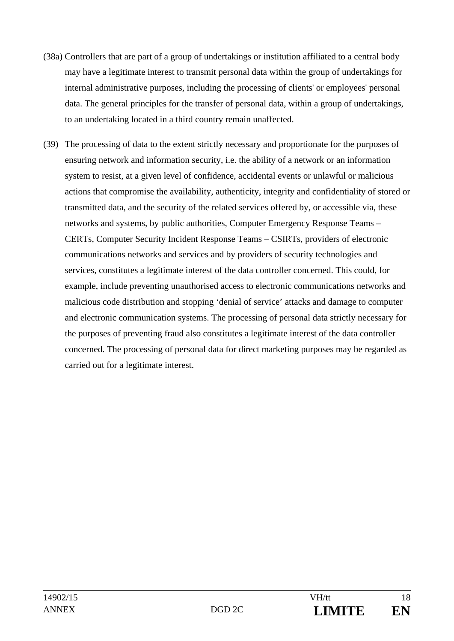- (38a) Controllers that are part of a group of undertakings or institution affiliated to a central body may have a legitimate interest to transmit personal data within the group of undertakings for internal administrative purposes, including the processing of clients' or employees' personal data. The general principles for the transfer of personal data, within a group of undertakings, to an undertaking located in a third country remain unaffected.
- (39) The processing of data to the extent strictly necessary and proportionate for the purposes of ensuring network and information security, i.e. the ability of a network or an information system to resist, at a given level of confidence, accidental events or unlawful or malicious actions that compromise the availability, authenticity, integrity and confidentiality of stored or transmitted data, and the security of the related services offered by, or accessible via, these networks and systems, by public authorities, Computer Emergency Response Teams – CERTs, Computer Security Incident Response Teams – CSIRTs, providers of electronic communications networks and services and by providers of security technologies and services, constitutes a legitimate interest of the data controller concerned. This could, for example, include preventing unauthorised access to electronic communications networks and malicious code distribution and stopping 'denial of service' attacks and damage to computer and electronic communication systems. The processing of personal data strictly necessary for the purposes of preventing fraud also constitutes a legitimate interest of the data controller concerned. The processing of personal data for direct marketing purposes may be regarded as carried out for a legitimate interest.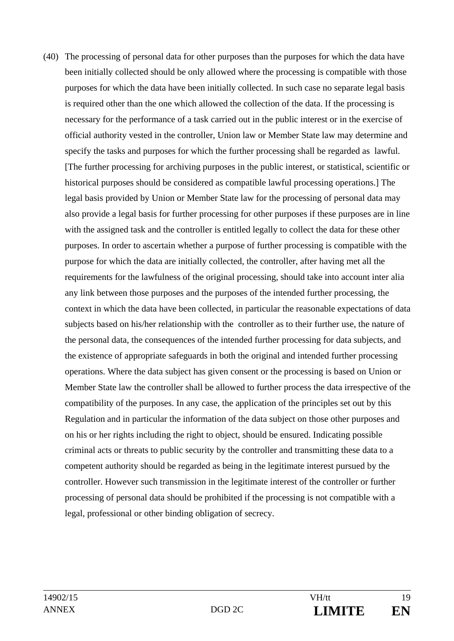(40) The processing of personal data for other purposes than the purposes for which the data have been initially collected should be only allowed where the processing is compatible with those purposes for which the data have been initially collected. In such case no separate legal basis is required other than the one which allowed the collection of the data. If the processing is necessary for the performance of a task carried out in the public interest or in the exercise of official authority vested in the controller, Union law or Member State law may determine and specify the tasks and purposes for which the further processing shall be regarded as lawful. [The further processing for archiving purposes in the public interest, or statistical, scientific or historical purposes should be considered as compatible lawful processing operations.] The legal basis provided by Union or Member State law for the processing of personal data may also provide a legal basis for further processing for other purposes if these purposes are in line with the assigned task and the controller is entitled legally to collect the data for these other purposes. In order to ascertain whether a purpose of further processing is compatible with the purpose for which the data are initially collected, the controller, after having met all the requirements for the lawfulness of the original processing, should take into account inter alia any link between those purposes and the purposes of the intended further processing, the context in which the data have been collected, in particular the reasonable expectations of data subjects based on his/her relationship with the controller as to their further use, the nature of the personal data, the consequences of the intended further processing for data subjects, and the existence of appropriate safeguards in both the original and intended further processing operations. Where the data subject has given consent or the processing is based on Union or Member State law the controller shall be allowed to further process the data irrespective of the compatibility of the purposes. In any case, the application of the principles set out by this Regulation and in particular the information of the data subject on those other purposes and on his or her rights including the right to object, should be ensured. Indicating possible criminal acts or threats to public security by the controller and transmitting these data to a competent authority should be regarded as being in the legitimate interest pursued by the controller. However such transmission in the legitimate interest of the controller or further processing of personal data should be prohibited if the processing is not compatible with a legal, professional or other binding obligation of secrecy.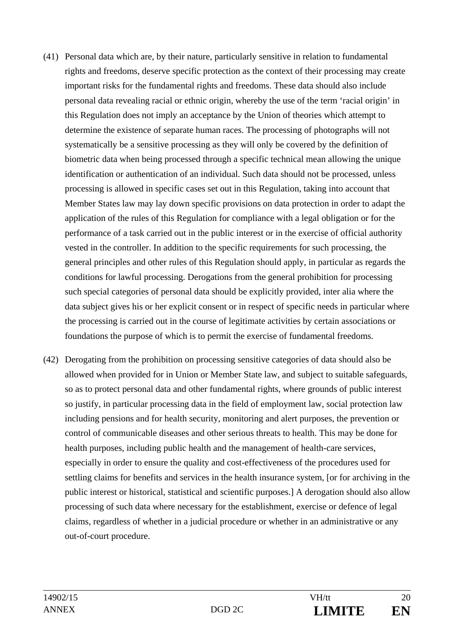- (41) Personal data which are, by their nature, particularly sensitive in relation to fundamental rights and freedoms, deserve specific protection as the context of their processing may create important risks for the fundamental rights and freedoms. These data should also include personal data revealing racial or ethnic origin, whereby the use of the term 'racial origin' in this Regulation does not imply an acceptance by the Union of theories which attempt to determine the existence of separate human races. The processing of photographs will not systematically be a sensitive processing as they will only be covered by the definition of biometric data when being processed through a specific technical mean allowing the unique identification or authentication of an individual. Such data should not be processed, unless processing is allowed in specific cases set out in this Regulation, taking into account that Member States law may lay down specific provisions on data protection in order to adapt the application of the rules of this Regulation for compliance with a legal obligation or for the performance of a task carried out in the public interest or in the exercise of official authority vested in the controller. In addition to the specific requirements for such processing, the general principles and other rules of this Regulation should apply, in particular as regards the conditions for lawful processing. Derogations from the general prohibition for processing such special categories of personal data should be explicitly provided, inter alia where the data subject gives his or her explicit consent or in respect of specific needs in particular where the processing is carried out in the course of legitimate activities by certain associations or foundations the purpose of which is to permit the exercise of fundamental freedoms.
- (42) Derogating from the prohibition on processing sensitive categories of data should also be allowed when provided for in Union or Member State law, and subject to suitable safeguards, so as to protect personal data and other fundamental rights, where grounds of public interest so justify, in particular processing data in the field of employment law, social protection law including pensions and for health security, monitoring and alert purposes, the prevention or control of communicable diseases and other serious threats to health. This may be done for health purposes, including public health and the management of health-care services, especially in order to ensure the quality and cost-effectiveness of the procedures used for settling claims for benefits and services in the health insurance system, [or for archiving in the public interest or historical, statistical and scientific purposes.] A derogation should also allow processing of such data where necessary for the establishment, exercise or defence of legal claims, regardless of whether in a judicial procedure or whether in an administrative or any out-of-court procedure.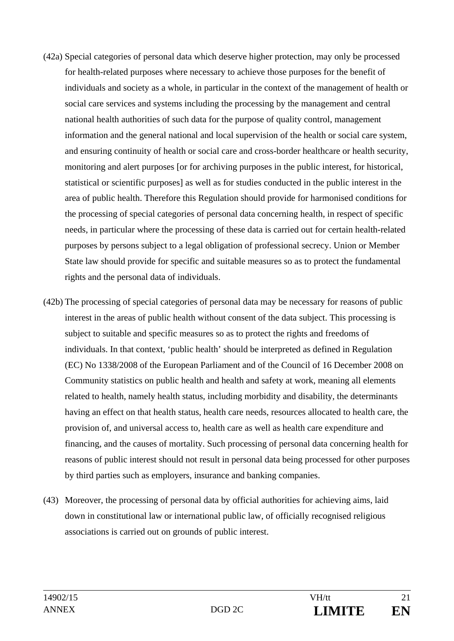- (42a) Special categories of personal data which deserve higher protection, may only be processed for health-related purposes where necessary to achieve those purposes for the benefit of individuals and society as a whole, in particular in the context of the management of health or social care services and systems including the processing by the management and central national health authorities of such data for the purpose of quality control, management information and the general national and local supervision of the health or social care system, and ensuring continuity of health or social care and cross-border healthcare or health security, monitoring and alert purposes [or for archiving purposes in the public interest, for historical, statistical or scientific purposes] as well as for studies conducted in the public interest in the area of public health. Therefore this Regulation should provide for harmonised conditions for the processing of special categories of personal data concerning health, in respect of specific needs, in particular where the processing of these data is carried out for certain health-related purposes by persons subject to a legal obligation of professional secrecy. Union or Member State law should provide for specific and suitable measures so as to protect the fundamental rights and the personal data of individuals.
- (42b) The processing of special categories of personal data may be necessary for reasons of public interest in the areas of public health without consent of the data subject. This processing is subject to suitable and specific measures so as to protect the rights and freedoms of individuals. In that context, 'public health' should be interpreted as defined in Regulation (EC) No 1338/2008 of the European Parliament and of the Council of 16 December 2008 on Community statistics on public health and health and safety at work, meaning all elements related to health, namely health status, including morbidity and disability, the determinants having an effect on that health status, health care needs, resources allocated to health care, the provision of, and universal access to, health care as well as health care expenditure and financing, and the causes of mortality. Such processing of personal data concerning health for reasons of public interest should not result in personal data being processed for other purposes by third parties such as employers, insurance and banking companies.
- (43) Moreover, the processing of personal data by official authorities for achieving aims, laid down in constitutional law or international public law, of officially recognised religious associations is carried out on grounds of public interest.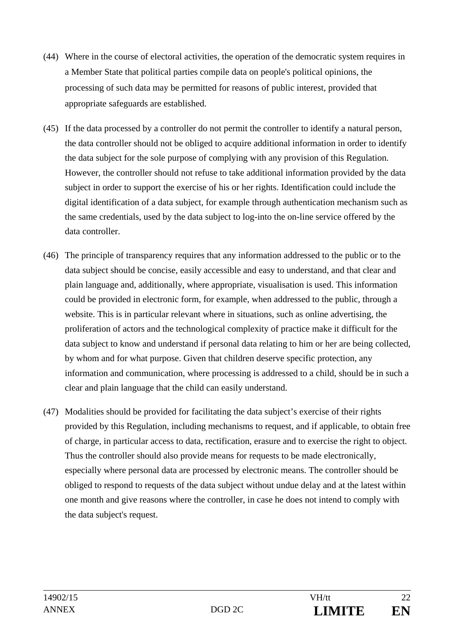- (44) Where in the course of electoral activities, the operation of the democratic system requires in a Member State that political parties compile data on people's political opinions, the processing of such data may be permitted for reasons of public interest, provided that appropriate safeguards are established.
- (45) If the data processed by a controller do not permit the controller to identify a natural person, the data controller should not be obliged to acquire additional information in order to identify the data subject for the sole purpose of complying with any provision of this Regulation. However, the controller should not refuse to take additional information provided by the data subject in order to support the exercise of his or her rights. Identification could include the digital identification of a data subject, for example through authentication mechanism such as the same credentials, used by the data subject to log-into the on-line service offered by the data controller.
- (46) The principle of transparency requires that any information addressed to the public or to the data subject should be concise, easily accessible and easy to understand, and that clear and plain language and, additionally, where appropriate, visualisation is used. This information could be provided in electronic form, for example, when addressed to the public, through a website. This is in particular relevant where in situations, such as online advertising, the proliferation of actors and the technological complexity of practice make it difficult for the data subject to know and understand if personal data relating to him or her are being collected, by whom and for what purpose. Given that children deserve specific protection, any information and communication, where processing is addressed to a child, should be in such a clear and plain language that the child can easily understand.
- (47) Modalities should be provided for facilitating the data subject's exercise of their rights provided by this Regulation, including mechanisms to request, and if applicable, to obtain free of charge, in particular access to data, rectification, erasure and to exercise the right to object. Thus the controller should also provide means for requests to be made electronically, especially where personal data are processed by electronic means. The controller should be obliged to respond to requests of the data subject without undue delay and at the latest within one month and give reasons where the controller, in case he does not intend to comply with the data subject's request.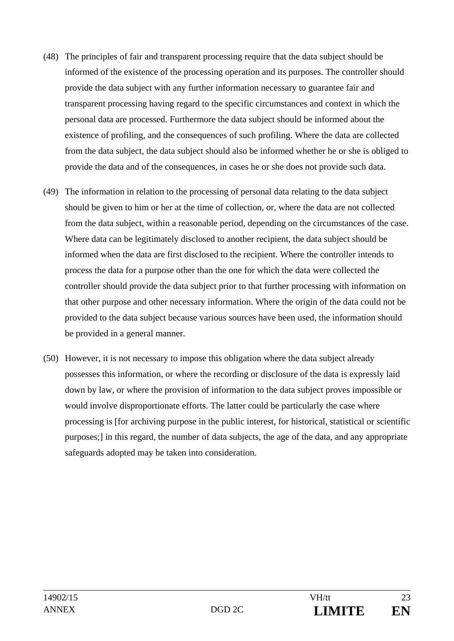- (48) The principles of fair and transparent processing require that the data subject should be informed of the existence of the processing operation and its purposes. The controller should provide the data subject with any further information necessary to guarantee fair and transparent processing having regard to the specific circumstances and context in which the personal data are processed. Furthermore the data subject should be informed about the existence of profiling, and the consequences of such profiling. Where the data are collected from the data subject, the data subject should also be informed whether he or she is obliged to provide the data and of the consequences, in cases he or she does not provide such data.
- (49) The information in relation to the processing of personal data relating to the data subject should be given to him or her at the time of collection, or, where the data are not collected from the data subject, within a reasonable period, depending on the circumstances of the case. Where data can be legitimately disclosed to another recipient, the data subject should be informed when the data are first disclosed to the recipient. Where the controller intends to process the data for a purpose other than the one for which the data were collected the controller should provide the data subject prior to that further processing with information on that other purpose and other necessary information. Where the origin of the data could not be provided to the data subject because various sources have been used, the information should be provided in a general manner.
- (50) However, it is not necessary to impose this obligation where the data subject already possesses this information, or where the recording or disclosure of the data is expressly laid down by law, or where the provision of information to the data subject proves impossible or would involve disproportionate efforts. The latter could be particularly the case where processing is [for archiving purpose in the public interest, for historical, statistical or scientific purposes;] in this regard, the number of data subjects, the age of the data, and any appropriate safeguards adopted may be taken into consideration.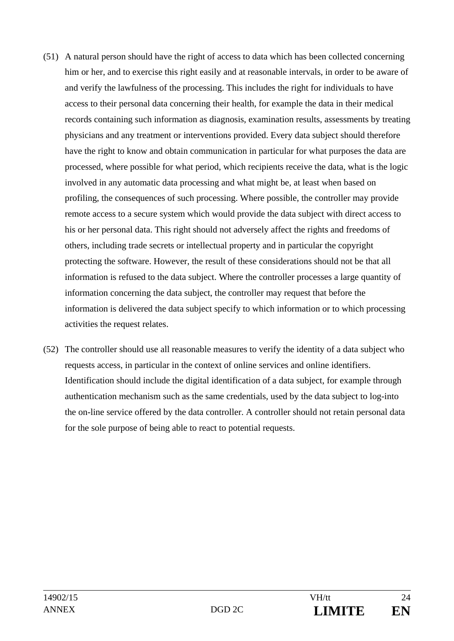- (51) A natural person should have the right of access to data which has been collected concerning him or her, and to exercise this right easily and at reasonable intervals, in order to be aware of and verify the lawfulness of the processing. This includes the right for individuals to have access to their personal data concerning their health, for example the data in their medical records containing such information as diagnosis, examination results, assessments by treating physicians and any treatment or interventions provided. Every data subject should therefore have the right to know and obtain communication in particular for what purposes the data are processed, where possible for what period, which recipients receive the data, what is the logic involved in any automatic data processing and what might be, at least when based on profiling, the consequences of such processing. Where possible, the controller may provide remote access to a secure system which would provide the data subject with direct access to his or her personal data. This right should not adversely affect the rights and freedoms of others, including trade secrets or intellectual property and in particular the copyright protecting the software. However, the result of these considerations should not be that all information is refused to the data subject. Where the controller processes a large quantity of information concerning the data subject, the controller may request that before the information is delivered the data subject specify to which information or to which processing activities the request relates.
- (52) The controller should use all reasonable measures to verify the identity of a data subject who requests access, in particular in the context of online services and online identifiers. Identification should include the digital identification of a data subject, for example through authentication mechanism such as the same credentials, used by the data subject to log-into the on-line service offered by the data controller. A controller should not retain personal data for the sole purpose of being able to react to potential requests.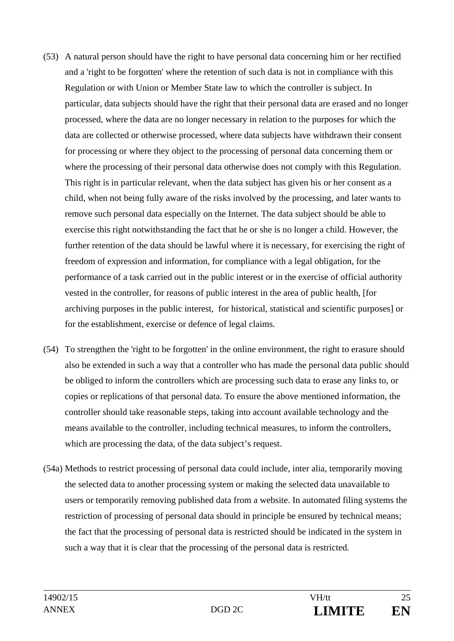- (53) A natural person should have the right to have personal data concerning him or her rectified and a 'right to be forgotten' where the retention of such data is not in compliance with this Regulation or with Union or Member State law to which the controller is subject. In particular, data subjects should have the right that their personal data are erased and no longer processed, where the data are no longer necessary in relation to the purposes for which the data are collected or otherwise processed, where data subjects have withdrawn their consent for processing or where they object to the processing of personal data concerning them or where the processing of their personal data otherwise does not comply with this Regulation. This right is in particular relevant, when the data subject has given his or her consent as a child, when not being fully aware of the risks involved by the processing, and later wants to remove such personal data especially on the Internet. The data subject should be able to exercise this right notwithstanding the fact that he or she is no longer a child. However, the further retention of the data should be lawful where it is necessary, for exercising the right of freedom of expression and information, for compliance with a legal obligation, for the performance of a task carried out in the public interest or in the exercise of official authority vested in the controller, for reasons of public interest in the area of public health, [for archiving purposes in the public interest, for historical, statistical and scientific purposes] or for the establishment, exercise or defence of legal claims.
- (54) To strengthen the 'right to be forgotten' in the online environment, the right to erasure should also be extended in such a way that a controller who has made the personal data public should be obliged to inform the controllers which are processing such data to erase any links to, or copies or replications of that personal data. To ensure the above mentioned information, the controller should take reasonable steps, taking into account available technology and the means available to the controller, including technical measures, to inform the controllers, which are processing the data, of the data subject's request.
- (54a) Methods to restrict processing of personal data could include, inter alia, temporarily moving the selected data to another processing system or making the selected data unavailable to users or temporarily removing published data from a website. In automated filing systems the restriction of processing of personal data should in principle be ensured by technical means; the fact that the processing of personal data is restricted should be indicated in the system in such a way that it is clear that the processing of the personal data is restricted.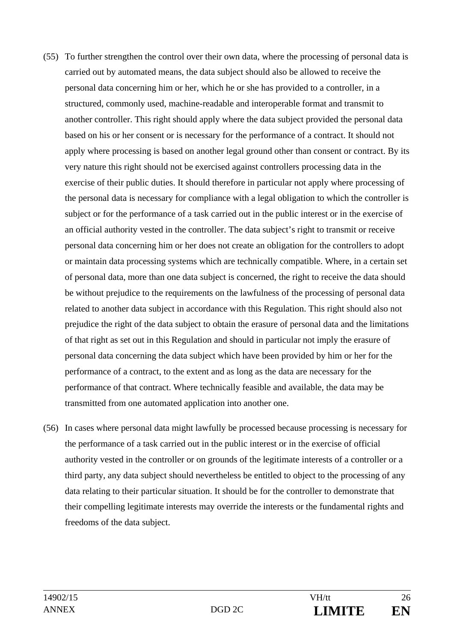- (55) To further strengthen the control over their own data, where the processing of personal data is carried out by automated means, the data subject should also be allowed to receive the personal data concerning him or her, which he or she has provided to a controller, in a structured, commonly used, machine-readable and interoperable format and transmit to another controller. This right should apply where the data subject provided the personal data based on his or her consent or is necessary for the performance of a contract. It should not apply where processing is based on another legal ground other than consent or contract. By its very nature this right should not be exercised against controllers processing data in the exercise of their public duties. It should therefore in particular not apply where processing of the personal data is necessary for compliance with a legal obligation to which the controller is subject or for the performance of a task carried out in the public interest or in the exercise of an official authority vested in the controller. The data subject's right to transmit or receive personal data concerning him or her does not create an obligation for the controllers to adopt or maintain data processing systems which are technically compatible. Where, in a certain set of personal data, more than one data subject is concerned, the right to receive the data should be without prejudice to the requirements on the lawfulness of the processing of personal data related to another data subject in accordance with this Regulation. This right should also not prejudice the right of the data subject to obtain the erasure of personal data and the limitations of that right as set out in this Regulation and should in particular not imply the erasure of personal data concerning the data subject which have been provided by him or her for the performance of a contract, to the extent and as long as the data are necessary for the performance of that contract. Where technically feasible and available, the data may be transmitted from one automated application into another one.
- (56) In cases where personal data might lawfully be processed because processing is necessary for the performance of a task carried out in the public interest or in the exercise of official authority vested in the controller or on grounds of the legitimate interests of a controller or a third party, any data subject should nevertheless be entitled to object to the processing of any data relating to their particular situation. It should be for the controller to demonstrate that their compelling legitimate interests may override the interests or the fundamental rights and freedoms of the data subject.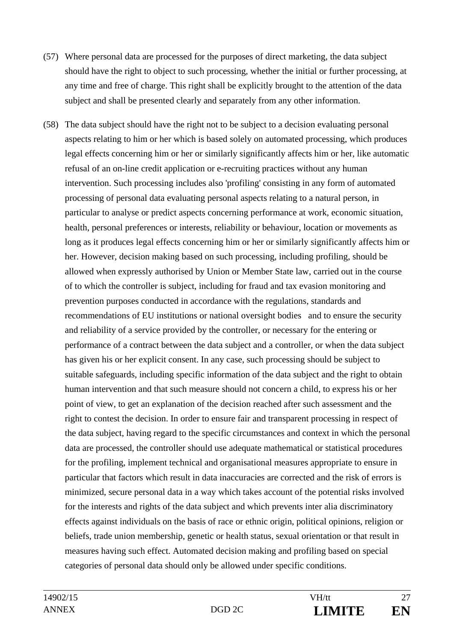- (57) Where personal data are processed for the purposes of direct marketing, the data subject should have the right to object to such processing, whether the initial or further processing, at any time and free of charge. This right shall be explicitly brought to the attention of the data subject and shall be presented clearly and separately from any other information.
- (58) The data subject should have the right not to be subject to a decision evaluating personal aspects relating to him or her which is based solely on automated processing, which produces legal effects concerning him or her or similarly significantly affects him or her, like automatic refusal of an on-line credit application or e-recruiting practices without any human intervention. Such processing includes also 'profiling' consisting in any form of automated processing of personal data evaluating personal aspects relating to a natural person, in particular to analyse or predict aspects concerning performance at work, economic situation, health, personal preferences or interests, reliability or behaviour, location or movements as long as it produces legal effects concerning him or her or similarly significantly affects him or her. However, decision making based on such processing, including profiling, should be allowed when expressly authorised by Union or Member State law, carried out in the course of to which the controller is subject, including for fraud and tax evasion monitoring and prevention purposes conducted in accordance with the regulations, standards and recommendations of EU institutions or national oversight bodies and to ensure the security and reliability of a service provided by the controller, or necessary for the entering or performance of a contract between the data subject and a controller, or when the data subject has given his or her explicit consent. In any case, such processing should be subject to suitable safeguards, including specific information of the data subject and the right to obtain human intervention and that such measure should not concern a child, to express his or her point of view, to get an explanation of the decision reached after such assessment and the right to contest the decision. In order to ensure fair and transparent processing in respect of the data subject, having regard to the specific circumstances and context in which the personal data are processed, the controller should use adequate mathematical or statistical procedures for the profiling, implement technical and organisational measures appropriate to ensure in particular that factors which result in data inaccuracies are corrected and the risk of errors is minimized, secure personal data in a way which takes account of the potential risks involved for the interests and rights of the data subject and which prevents inter alia discriminatory effects against individuals on the basis of race or ethnic origin, political opinions, religion or beliefs, trade union membership, genetic or health status, sexual orientation or that result in measures having such effect. Automated decision making and profiling based on special categories of personal data should only be allowed under specific conditions.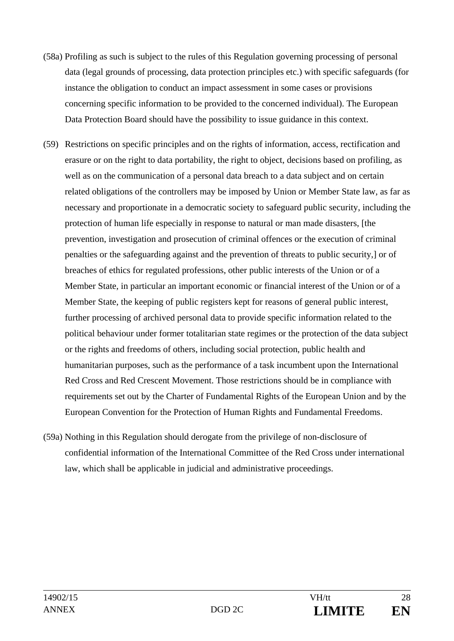- (58a) Profiling as such is subject to the rules of this Regulation governing processing of personal data (legal grounds of processing, data protection principles etc.) with specific safeguards (for instance the obligation to conduct an impact assessment in some cases or provisions concerning specific information to be provided to the concerned individual). The European Data Protection Board should have the possibility to issue guidance in this context.
- (59) Restrictions on specific principles and on the rights of information, access, rectification and erasure or on the right to data portability, the right to object, decisions based on profiling, as well as on the communication of a personal data breach to a data subject and on certain related obligations of the controllers may be imposed by Union or Member State law, as far as necessary and proportionate in a democratic society to safeguard public security, including the protection of human life especially in response to natural or man made disasters, [the prevention, investigation and prosecution of criminal offences or the execution of criminal penalties or the safeguarding against and the prevention of threats to public security,] or of breaches of ethics for regulated professions, other public interests of the Union or of a Member State, in particular an important economic or financial interest of the Union or of a Member State, the keeping of public registers kept for reasons of general public interest, further processing of archived personal data to provide specific information related to the political behaviour under former totalitarian state regimes or the protection of the data subject or the rights and freedoms of others, including social protection, public health and humanitarian purposes, such as the performance of a task incumbent upon the International Red Cross and Red Crescent Movement. Those restrictions should be in compliance with requirements set out by the Charter of Fundamental Rights of the European Union and by the European Convention for the Protection of Human Rights and Fundamental Freedoms.
- (59a) Nothing in this Regulation should derogate from the privilege of non-disclosure of confidential information of the International Committee of the Red Cross under international law, which shall be applicable in judicial and administrative proceedings.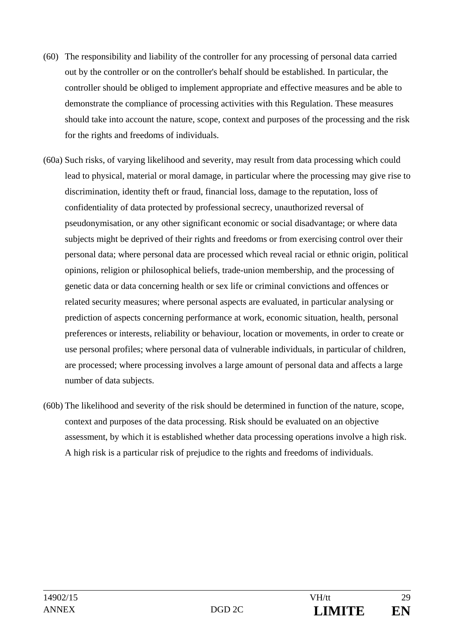- (60) The responsibility and liability of the controller for any processing of personal data carried out by the controller or on the controller's behalf should be established. In particular, the controller should be obliged to implement appropriate and effective measures and be able to demonstrate the compliance of processing activities with this Regulation. These measures should take into account the nature, scope, context and purposes of the processing and the risk for the rights and freedoms of individuals.
- (60a) Such risks, of varying likelihood and severity, may result from data processing which could lead to physical, material or moral damage, in particular where the processing may give rise to discrimination, identity theft or fraud, financial loss, damage to the reputation, loss of confidentiality of data protected by professional secrecy, unauthorized reversal of pseudonymisation, or any other significant economic or social disadvantage; or where data subjects might be deprived of their rights and freedoms or from exercising control over their personal data; where personal data are processed which reveal racial or ethnic origin, political opinions, religion or philosophical beliefs, trade-union membership, and the processing of genetic data or data concerning health or sex life or criminal convictions and offences or related security measures; where personal aspects are evaluated, in particular analysing or prediction of aspects concerning performance at work, economic situation, health, personal preferences or interests, reliability or behaviour, location or movements, in order to create or use personal profiles; where personal data of vulnerable individuals, in particular of children, are processed; where processing involves a large amount of personal data and affects a large number of data subjects.
- (60b) The likelihood and severity of the risk should be determined in function of the nature, scope, context and purposes of the data processing. Risk should be evaluated on an objective assessment, by which it is established whether data processing operations involve a high risk. A high risk is a particular risk of prejudice to the rights and freedoms of individuals.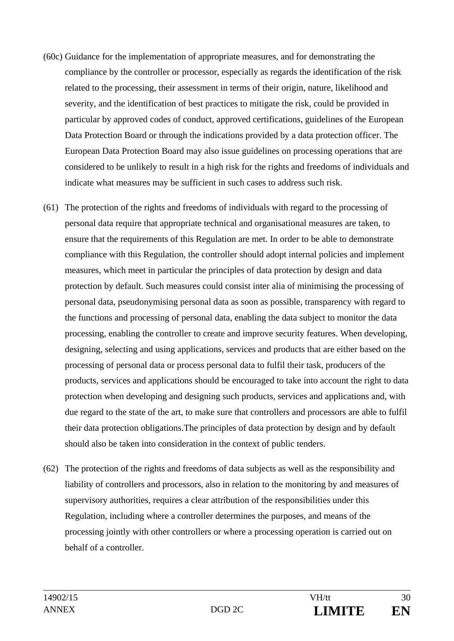- (60c) Guidance for the implementation of appropriate measures, and for demonstrating the compliance by the controller or processor, especially as regards the identification of the risk related to the processing, their assessment in terms of their origin, nature, likelihood and severity, and the identification of best practices to mitigate the risk, could be provided in particular by approved codes of conduct, approved certifications, guidelines of the European Data Protection Board or through the indications provided by a data protection officer. The European Data Protection Board may also issue guidelines on processing operations that are considered to be unlikely to result in a high risk for the rights and freedoms of individuals and indicate what measures may be sufficient in such cases to address such risk.
- (61) The protection of the rights and freedoms of individuals with regard to the processing of personal data require that appropriate technical and organisational measures are taken, to ensure that the requirements of this Regulation are met. In order to be able to demonstrate compliance with this Regulation, the controller should adopt internal policies and implement measures, which meet in particular the principles of data protection by design and data protection by default. Such measures could consist inter alia of minimising the processing of personal data, pseudonymising personal data as soon as possible, transparency with regard to the functions and processing of personal data, enabling the data subject to monitor the data processing, enabling the controller to create and improve security features. When developing, designing, selecting and using applications, services and products that are either based on the processing of personal data or process personal data to fulfil their task, producers of the products, services and applications should be encouraged to take into account the right to data protection when developing and designing such products, services and applications and, with due regard to the state of the art, to make sure that controllers and processors are able to fulfil their data protection obligations.The principles of data protection by design and by default should also be taken into consideration in the context of public tenders.
- (62) The protection of the rights and freedoms of data subjects as well as the responsibility and liability of controllers and processors, also in relation to the monitoring by and measures of supervisory authorities, requires a clear attribution of the responsibilities under this Regulation, including where a controller determines the purposes, and means of the processing jointly with other controllers or where a processing operation is carried out on behalf of a controller.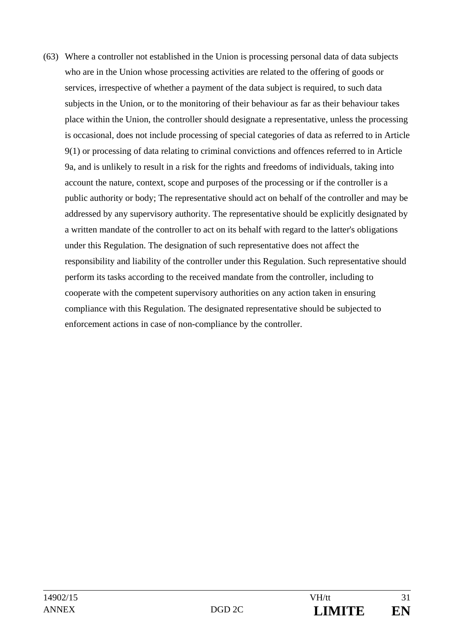(63) Where a controller not established in the Union is processing personal data of data subjects who are in the Union whose processing activities are related to the offering of goods or services, irrespective of whether a payment of the data subject is required, to such data subjects in the Union, or to the monitoring of their behaviour as far as their behaviour takes place within the Union, the controller should designate a representative, unless the processing is occasional, does not include processing of special categories of data as referred to in Article 9(1) or processing of data relating to criminal convictions and offences referred to in Article 9a, and is unlikely to result in a risk for the rights and freedoms of individuals, taking into account the nature, context, scope and purposes of the processing or if the controller is a public authority or body; The representative should act on behalf of the controller and may be addressed by any supervisory authority. The representative should be explicitly designated by a written mandate of the controller to act on its behalf with regard to the latter's obligations under this Regulation. The designation of such representative does not affect the responsibility and liability of the controller under this Regulation. Such representative should perform its tasks according to the received mandate from the controller, including to cooperate with the competent supervisory authorities on any action taken in ensuring compliance with this Regulation. The designated representative should be subjected to enforcement actions in case of non-compliance by the controller.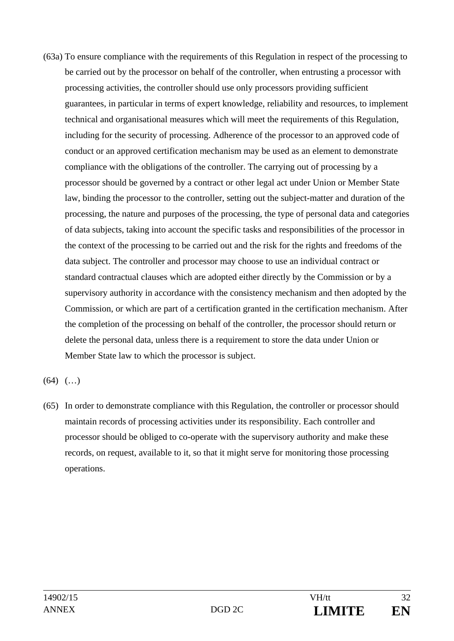(63a) To ensure compliance with the requirements of this Regulation in respect of the processing to be carried out by the processor on behalf of the controller, when entrusting a processor with processing activities, the controller should use only processors providing sufficient guarantees, in particular in terms of expert knowledge, reliability and resources, to implement technical and organisational measures which will meet the requirements of this Regulation, including for the security of processing. Adherence of the processor to an approved code of conduct or an approved certification mechanism may be used as an element to demonstrate compliance with the obligations of the controller. The carrying out of processing by a processor should be governed by a contract or other legal act under Union or Member State law, binding the processor to the controller, setting out the subject-matter and duration of the processing, the nature and purposes of the processing, the type of personal data and categories of data subjects, taking into account the specific tasks and responsibilities of the processor in the context of the processing to be carried out and the risk for the rights and freedoms of the data subject. The controller and processor may choose to use an individual contract or standard contractual clauses which are adopted either directly by the Commission or by a supervisory authority in accordance with the consistency mechanism and then adopted by the Commission, or which are part of a certification granted in the certification mechanism. After the completion of the processing on behalf of the controller, the processor should return or delete the personal data, unless there is a requirement to store the data under Union or Member State law to which the processor is subject.

 $(64)$   $(...)$ 

(65) In order to demonstrate compliance with this Regulation, the controller or processor should maintain records of processing activities under its responsibility. Each controller and processor should be obliged to co-operate with the supervisory authority and make these records, on request, available to it, so that it might serve for monitoring those processing operations.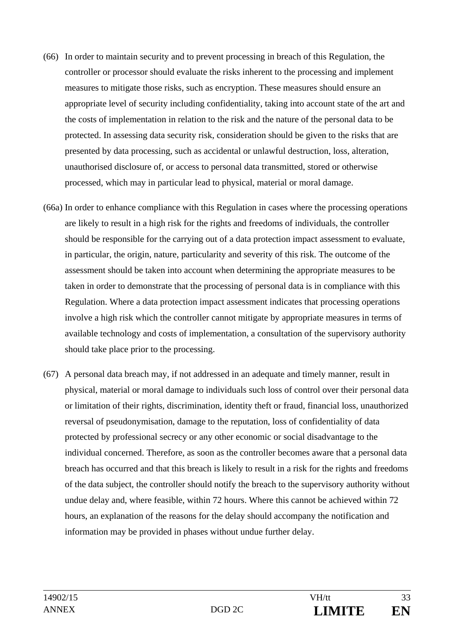- (66) In order to maintain security and to prevent processing in breach of this Regulation, the controller or processor should evaluate the risks inherent to the processing and implement measures to mitigate those risks, such as encryption. These measures should ensure an appropriate level of security including confidentiality, taking into account state of the art and the costs of implementation in relation to the risk and the nature of the personal data to be protected. In assessing data security risk, consideration should be given to the risks that are presented by data processing, such as accidental or unlawful destruction, loss, alteration, unauthorised disclosure of, or access to personal data transmitted, stored or otherwise processed, which may in particular lead to physical, material or moral damage.
- (66a) In order to enhance compliance with this Regulation in cases where the processing operations are likely to result in a high risk for the rights and freedoms of individuals, the controller should be responsible for the carrying out of a data protection impact assessment to evaluate, in particular, the origin, nature, particularity and severity of this risk. The outcome of the assessment should be taken into account when determining the appropriate measures to be taken in order to demonstrate that the processing of personal data is in compliance with this Regulation. Where a data protection impact assessment indicates that processing operations involve a high risk which the controller cannot mitigate by appropriate measures in terms of available technology and costs of implementation, a consultation of the supervisory authority should take place prior to the processing.
- (67) A personal data breach may, if not addressed in an adequate and timely manner, result in physical, material or moral damage to individuals such loss of control over their personal data or limitation of their rights, discrimination, identity theft or fraud, financial loss, unauthorized reversal of pseudonymisation, damage to the reputation, loss of confidentiality of data protected by professional secrecy or any other economic or social disadvantage to the individual concerned. Therefore, as soon as the controller becomes aware that a personal data breach has occurred and that this breach is likely to result in a risk for the rights and freedoms of the data subject, the controller should notify the breach to the supervisory authority without undue delay and, where feasible, within 72 hours. Where this cannot be achieved within 72 hours, an explanation of the reasons for the delay should accompany the notification and information may be provided in phases without undue further delay.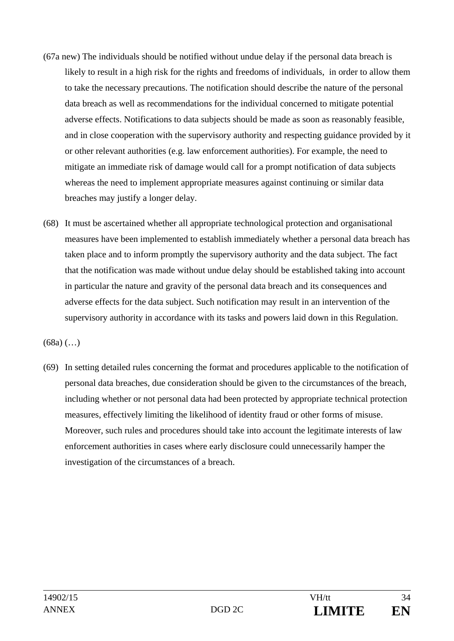- (67a new) The individuals should be notified without undue delay if the personal data breach is likely to result in a high risk for the rights and freedoms of individuals, in order to allow them to take the necessary precautions. The notification should describe the nature of the personal data breach as well as recommendations for the individual concerned to mitigate potential adverse effects. Notifications to data subjects should be made as soon as reasonably feasible, and in close cooperation with the supervisory authority and respecting guidance provided by it or other relevant authorities (e.g. law enforcement authorities). For example, the need to mitigate an immediate risk of damage would call for a prompt notification of data subjects whereas the need to implement appropriate measures against continuing or similar data breaches may justify a longer delay.
- (68) It must be ascertained whether all appropriate technological protection and organisational measures have been implemented to establish immediately whether a personal data breach has taken place and to inform promptly the supervisory authority and the data subject. The fact that the notification was made without undue delay should be established taking into account in particular the nature and gravity of the personal data breach and its consequences and adverse effects for the data subject. Such notification may result in an intervention of the supervisory authority in accordance with its tasks and powers laid down in this Regulation.

## $(68a)$  (...)

(69) In setting detailed rules concerning the format and procedures applicable to the notification of personal data breaches, due consideration should be given to the circumstances of the breach, including whether or not personal data had been protected by appropriate technical protection measures, effectively limiting the likelihood of identity fraud or other forms of misuse. Moreover, such rules and procedures should take into account the legitimate interests of law enforcement authorities in cases where early disclosure could unnecessarily hamper the investigation of the circumstances of a breach.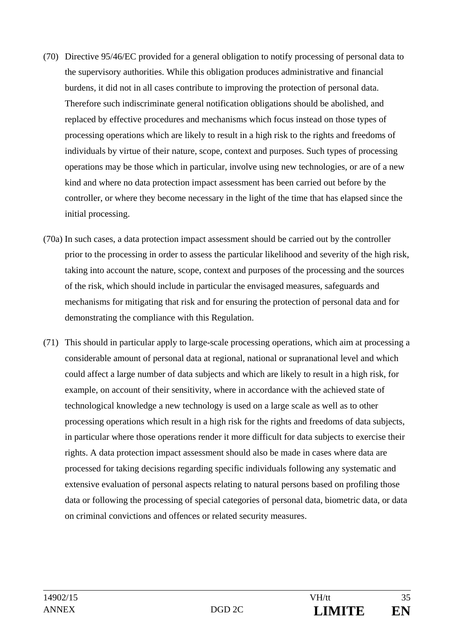- (70) Directive 95/46/EC provided for a general obligation to notify processing of personal data to the supervisory authorities. While this obligation produces administrative and financial burdens, it did not in all cases contribute to improving the protection of personal data. Therefore such indiscriminate general notification obligations should be abolished, and replaced by effective procedures and mechanisms which focus instead on those types of processing operations which are likely to result in a high risk to the rights and freedoms of individuals by virtue of their nature, scope, context and purposes. Such types of processing operations may be those which in particular, involve using new technologies, or are of a new kind and where no data protection impact assessment has been carried out before by the controller, or where they become necessary in the light of the time that has elapsed since the initial processing.
- (70a) In such cases, a data protection impact assessment should be carried out by the controller prior to the processing in order to assess the particular likelihood and severity of the high risk, taking into account the nature, scope, context and purposes of the processing and the sources of the risk, which should include in particular the envisaged measures, safeguards and mechanisms for mitigating that risk and for ensuring the protection of personal data and for demonstrating the compliance with this Regulation.
- (71) This should in particular apply to large-scale processing operations, which aim at processing a considerable amount of personal data at regional, national or supranational level and which could affect a large number of data subjects and which are likely to result in a high risk, for example, on account of their sensitivity, where in accordance with the achieved state of technological knowledge a new technology is used on a large scale as well as to other processing operations which result in a high risk for the rights and freedoms of data subjects, in particular where those operations render it more difficult for data subjects to exercise their rights. A data protection impact assessment should also be made in cases where data are processed for taking decisions regarding specific individuals following any systematic and extensive evaluation of personal aspects relating to natural persons based on profiling those data or following the processing of special categories of personal data, biometric data, or data on criminal convictions and offences or related security measures.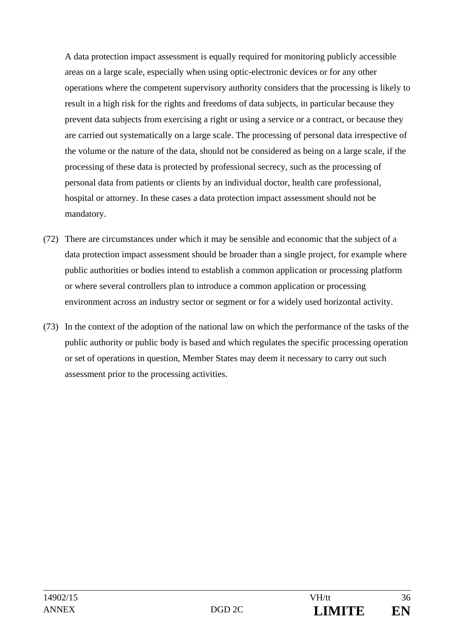A data protection impact assessment is equally required for monitoring publicly accessible areas on a large scale, especially when using optic-electronic devices or for any other operations where the competent supervisory authority considers that the processing is likely to result in a high risk for the rights and freedoms of data subjects, in particular because they prevent data subjects from exercising a right or using a service or a contract, or because they are carried out systematically on a large scale. The processing of personal data irrespective of the volume or the nature of the data, should not be considered as being on a large scale, if the processing of these data is protected by professional secrecy, such as the processing of personal data from patients or clients by an individual doctor, health care professional, hospital or attorney. In these cases a data protection impact assessment should not be mandatory.

- (72) There are circumstances under which it may be sensible and economic that the subject of a data protection impact assessment should be broader than a single project, for example where public authorities or bodies intend to establish a common application or processing platform or where several controllers plan to introduce a common application or processing environment across an industry sector or segment or for a widely used horizontal activity.
- (73) In the context of the adoption of the national law on which the performance of the tasks of the public authority or public body is based and which regulates the specific processing operation or set of operations in question, Member States may deem it necessary to carry out such assessment prior to the processing activities.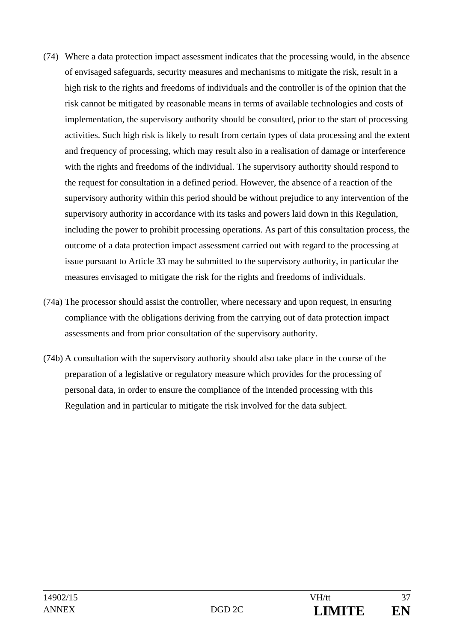- (74) Where a data protection impact assessment indicates that the processing would, in the absence of envisaged safeguards, security measures and mechanisms to mitigate the risk, result in a high risk to the rights and freedoms of individuals and the controller is of the opinion that the risk cannot be mitigated by reasonable means in terms of available technologies and costs of implementation, the supervisory authority should be consulted, prior to the start of processing activities. Such high risk is likely to result from certain types of data processing and the extent and frequency of processing, which may result also in a realisation of damage or interference with the rights and freedoms of the individual. The supervisory authority should respond to the request for consultation in a defined period. However, the absence of a reaction of the supervisory authority within this period should be without prejudice to any intervention of the supervisory authority in accordance with its tasks and powers laid down in this Regulation, including the power to prohibit processing operations. As part of this consultation process, the outcome of a data protection impact assessment carried out with regard to the processing at issue pursuant to Article 33 may be submitted to the supervisory authority, in particular the measures envisaged to mitigate the risk for the rights and freedoms of individuals.
- (74a) The processor should assist the controller, where necessary and upon request, in ensuring compliance with the obligations deriving from the carrying out of data protection impact assessments and from prior consultation of the supervisory authority.
- (74b) A consultation with the supervisory authority should also take place in the course of the preparation of a legislative or regulatory measure which provides for the processing of personal data, in order to ensure the compliance of the intended processing with this Regulation and in particular to mitigate the risk involved for the data subject.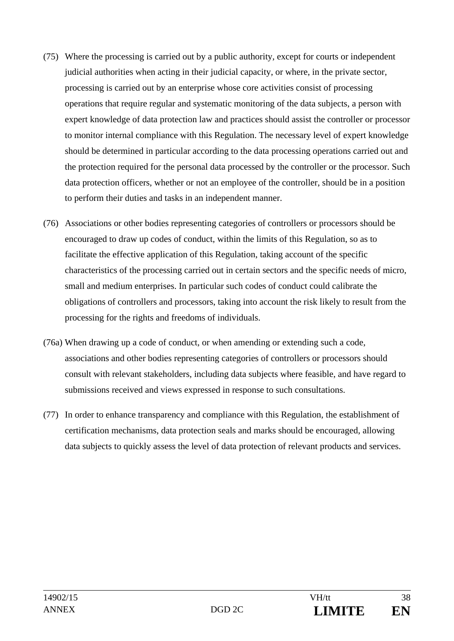- (75) Where the processing is carried out by a public authority, except for courts or independent judicial authorities when acting in their judicial capacity, or where, in the private sector, processing is carried out by an enterprise whose core activities consist of processing operations that require regular and systematic monitoring of the data subjects, a person with expert knowledge of data protection law and practices should assist the controller or processor to monitor internal compliance with this Regulation. The necessary level of expert knowledge should be determined in particular according to the data processing operations carried out and the protection required for the personal data processed by the controller or the processor. Such data protection officers, whether or not an employee of the controller, should be in a position to perform their duties and tasks in an independent manner.
- (76) Associations or other bodies representing categories of controllers or processors should be encouraged to draw up codes of conduct, within the limits of this Regulation, so as to facilitate the effective application of this Regulation, taking account of the specific characteristics of the processing carried out in certain sectors and the specific needs of micro, small and medium enterprises. In particular such codes of conduct could calibrate the obligations of controllers and processors, taking into account the risk likely to result from the processing for the rights and freedoms of individuals.
- (76a) When drawing up a code of conduct, or when amending or extending such a code, associations and other bodies representing categories of controllers or processors should consult with relevant stakeholders, including data subjects where feasible, and have regard to submissions received and views expressed in response to such consultations.
- (77) In order to enhance transparency and compliance with this Regulation, the establishment of certification mechanisms, data protection seals and marks should be encouraged, allowing data subjects to quickly assess the level of data protection of relevant products and services.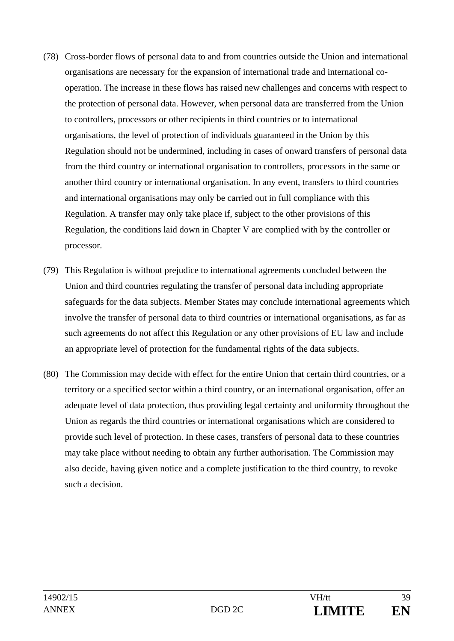- (78) Cross-border flows of personal data to and from countries outside the Union and international organisations are necessary for the expansion of international trade and international cooperation. The increase in these flows has raised new challenges and concerns with respect to the protection of personal data. However, when personal data are transferred from the Union to controllers, processors or other recipients in third countries or to international organisations, the level of protection of individuals guaranteed in the Union by this Regulation should not be undermined, including in cases of onward transfers of personal data from the third country or international organisation to controllers, processors in the same or another third country or international organisation. In any event, transfers to third countries and international organisations may only be carried out in full compliance with this Regulation. A transfer may only take place if, subject to the other provisions of this Regulation, the conditions laid down in Chapter V are complied with by the controller or processor.
- (79) This Regulation is without prejudice to international agreements concluded between the Union and third countries regulating the transfer of personal data including appropriate safeguards for the data subjects. Member States may conclude international agreements which involve the transfer of personal data to third countries or international organisations, as far as such agreements do not affect this Regulation or any other provisions of EU law and include an appropriate level of protection for the fundamental rights of the data subjects.
- (80) The Commission may decide with effect for the entire Union that certain third countries, or a territory or a specified sector within a third country, or an international organisation, offer an adequate level of data protection, thus providing legal certainty and uniformity throughout the Union as regards the third countries or international organisations which are considered to provide such level of protection. In these cases, transfers of personal data to these countries may take place without needing to obtain any further authorisation. The Commission may also decide, having given notice and a complete justification to the third country, to revoke such a decision.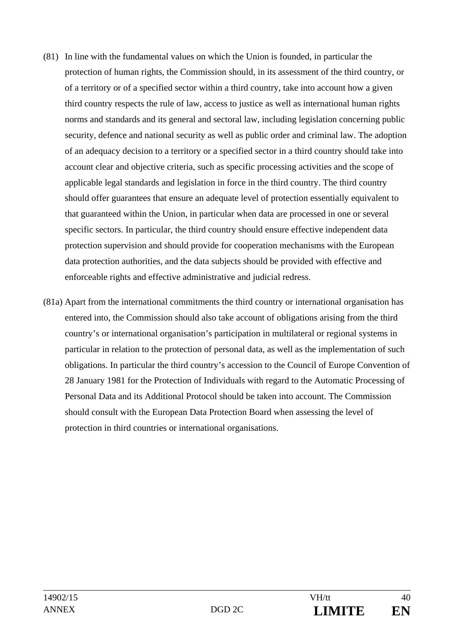- (81) In line with the fundamental values on which the Union is founded, in particular the protection of human rights, the Commission should, in its assessment of the third country, or of a territory or of a specified sector within a third country, take into account how a given third country respects the rule of law, access to justice as well as international human rights norms and standards and its general and sectoral law, including legislation concerning public security, defence and national security as well as public order and criminal law. The adoption of an adequacy decision to a territory or a specified sector in a third country should take into account clear and objective criteria, such as specific processing activities and the scope of applicable legal standards and legislation in force in the third country. The third country should offer guarantees that ensure an adequate level of protection essentially equivalent to that guaranteed within the Union, in particular when data are processed in one or several specific sectors. In particular, the third country should ensure effective independent data protection supervision and should provide for cooperation mechanisms with the European data protection authorities, and the data subjects should be provided with effective and enforceable rights and effective administrative and judicial redress.
- (81a) Apart from the international commitments the third country or international organisation has entered into, the Commission should also take account of obligations arising from the third country's or international organisation's participation in multilateral or regional systems in particular in relation to the protection of personal data, as well as the implementation of such obligations. In particular the third country's accession to the Council of Europe Convention of 28 January 1981 for the Protection of Individuals with regard to the Automatic Processing of Personal Data and its Additional Protocol should be taken into account. The Commission should consult with the European Data Protection Board when assessing the level of protection in third countries or international organisations.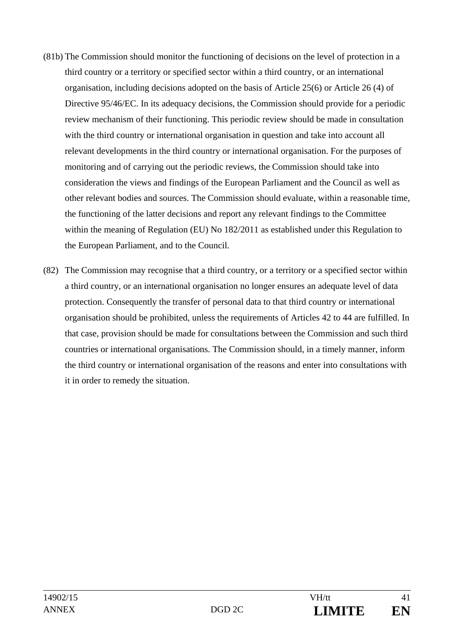- (81b) The Commission should monitor the functioning of decisions on the level of protection in a third country or a territory or specified sector within a third country, or an international organisation, including decisions adopted on the basis of Article 25(6) or Article 26 (4) of Directive 95/46/EC. In its adequacy decisions, the Commission should provide for a periodic review mechanism of their functioning. This periodic review should be made in consultation with the third country or international organisation in question and take into account all relevant developments in the third country or international organisation. For the purposes of monitoring and of carrying out the periodic reviews, the Commission should take into consideration the views and findings of the European Parliament and the Council as well as other relevant bodies and sources. The Commission should evaluate, within a reasonable time, the functioning of the latter decisions and report any relevant findings to the Committee within the meaning of Regulation (EU) No 182/2011 as established under this Regulation to the European Parliament, and to the Council.
- (82) The Commission may recognise that a third country, or a territory or a specified sector within a third country, or an international organisation no longer ensures an adequate level of data protection. Consequently the transfer of personal data to that third country or international organisation should be prohibited, unless the requirements of Articles 42 to 44 are fulfilled. In that case, provision should be made for consultations between the Commission and such third countries or international organisations. The Commission should, in a timely manner, inform the third country or international organisation of the reasons and enter into consultations with it in order to remedy the situation.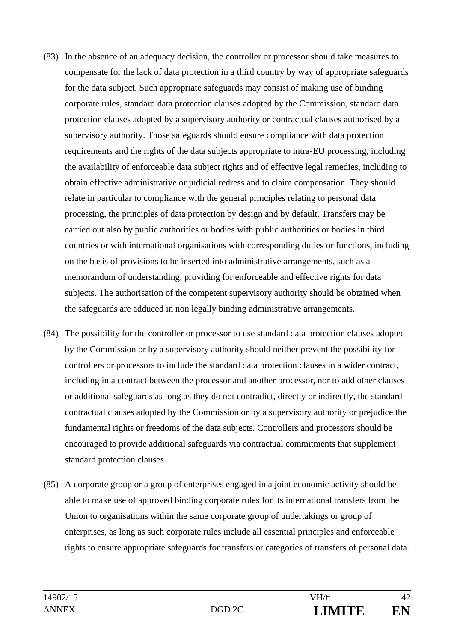- (83) In the absence of an adequacy decision, the controller or processor should take measures to compensate for the lack of data protection in a third country by way of appropriate safeguards for the data subject. Such appropriate safeguards may consist of making use of binding corporate rules, standard data protection clauses adopted by the Commission, standard data protection clauses adopted by a supervisory authority or contractual clauses authorised by a supervisory authority. Those safeguards should ensure compliance with data protection requirements and the rights of the data subjects appropriate to intra-EU processing, including the availability of enforceable data subject rights and of effective legal remedies, including to obtain effective administrative or judicial redress and to claim compensation. They should relate in particular to compliance with the general principles relating to personal data processing, the principles of data protection by design and by default. Transfers may be carried out also by public authorities or bodies with public authorities or bodies in third countries or with international organisations with corresponding duties or functions, including on the basis of provisions to be inserted into administrative arrangements, such as a memorandum of understanding, providing for enforceable and effective rights for data subjects. The authorisation of the competent supervisory authority should be obtained when the safeguards are adduced in non legally binding administrative arrangements.
- (84) The possibility for the controller or processor to use standard data protection clauses adopted by the Commission or by a supervisory authority should neither prevent the possibility for controllers or processors to include the standard data protection clauses in a wider contract, including in a contract between the processor and another processor, nor to add other clauses or additional safeguards as long as they do not contradict, directly or indirectly, the standard contractual clauses adopted by the Commission or by a supervisory authority or prejudice the fundamental rights or freedoms of the data subjects. Controllers and processors should be encouraged to provide additional safeguards via contractual commitments that supplement standard protection clauses.
- (85) A corporate group or a group of enterprises engaged in a joint economic activity should be able to make use of approved binding corporate rules for its international transfers from the Union to organisations within the same corporate group of undertakings or group of enterprises, as long as such corporate rules include all essential principles and enforceable rights to ensure appropriate safeguards for transfers or categories of transfers of personal data.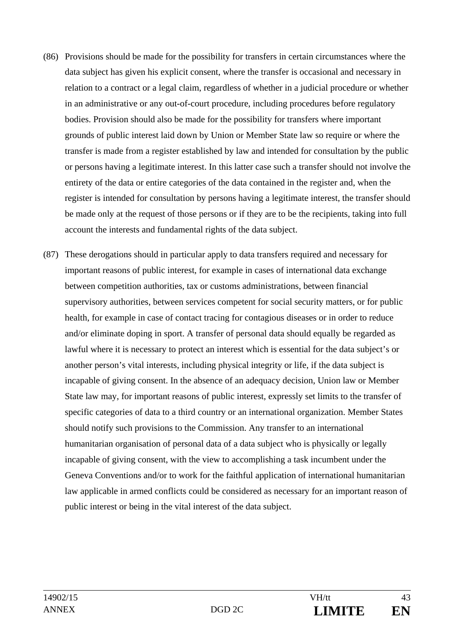- (86) Provisions should be made for the possibility for transfers in certain circumstances where the data subject has given his explicit consent, where the transfer is occasional and necessary in relation to a contract or a legal claim, regardless of whether in a judicial procedure or whether in an administrative or any out-of-court procedure, including procedures before regulatory bodies. Provision should also be made for the possibility for transfers where important grounds of public interest laid down by Union or Member State law so require or where the transfer is made from a register established by law and intended for consultation by the public or persons having a legitimate interest. In this latter case such a transfer should not involve the entirety of the data or entire categories of the data contained in the register and, when the register is intended for consultation by persons having a legitimate interest, the transfer should be made only at the request of those persons or if they are to be the recipients, taking into full account the interests and fundamental rights of the data subject.
- (87) These derogations should in particular apply to data transfers required and necessary for important reasons of public interest, for example in cases of international data exchange between competition authorities, tax or customs administrations, between financial supervisory authorities, between services competent for social security matters, or for public health, for example in case of contact tracing for contagious diseases or in order to reduce and/or eliminate doping in sport. A transfer of personal data should equally be regarded as lawful where it is necessary to protect an interest which is essential for the data subject's or another person's vital interests, including physical integrity or life, if the data subject is incapable of giving consent. In the absence of an adequacy decision, Union law or Member State law may, for important reasons of public interest, expressly set limits to the transfer of specific categories of data to a third country or an international organization. Member States should notify such provisions to the Commission. Any transfer to an international humanitarian organisation of personal data of a data subject who is physically or legally incapable of giving consent, with the view to accomplishing a task incumbent under the Geneva Conventions and/or to work for the faithful application of international humanitarian law applicable in armed conflicts could be considered as necessary for an important reason of public interest or being in the vital interest of the data subject.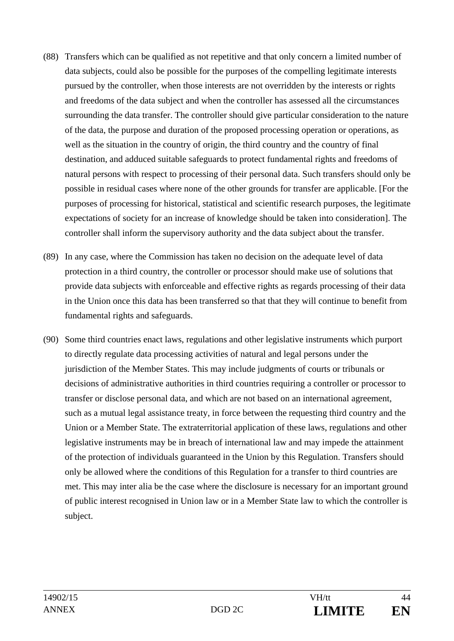- (88) Transfers which can be qualified as not repetitive and that only concern a limited number of data subjects, could also be possible for the purposes of the compelling legitimate interests pursued by the controller, when those interests are not overridden by the interests or rights and freedoms of the data subject and when the controller has assessed all the circumstances surrounding the data transfer. The controller should give particular consideration to the nature of the data, the purpose and duration of the proposed processing operation or operations, as well as the situation in the country of origin, the third country and the country of final destination, and adduced suitable safeguards to protect fundamental rights and freedoms of natural persons with respect to processing of their personal data. Such transfers should only be possible in residual cases where none of the other grounds for transfer are applicable. [For the purposes of processing for historical, statistical and scientific research purposes, the legitimate expectations of society for an increase of knowledge should be taken into consideration]. The controller shall inform the supervisory authority and the data subject about the transfer.
- (89) In any case, where the Commission has taken no decision on the adequate level of data protection in a third country, the controller or processor should make use of solutions that provide data subjects with enforceable and effective rights as regards processing of their data in the Union once this data has been transferred so that that they will continue to benefit from fundamental rights and safeguards.
- (90) Some third countries enact laws, regulations and other legislative instruments which purport to directly regulate data processing activities of natural and legal persons under the jurisdiction of the Member States. This may include judgments of courts or tribunals or decisions of administrative authorities in third countries requiring a controller or processor to transfer or disclose personal data, and which are not based on an international agreement, such as a mutual legal assistance treaty, in force between the requesting third country and the Union or a Member State. The extraterritorial application of these laws, regulations and other legislative instruments may be in breach of international law and may impede the attainment of the protection of individuals guaranteed in the Union by this Regulation. Transfers should only be allowed where the conditions of this Regulation for a transfer to third countries are met. This may inter alia be the case where the disclosure is necessary for an important ground of public interest recognised in Union law or in a Member State law to which the controller is subject.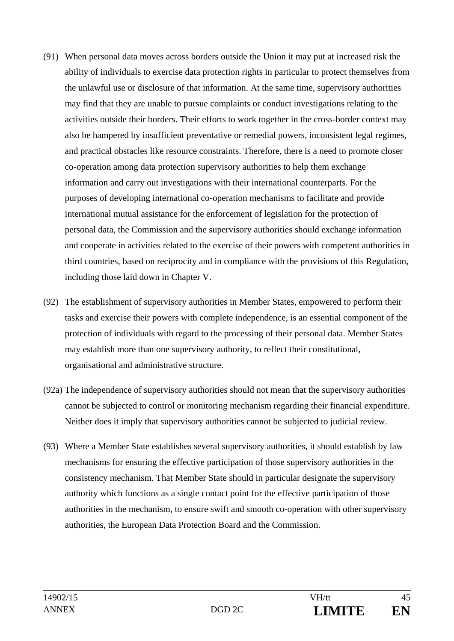- (91) When personal data moves across borders outside the Union it may put at increased risk the ability of individuals to exercise data protection rights in particular to protect themselves from the unlawful use or disclosure of that information. At the same time, supervisory authorities may find that they are unable to pursue complaints or conduct investigations relating to the activities outside their borders. Their efforts to work together in the cross-border context may also be hampered by insufficient preventative or remedial powers, inconsistent legal regimes, and practical obstacles like resource constraints. Therefore, there is a need to promote closer co-operation among data protection supervisory authorities to help them exchange information and carry out investigations with their international counterparts. For the purposes of developing international co-operation mechanisms to facilitate and provide international mutual assistance for the enforcement of legislation for the protection of personal data, the Commission and the supervisory authorities should exchange information and cooperate in activities related to the exercise of their powers with competent authorities in third countries, based on reciprocity and in compliance with the provisions of this Regulation, including those laid down in Chapter V.
- (92) The establishment of supervisory authorities in Member States, empowered to perform their tasks and exercise their powers with complete independence, is an essential component of the protection of individuals with regard to the processing of their personal data. Member States may establish more than one supervisory authority, to reflect their constitutional, organisational and administrative structure.
- (92a) The independence of supervisory authorities should not mean that the supervisory authorities cannot be subjected to control or monitoring mechanism regarding their financial expenditure. Neither does it imply that supervisory authorities cannot be subjected to judicial review.
- (93) Where a Member State establishes several supervisory authorities, it should establish by law mechanisms for ensuring the effective participation of those supervisory authorities in the consistency mechanism. That Member State should in particular designate the supervisory authority which functions as a single contact point for the effective participation of those authorities in the mechanism, to ensure swift and smooth co-operation with other supervisory authorities, the European Data Protection Board and the Commission.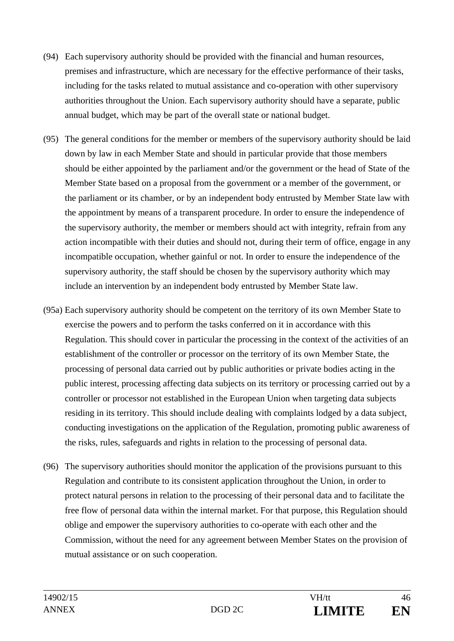- (94) Each supervisory authority should be provided with the financial and human resources, premises and infrastructure, which are necessary for the effective performance of their tasks, including for the tasks related to mutual assistance and co-operation with other supervisory authorities throughout the Union. Each supervisory authority should have a separate, public annual budget, which may be part of the overall state or national budget.
- (95) The general conditions for the member or members of the supervisory authority should be laid down by law in each Member State and should in particular provide that those members should be either appointed by the parliament and/or the government or the head of State of the Member State based on a proposal from the government or a member of the government, or the parliament or its chamber, or by an independent body entrusted by Member State law with the appointment by means of a transparent procedure. In order to ensure the independence of the supervisory authority, the member or members should act with integrity, refrain from any action incompatible with their duties and should not, during their term of office, engage in any incompatible occupation, whether gainful or not. In order to ensure the independence of the supervisory authority, the staff should be chosen by the supervisory authority which may include an intervention by an independent body entrusted by Member State law.
- (95a) Each supervisory authority should be competent on the territory of its own Member State to exercise the powers and to perform the tasks conferred on it in accordance with this Regulation. This should cover in particular the processing in the context of the activities of an establishment of the controller or processor on the territory of its own Member State, the processing of personal data carried out by public authorities or private bodies acting in the public interest, processing affecting data subjects on its territory or processing carried out by a controller or processor not established in the European Union when targeting data subjects residing in its territory. This should include dealing with complaints lodged by a data subject, conducting investigations on the application of the Regulation, promoting public awareness of the risks, rules, safeguards and rights in relation to the processing of personal data.
- (96) The supervisory authorities should monitor the application of the provisions pursuant to this Regulation and contribute to its consistent application throughout the Union, in order to protect natural persons in relation to the processing of their personal data and to facilitate the free flow of personal data within the internal market. For that purpose, this Regulation should oblige and empower the supervisory authorities to co-operate with each other and the Commission, without the need for any agreement between Member States on the provision of mutual assistance or on such cooperation.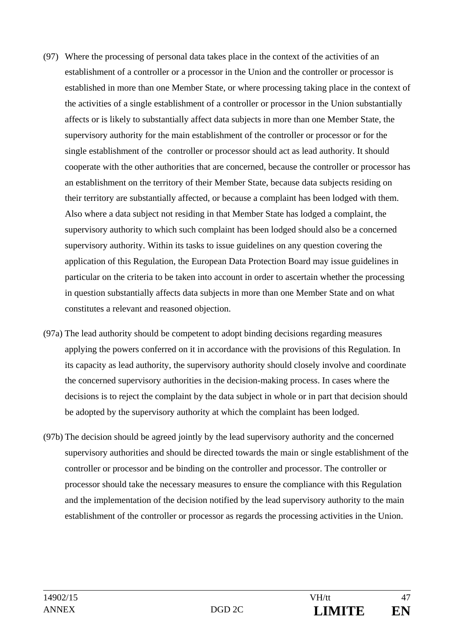- (97) Where the processing of personal data takes place in the context of the activities of an establishment of a controller or a processor in the Union and the controller or processor is established in more than one Member State, or where processing taking place in the context of the activities of a single establishment of a controller or processor in the Union substantially affects or is likely to substantially affect data subjects in more than one Member State, the supervisory authority for the main establishment of the controller or processor or for the single establishment of the controller or processor should act as lead authority. It should cooperate with the other authorities that are concerned, because the controller or processor has an establishment on the territory of their Member State, because data subjects residing on their territory are substantially affected, or because a complaint has been lodged with them. Also where a data subject not residing in that Member State has lodged a complaint, the supervisory authority to which such complaint has been lodged should also be a concerned supervisory authority. Within its tasks to issue guidelines on any question covering the application of this Regulation, the European Data Protection Board may issue guidelines in particular on the criteria to be taken into account in order to ascertain whether the processing in question substantially affects data subjects in more than one Member State and on what constitutes a relevant and reasoned objection.
- (97a) The lead authority should be competent to adopt binding decisions regarding measures applying the powers conferred on it in accordance with the provisions of this Regulation. In its capacity as lead authority, the supervisory authority should closely involve and coordinate the concerned supervisory authorities in the decision-making process. In cases where the decisions is to reject the complaint by the data subject in whole or in part that decision should be adopted by the supervisory authority at which the complaint has been lodged.
- (97b) The decision should be agreed jointly by the lead supervisory authority and the concerned supervisory authorities and should be directed towards the main or single establishment of the controller or processor and be binding on the controller and processor. The controller or processor should take the necessary measures to ensure the compliance with this Regulation and the implementation of the decision notified by the lead supervisory authority to the main establishment of the controller or processor as regards the processing activities in the Union.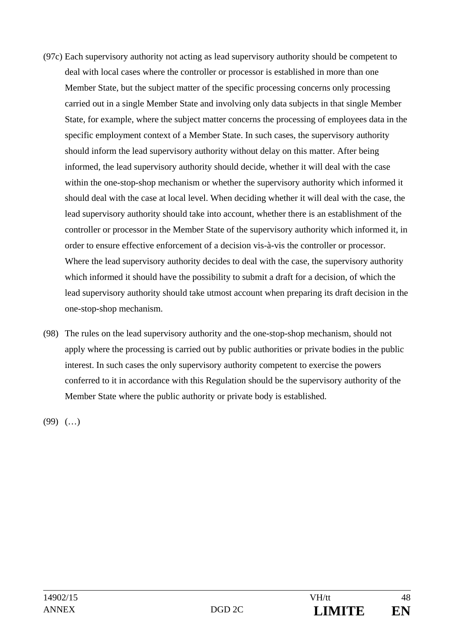- (97c) Each supervisory authority not acting as lead supervisory authority should be competent to deal with local cases where the controller or processor is established in more than one Member State, but the subject matter of the specific processing concerns only processing carried out in a single Member State and involving only data subjects in that single Member State, for example, where the subject matter concerns the processing of employees data in the specific employment context of a Member State. In such cases, the supervisory authority should inform the lead supervisory authority without delay on this matter. After being informed, the lead supervisory authority should decide, whether it will deal with the case within the one-stop-shop mechanism or whether the supervisory authority which informed it should deal with the case at local level. When deciding whether it will deal with the case, the lead supervisory authority should take into account, whether there is an establishment of the controller or processor in the Member State of the supervisory authority which informed it, in order to ensure effective enforcement of a decision vis-à-vis the controller or processor. Where the lead supervisory authority decides to deal with the case, the supervisory authority which informed it should have the possibility to submit a draft for a decision, of which the lead supervisory authority should take utmost account when preparing its draft decision in the one-stop-shop mechanism.
- (98) The rules on the lead supervisory authority and the one-stop-shop mechanism, should not apply where the processing is carried out by public authorities or private bodies in the public interest. In such cases the only supervisory authority competent to exercise the powers conferred to it in accordance with this Regulation should be the supervisory authority of the Member State where the public authority or private body is established.

 $(99)$   $($ ...)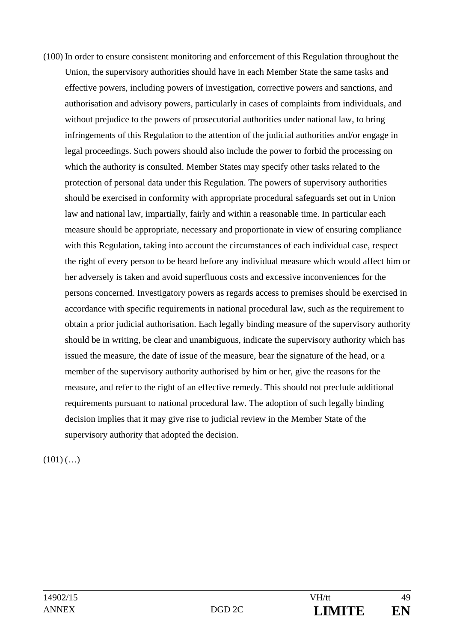(100) In order to ensure consistent monitoring and enforcement of this Regulation throughout the Union, the supervisory authorities should have in each Member State the same tasks and effective powers, including powers of investigation, corrective powers and sanctions, and authorisation and advisory powers, particularly in cases of complaints from individuals, and without prejudice to the powers of prosecutorial authorities under national law, to bring infringements of this Regulation to the attention of the judicial authorities and/or engage in legal proceedings. Such powers should also include the power to forbid the processing on which the authority is consulted. Member States may specify other tasks related to the protection of personal data under this Regulation. The powers of supervisory authorities should be exercised in conformity with appropriate procedural safeguards set out in Union law and national law, impartially, fairly and within a reasonable time. In particular each measure should be appropriate, necessary and proportionate in view of ensuring compliance with this Regulation, taking into account the circumstances of each individual case, respect the right of every person to be heard before any individual measure which would affect him or her adversely is taken and avoid superfluous costs and excessive inconveniences for the persons concerned. Investigatory powers as regards access to premises should be exercised in accordance with specific requirements in national procedural law, such as the requirement to obtain a prior judicial authorisation. Each legally binding measure of the supervisory authority should be in writing, be clear and unambiguous, indicate the supervisory authority which has issued the measure, the date of issue of the measure, bear the signature of the head, or a member of the supervisory authority authorised by him or her, give the reasons for the measure, and refer to the right of an effective remedy. This should not preclude additional requirements pursuant to national procedural law. The adoption of such legally binding decision implies that it may give rise to judicial review in the Member State of the supervisory authority that adopted the decision.

 $(101)$  (...)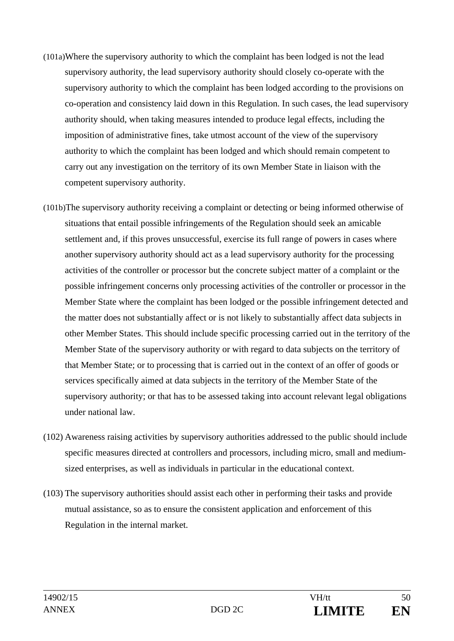- (101a)Where the supervisory authority to which the complaint has been lodged is not the lead supervisory authority, the lead supervisory authority should closely co-operate with the supervisory authority to which the complaint has been lodged according to the provisions on co-operation and consistency laid down in this Regulation. In such cases, the lead supervisory authority should, when taking measures intended to produce legal effects, including the imposition of administrative fines, take utmost account of the view of the supervisory authority to which the complaint has been lodged and which should remain competent to carry out any investigation on the territory of its own Member State in liaison with the competent supervisory authority.
- (101b)The supervisory authority receiving a complaint or detecting or being informed otherwise of situations that entail possible infringements of the Regulation should seek an amicable settlement and, if this proves unsuccessful, exercise its full range of powers in cases where another supervisory authority should act as a lead supervisory authority for the processing activities of the controller or processor but the concrete subject matter of a complaint or the possible infringement concerns only processing activities of the controller or processor in the Member State where the complaint has been lodged or the possible infringement detected and the matter does not substantially affect or is not likely to substantially affect data subjects in other Member States. This should include specific processing carried out in the territory of the Member State of the supervisory authority or with regard to data subjects on the territory of that Member State; or to processing that is carried out in the context of an offer of goods or services specifically aimed at data subjects in the territory of the Member State of the supervisory authority; or that has to be assessed taking into account relevant legal obligations under national law.
- (102) Awareness raising activities by supervisory authorities addressed to the public should include specific measures directed at controllers and processors, including micro, small and mediumsized enterprises, as well as individuals in particular in the educational context.
- (103) The supervisory authorities should assist each other in performing their tasks and provide mutual assistance, so as to ensure the consistent application and enforcement of this Regulation in the internal market.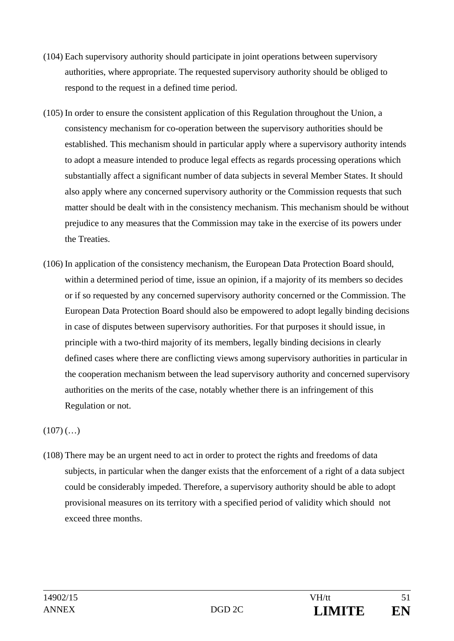- (104) Each supervisory authority should participate in joint operations between supervisory authorities, where appropriate. The requested supervisory authority should be obliged to respond to the request in a defined time period.
- (105) In order to ensure the consistent application of this Regulation throughout the Union, a consistency mechanism for co-operation between the supervisory authorities should be established. This mechanism should in particular apply where a supervisory authority intends to adopt a measure intended to produce legal effects as regards processing operations which substantially affect a significant number of data subjects in several Member States. It should also apply where any concerned supervisory authority or the Commission requests that such matter should be dealt with in the consistency mechanism. This mechanism should be without prejudice to any measures that the Commission may take in the exercise of its powers under the Treaties.
- (106) In application of the consistency mechanism, the European Data Protection Board should, within a determined period of time, issue an opinion, if a majority of its members so decides or if so requested by any concerned supervisory authority concerned or the Commission. The European Data Protection Board should also be empowered to adopt legally binding decisions in case of disputes between supervisory authorities. For that purposes it should issue, in principle with a two-third majority of its members, legally binding decisions in clearly defined cases where there are conflicting views among supervisory authorities in particular in the cooperation mechanism between the lead supervisory authority and concerned supervisory authorities on the merits of the case, notably whether there is an infringement of this Regulation or not.

## $(107)$  (...)

(108) There may be an urgent need to act in order to protect the rights and freedoms of data subjects, in particular when the danger exists that the enforcement of a right of a data subject could be considerably impeded. Therefore, a supervisory authority should be able to adopt provisional measures on its territory with a specified period of validity which should not exceed three months.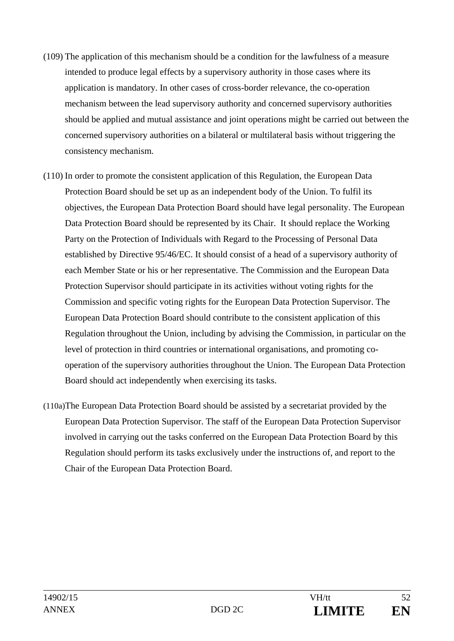- (109) The application of this mechanism should be a condition for the lawfulness of a measure intended to produce legal effects by a supervisory authority in those cases where its application is mandatory. In other cases of cross-border relevance, the co-operation mechanism between the lead supervisory authority and concerned supervisory authorities should be applied and mutual assistance and joint operations might be carried out between the concerned supervisory authorities on a bilateral or multilateral basis without triggering the consistency mechanism.
- (110) In order to promote the consistent application of this Regulation, the European Data Protection Board should be set up as an independent body of the Union. To fulfil its objectives, the European Data Protection Board should have legal personality. The European Data Protection Board should be represented by its Chair. It should replace the Working Party on the Protection of Individuals with Regard to the Processing of Personal Data established by Directive 95/46/EC. It should consist of a head of a supervisory authority of each Member State or his or her representative. The Commission and the European Data Protection Supervisor should participate in its activities without voting rights for the Commission and specific voting rights for the European Data Protection Supervisor. The European Data Protection Board should contribute to the consistent application of this Regulation throughout the Union, including by advising the Commission, in particular on the level of protection in third countries or international organisations, and promoting cooperation of the supervisory authorities throughout the Union. The European Data Protection Board should act independently when exercising its tasks.
- (110a)The European Data Protection Board should be assisted by a secretariat provided by the European Data Protection Supervisor. The staff of the European Data Protection Supervisor involved in carrying out the tasks conferred on the European Data Protection Board by this Regulation should perform its tasks exclusively under the instructions of, and report to the Chair of the European Data Protection Board.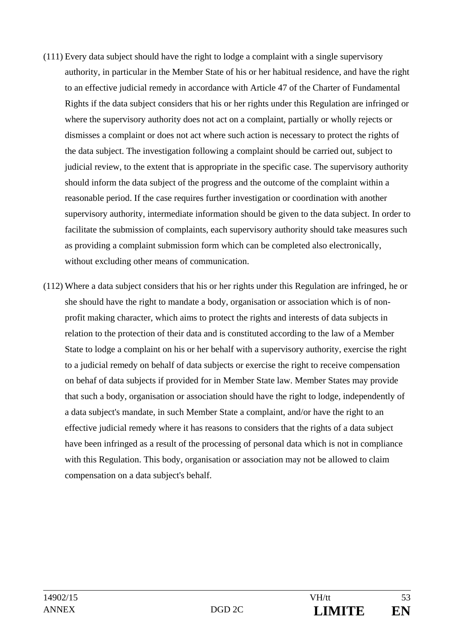- (111) Every data subject should have the right to lodge a complaint with a single supervisory authority, in particular in the Member State of his or her habitual residence, and have the right to an effective judicial remedy in accordance with Article 47 of the Charter of Fundamental Rights if the data subject considers that his or her rights under this Regulation are infringed or where the supervisory authority does not act on a complaint, partially or wholly rejects or dismisses a complaint or does not act where such action is necessary to protect the rights of the data subject. The investigation following a complaint should be carried out, subject to judicial review, to the extent that is appropriate in the specific case. The supervisory authority should inform the data subject of the progress and the outcome of the complaint within a reasonable period. If the case requires further investigation or coordination with another supervisory authority, intermediate information should be given to the data subject. In order to facilitate the submission of complaints, each supervisory authority should take measures such as providing a complaint submission form which can be completed also electronically, without excluding other means of communication.
- (112) Where a data subject considers that his or her rights under this Regulation are infringed, he or she should have the right to mandate a body, organisation or association which is of nonprofit making character, which aims to protect the rights and interests of data subjects in relation to the protection of their data and is constituted according to the law of a Member State to lodge a complaint on his or her behalf with a supervisory authority, exercise the right to a judicial remedy on behalf of data subjects or exercise the right to receive compensation on behaf of data subjects if provided for in Member State law. Member States may provide that such a body, organisation or association should have the right to lodge, independently of a data subject's mandate, in such Member State a complaint, and/or have the right to an effective judicial remedy where it has reasons to considers that the rights of a data subject have been infringed as a result of the processing of personal data which is not in compliance with this Regulation. This body, organisation or association may not be allowed to claim compensation on a data subject's behalf.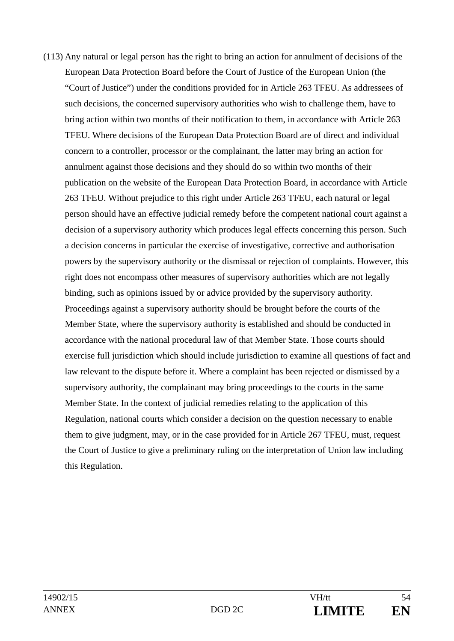(113) Any natural or legal person has the right to bring an action for annulment of decisions of the European Data Protection Board before the Court of Justice of the European Union (the "Court of Justice") under the conditions provided for in Article 263 TFEU. As addressees of such decisions, the concerned supervisory authorities who wish to challenge them, have to bring action within two months of their notification to them, in accordance with Article 263 TFEU. Where decisions of the European Data Protection Board are of direct and individual concern to a controller, processor or the complainant, the latter may bring an action for annulment against those decisions and they should do so within two months of their publication on the website of the European Data Protection Board, in accordance with Article 263 TFEU. Without prejudice to this right under Article 263 TFEU, each natural or legal person should have an effective judicial remedy before the competent national court against a decision of a supervisory authority which produces legal effects concerning this person. Such a decision concerns in particular the exercise of investigative, corrective and authorisation powers by the supervisory authority or the dismissal or rejection of complaints. However, this right does not encompass other measures of supervisory authorities which are not legally binding, such as opinions issued by or advice provided by the supervisory authority. Proceedings against a supervisory authority should be brought before the courts of the Member State, where the supervisory authority is established and should be conducted in accordance with the national procedural law of that Member State. Those courts should exercise full jurisdiction which should include jurisdiction to examine all questions of fact and law relevant to the dispute before it. Where a complaint has been rejected or dismissed by a supervisory authority, the complainant may bring proceedings to the courts in the same Member State. In the context of judicial remedies relating to the application of this Regulation, national courts which consider a decision on the question necessary to enable them to give judgment, may, or in the case provided for in Article 267 TFEU, must, request the Court of Justice to give a preliminary ruling on the interpretation of Union law including this Regulation.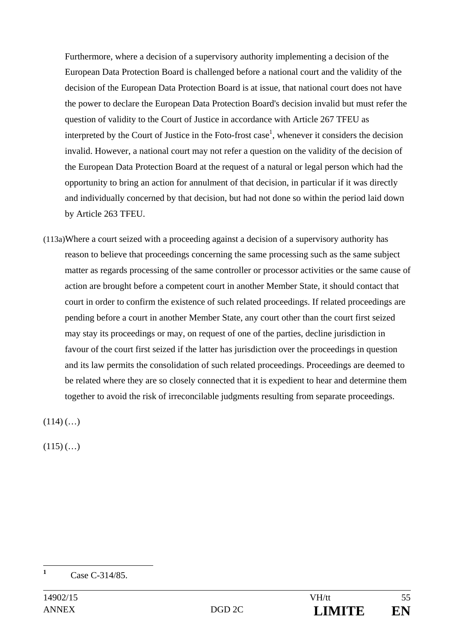Furthermore, where a decision of a supervisory authority implementing a decision of the European Data Protection Board is challenged before a national court and the validity of the decision of the European Data Protection Board is at issue, that national court does not have the power to declare the European Data Protection Board's decision invalid but must refer the question of validity to the Court of Justice in accordance with Article 267 TFEU as interpreted by the Court of Justice in the Foto-frost case<sup>1</sup>, whenever it considers the decision invalid. However, a national court may not refer a question on the validity of the decision of the European Data Protection Board at the request of a natural or legal person which had the opportunity to bring an action for annulment of that decision, in particular if it was directly and individually concerned by that decision, but had not done so within the period laid down by Article 263 TFEU.

(113a)Where a court seized with a proceeding against a decision of a supervisory authority has reason to believe that proceedings concerning the same processing such as the same subject matter as regards processing of the same controller or processor activities or the same cause of action are brought before a competent court in another Member State, it should contact that court in order to confirm the existence of such related proceedings. If related proceedings are pending before a court in another Member State, any court other than the court first seized may stay its proceedings or may, on request of one of the parties, decline jurisdiction in favour of the court first seized if the latter has jurisdiction over the proceedings in question and its law permits the consolidation of such related proceedings. Proceedings are deemed to be related where they are so closely connected that it is expedient to hear and determine them together to avoid the risk of irreconcilable judgments resulting from separate proceedings.

 $(114)$  (...)

 $(115)$  (...)

**1**

Case C-314/85.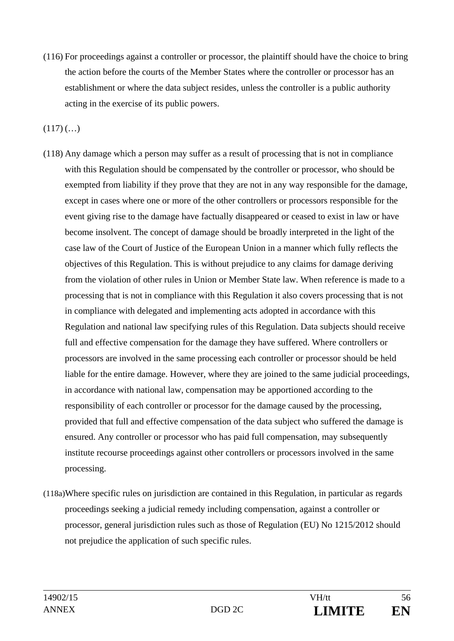(116) For proceedings against a controller or processor, the plaintiff should have the choice to bring the action before the courts of the Member States where the controller or processor has an establishment or where the data subject resides, unless the controller is a public authority acting in the exercise of its public powers.

 $(117)(...)$ 

- (118) Any damage which a person may suffer as a result of processing that is not in compliance with this Regulation should be compensated by the controller or processor, who should be exempted from liability if they prove that they are not in any way responsible for the damage, except in cases where one or more of the other controllers or processors responsible for the event giving rise to the damage have factually disappeared or ceased to exist in law or have become insolvent. The concept of damage should be broadly interpreted in the light of the case law of the Court of Justice of the European Union in a manner which fully reflects the objectives of this Regulation. This is without prejudice to any claims for damage deriving from the violation of other rules in Union or Member State law. When reference is made to a processing that is not in compliance with this Regulation it also covers processing that is not in compliance with delegated and implementing acts adopted in accordance with this Regulation and national law specifying rules of this Regulation. Data subjects should receive full and effective compensation for the damage they have suffered. Where controllers or processors are involved in the same processing each controller or processor should be held liable for the entire damage. However, where they are joined to the same judicial proceedings, in accordance with national law, compensation may be apportioned according to the responsibility of each controller or processor for the damage caused by the processing, provided that full and effective compensation of the data subject who suffered the damage is ensured. Any controller or processor who has paid full compensation, may subsequently institute recourse proceedings against other controllers or processors involved in the same processing.
- (118a)Where specific rules on jurisdiction are contained in this Regulation, in particular as regards proceedings seeking a judicial remedy including compensation, against a controller or processor, general jurisdiction rules such as those of Regulation (EU) No 1215/2012 should not prejudice the application of such specific rules.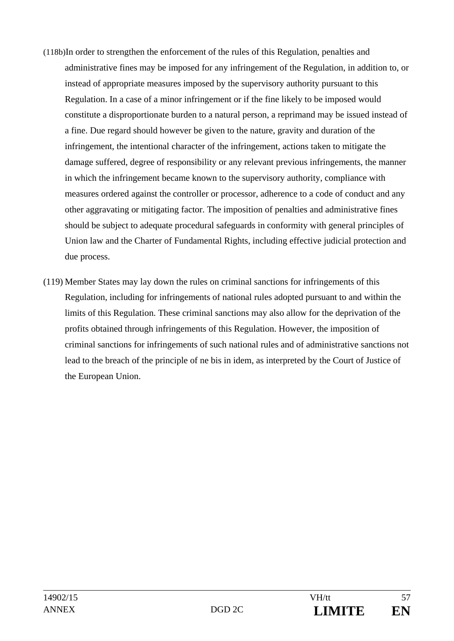- (118b)In order to strengthen the enforcement of the rules of this Regulation, penalties and administrative fines may be imposed for any infringement of the Regulation, in addition to, or instead of appropriate measures imposed by the supervisory authority pursuant to this Regulation. In a case of a minor infringement or if the fine likely to be imposed would constitute a disproportionate burden to a natural person, a reprimand may be issued instead of a fine. Due regard should however be given to the nature, gravity and duration of the infringement, the intentional character of the infringement, actions taken to mitigate the damage suffered, degree of responsibility or any relevant previous infringements, the manner in which the infringement became known to the supervisory authority, compliance with measures ordered against the controller or processor, adherence to a code of conduct and any other aggravating or mitigating factor. The imposition of penalties and administrative fines should be subject to adequate procedural safeguards in conformity with general principles of Union law and the Charter of Fundamental Rights, including effective judicial protection and due process.
- (119) Member States may lay down the rules on criminal sanctions for infringements of this Regulation, including for infringements of national rules adopted pursuant to and within the limits of this Regulation. These criminal sanctions may also allow for the deprivation of the profits obtained through infringements of this Regulation. However, the imposition of criminal sanctions for infringements of such national rules and of administrative sanctions not lead to the breach of the principle of ne bis in idem, as interpreted by the Court of Justice of the European Union.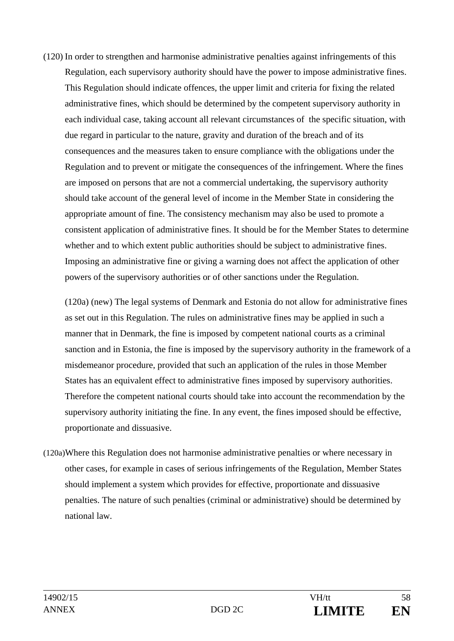(120) In order to strengthen and harmonise administrative penalties against infringements of this Regulation, each supervisory authority should have the power to impose administrative fines. This Regulation should indicate offences, the upper limit and criteria for fixing the related administrative fines, which should be determined by the competent supervisory authority in each individual case, taking account all relevant circumstances of the specific situation, with due regard in particular to the nature, gravity and duration of the breach and of its consequences and the measures taken to ensure compliance with the obligations under the Regulation and to prevent or mitigate the consequences of the infringement. Where the fines are imposed on persons that are not a commercial undertaking, the supervisory authority should take account of the general level of income in the Member State in considering the appropriate amount of fine. The consistency mechanism may also be used to promote a consistent application of administrative fines. It should be for the Member States to determine whether and to which extent public authorities should be subject to administrative fines. Imposing an administrative fine or giving a warning does not affect the application of other powers of the supervisory authorities or of other sanctions under the Regulation.

(120a) (new) The legal systems of Denmark and Estonia do not allow for administrative fines as set out in this Regulation. The rules on administrative fines may be applied in such a manner that in Denmark, the fine is imposed by competent national courts as a criminal sanction and in Estonia, the fine is imposed by the supervisory authority in the framework of a misdemeanor procedure, provided that such an application of the rules in those Member States has an equivalent effect to administrative fines imposed by supervisory authorities. Therefore the competent national courts should take into account the recommendation by the supervisory authority initiating the fine. In any event, the fines imposed should be effective, proportionate and dissuasive.

(120a)Where this Regulation does not harmonise administrative penalties or where necessary in other cases, for example in cases of serious infringements of the Regulation, Member States should implement a system which provides for effective, proportionate and dissuasive penalties. The nature of such penalties (criminal or administrative) should be determined by national law.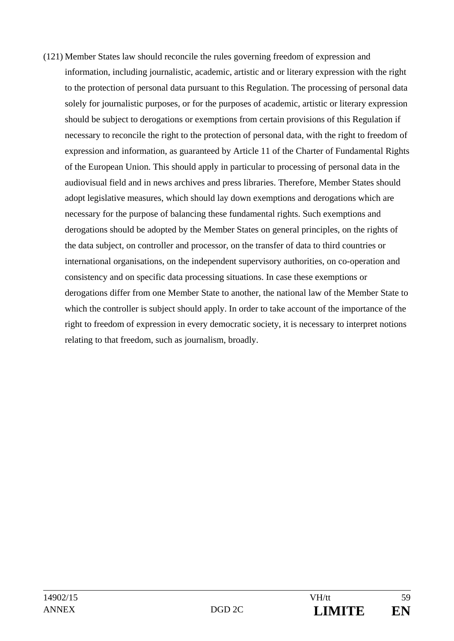(121) Member States law should reconcile the rules governing freedom of expression and information, including journalistic, academic, artistic and or literary expression with the right to the protection of personal data pursuant to this Regulation. The processing of personal data solely for journalistic purposes, or for the purposes of academic, artistic or literary expression should be subject to derogations or exemptions from certain provisions of this Regulation if necessary to reconcile the right to the protection of personal data, with the right to freedom of expression and information, as guaranteed by Article 11 of the Charter of Fundamental Rights of the European Union. This should apply in particular to processing of personal data in the audiovisual field and in news archives and press libraries. Therefore, Member States should adopt legislative measures, which should lay down exemptions and derogations which are necessary for the purpose of balancing these fundamental rights. Such exemptions and derogations should be adopted by the Member States on general principles, on the rights of the data subject, on controller and processor, on the transfer of data to third countries or international organisations, on the independent supervisory authorities, on co-operation and consistency and on specific data processing situations. In case these exemptions or derogations differ from one Member State to another, the national law of the Member State to which the controller is subject should apply. In order to take account of the importance of the right to freedom of expression in every democratic society, it is necessary to interpret notions relating to that freedom, such as journalism, broadly.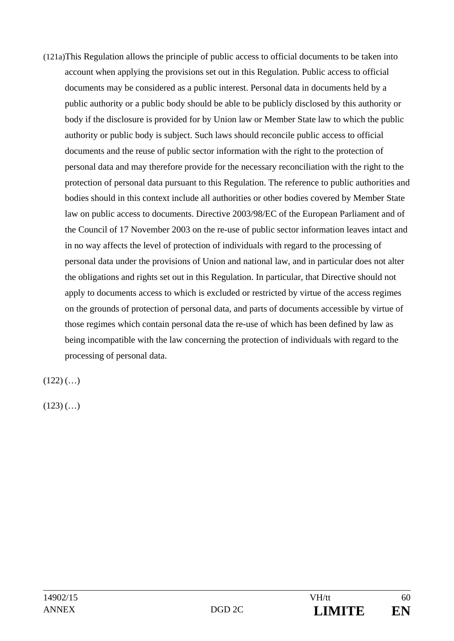(121a)This Regulation allows the principle of public access to official documents to be taken into account when applying the provisions set out in this Regulation. Public access to official documents may be considered as a public interest. Personal data in documents held by a public authority or a public body should be able to be publicly disclosed by this authority or body if the disclosure is provided for by Union law or Member State law to which the public authority or public body is subject. Such laws should reconcile public access to official documents and the reuse of public sector information with the right to the protection of personal data and may therefore provide for the necessary reconciliation with the right to the protection of personal data pursuant to this Regulation. The reference to public authorities and bodies should in this context include all authorities or other bodies covered by Member State law on public access to documents. Directive 2003/98/EC of the European Parliament and of the Council of 17 November 2003 on the re-use of public sector information leaves intact and in no way affects the level of protection of individuals with regard to the processing of personal data under the provisions of Union and national law, and in particular does not alter the obligations and rights set out in this Regulation. In particular, that Directive should not apply to documents access to which is excluded or restricted by virtue of the access regimes on the grounds of protection of personal data, and parts of documents accessible by virtue of those regimes which contain personal data the re-use of which has been defined by law as being incompatible with the law concerning the protection of individuals with regard to the processing of personal data.

 $(122)$  (...)

 $(123)$  (...)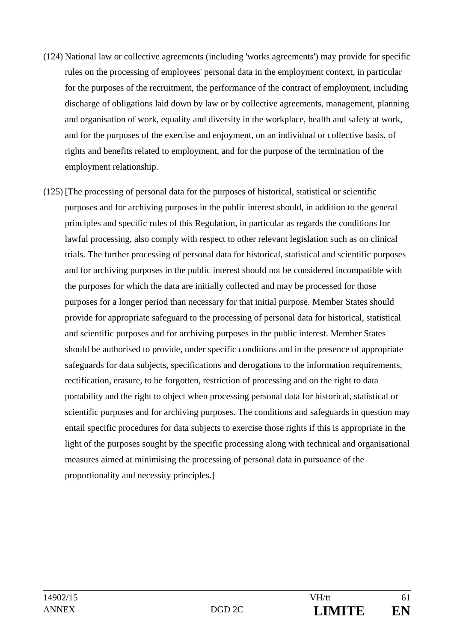- (124) National law or collective agreements (including 'works agreements') may provide for specific rules on the processing of employees' personal data in the employment context, in particular for the purposes of the recruitment, the performance of the contract of employment, including discharge of obligations laid down by law or by collective agreements, management, planning and organisation of work, equality and diversity in the workplace, health and safety at work, and for the purposes of the exercise and enjoyment, on an individual or collective basis, of rights and benefits related to employment, and for the purpose of the termination of the employment relationship.
- (125) [The processing of personal data for the purposes of historical, statistical or scientific purposes and for archiving purposes in the public interest should, in addition to the general principles and specific rules of this Regulation, in particular as regards the conditions for lawful processing, also comply with respect to other relevant legislation such as on clinical trials. The further processing of personal data for historical, statistical and scientific purposes and for archiving purposes in the public interest should not be considered incompatible with the purposes for which the data are initially collected and may be processed for those purposes for a longer period than necessary for that initial purpose. Member States should provide for appropriate safeguard to the processing of personal data for historical, statistical and scientific purposes and for archiving purposes in the public interest. Member States should be authorised to provide, under specific conditions and in the presence of appropriate safeguards for data subjects, specifications and derogations to the information requirements, rectification, erasure, to be forgotten, restriction of processing and on the right to data portability and the right to object when processing personal data for historical, statistical or scientific purposes and for archiving purposes. The conditions and safeguards in question may entail specific procedures for data subjects to exercise those rights if this is appropriate in the light of the purposes sought by the specific processing along with technical and organisational measures aimed at minimising the processing of personal data in pursuance of the proportionality and necessity principles.]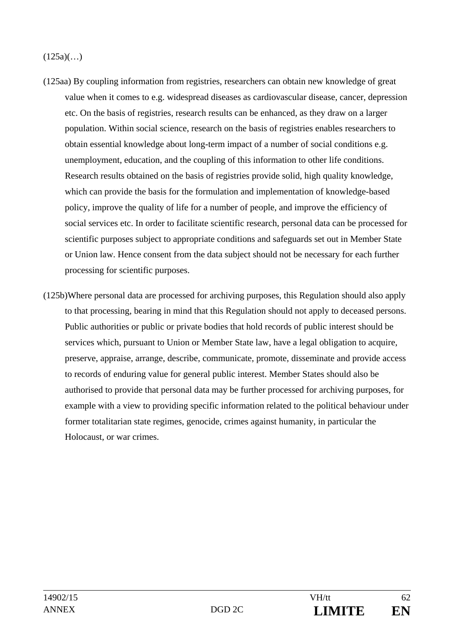#### $(125a)(...)$

- (125aa) By coupling information from registries, researchers can obtain new knowledge of great value when it comes to e.g. widespread diseases as cardiovascular disease, cancer, depression etc. On the basis of registries, research results can be enhanced, as they draw on a larger population. Within social science, research on the basis of registries enables researchers to obtain essential knowledge about long-term impact of a number of social conditions e.g. unemployment, education, and the coupling of this information to other life conditions. Research results obtained on the basis of registries provide solid, high quality knowledge, which can provide the basis for the formulation and implementation of knowledge-based policy, improve the quality of life for a number of people, and improve the efficiency of social services etc. In order to facilitate scientific research, personal data can be processed for scientific purposes subject to appropriate conditions and safeguards set out in Member State or Union law. Hence consent from the data subject should not be necessary for each further processing for scientific purposes.
- (125b)Where personal data are processed for archiving purposes, this Regulation should also apply to that processing, bearing in mind that this Regulation should not apply to deceased persons. Public authorities or public or private bodies that hold records of public interest should be services which, pursuant to Union or Member State law, have a legal obligation to acquire, preserve, appraise, arrange, describe, communicate, promote, disseminate and provide access to records of enduring value for general public interest. Member States should also be authorised to provide that personal data may be further processed for archiving purposes, for example with a view to providing specific information related to the political behaviour under former totalitarian state regimes, genocide, crimes against humanity, in particular the Holocaust, or war crimes.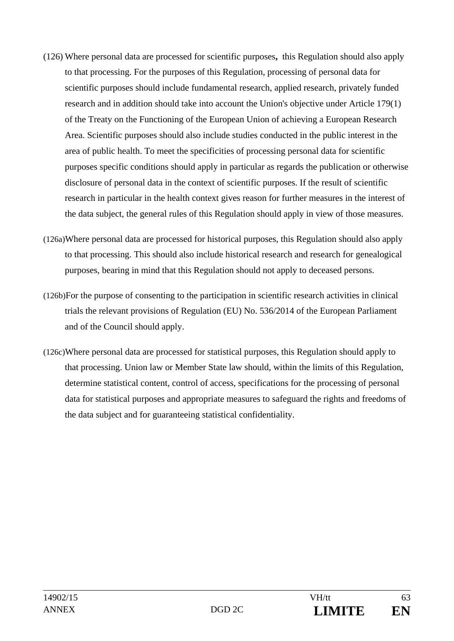- (126) Where personal data are processed for scientific purposes**,** this Regulation should also apply to that processing. For the purposes of this Regulation, processing of personal data for scientific purposes should include fundamental research, applied research, privately funded research and in addition should take into account the Union's objective under Article 179(1) of the Treaty on the Functioning of the European Union of achieving a European Research Area. Scientific purposes should also include studies conducted in the public interest in the area of public health. To meet the specificities of processing personal data for scientific purposes specific conditions should apply in particular as regards the publication or otherwise disclosure of personal data in the context of scientific purposes. If the result of scientific research in particular in the health context gives reason for further measures in the interest of the data subject, the general rules of this Regulation should apply in view of those measures.
- (126a)Where personal data are processed for historical purposes, this Regulation should also apply to that processing. This should also include historical research and research for genealogical purposes, bearing in mind that this Regulation should not apply to deceased persons.
- (126b)For the purpose of consenting to the participation in scientific research activities in clinical trials the relevant provisions of Regulation (EU) No. 536/2014 of the European Parliament and of the Council should apply.
- (126c)Where personal data are processed for statistical purposes, this Regulation should apply to that processing. Union law or Member State law should, within the limits of this Regulation, determine statistical content, control of access, specifications for the processing of personal data for statistical purposes and appropriate measures to safeguard the rights and freedoms of the data subject and for guaranteeing statistical confidentiality.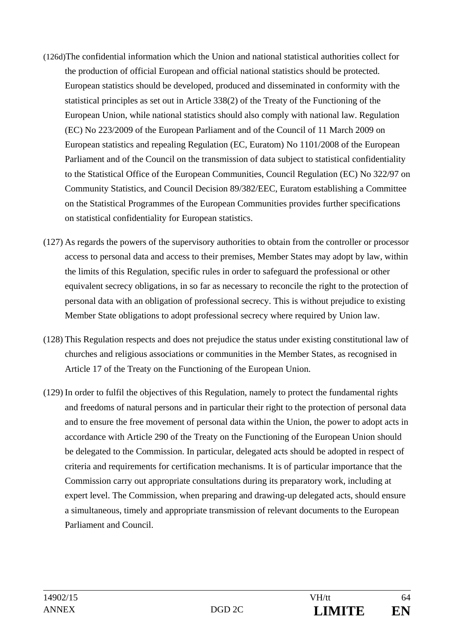- (126d)The confidential information which the Union and national statistical authorities collect for the production of official European and official national statistics should be protected. European statistics should be developed, produced and disseminated in conformity with the statistical principles as set out in Article 338(2) of the Treaty of the Functioning of the European Union, while national statistics should also comply with national law. Regulation (EC) No 223/2009 of the European Parliament and of the Council of 11 March 2009 on European statistics and repealing Regulation (EC, Euratom) No 1101/2008 of the European Parliament and of the Council on the transmission of data subject to statistical confidentiality to the Statistical Office of the European Communities, Council Regulation (EC) No 322/97 on Community Statistics, and Council Decision 89/382/EEC, Euratom establishing a Committee on the Statistical Programmes of the European Communities provides further specifications on statistical confidentiality for European statistics.
- (127) As regards the powers of the supervisory authorities to obtain from the controller or processor access to personal data and access to their premises, Member States may adopt by law, within the limits of this Regulation, specific rules in order to safeguard the professional or other equivalent secrecy obligations, in so far as necessary to reconcile the right to the protection of personal data with an obligation of professional secrecy. This is without prejudice to existing Member State obligations to adopt professional secrecy where required by Union law.
- (128) This Regulation respects and does not prejudice the status under existing constitutional law of churches and religious associations or communities in the Member States, as recognised in Article 17 of the Treaty on the Functioning of the European Union.
- (129) In order to fulfil the objectives of this Regulation, namely to protect the fundamental rights and freedoms of natural persons and in particular their right to the protection of personal data and to ensure the free movement of personal data within the Union, the power to adopt acts in accordance with Article 290 of the Treaty on the Functioning of the European Union should be delegated to the Commission. In particular, delegated acts should be adopted in respect of criteria and requirements for certification mechanisms. It is of particular importance that the Commission carry out appropriate consultations during its preparatory work, including at expert level. The Commission, when preparing and drawing-up delegated acts, should ensure a simultaneous, timely and appropriate transmission of relevant documents to the European Parliament and Council.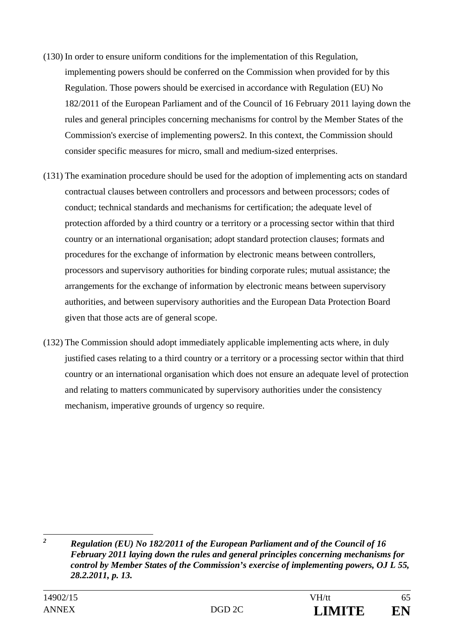- (130) In order to ensure uniform conditions for the implementation of this Regulation, implementing powers should be conferred on the Commission when provided for by this Regulation. Those powers should be exercised in accordance with Regulation (EU) No 182/2011 of the European Parliament and of the Council of 16 February 2011 laying down the rules and general principles concerning mechanisms for control by the Member States of the Commission's exercise of implementing powers2. In this context, the Commission should consider specific measures for micro, small and medium-sized enterprises.
- (131) The examination procedure should be used for the adoption of implementing acts on standard contractual clauses between controllers and processors and between processors; codes of conduct; technical standards and mechanisms for certification; the adequate level of protection afforded by a third country or a territory or a processing sector within that third country or an international organisation; adopt standard protection clauses; formats and procedures for the exchange of information by electronic means between controllers, processors and supervisory authorities for binding corporate rules; mutual assistance; the arrangements for the exchange of information by electronic means between supervisory authorities, and between supervisory authorities and the European Data Protection Board given that those acts are of general scope.
- (132) The Commission should adopt immediately applicable implementing acts where, in duly justified cases relating to a third country or a territory or a processing sector within that third country or an international organisation which does not ensure an adequate level of protection and relating to matters communicated by supervisory authorities under the consistency mechanism, imperative grounds of urgency so require.

 *2 Regulation (EU) No 182/2011 of the European Parliament and of the Council of 16 February 2011 laying down the rules and general principles concerning mechanisms for control by Member States of the Commission's exercise of implementing powers, OJ L 55, 28.2.2011, p. 13.*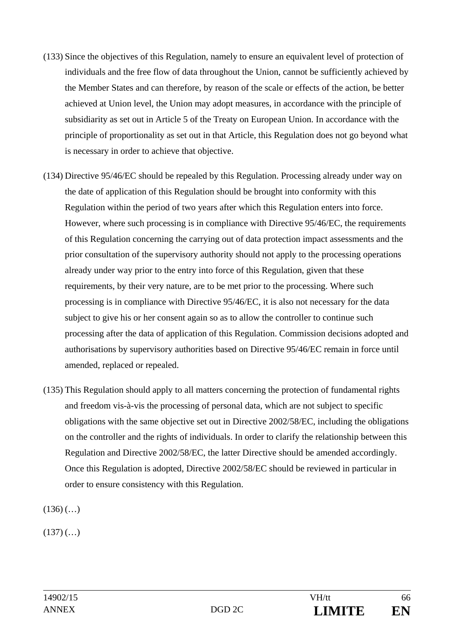- (133) Since the objectives of this Regulation, namely to ensure an equivalent level of protection of individuals and the free flow of data throughout the Union, cannot be sufficiently achieved by the Member States and can therefore, by reason of the scale or effects of the action, be better achieved at Union level, the Union may adopt measures, in accordance with the principle of subsidiarity as set out in Article 5 of the Treaty on European Union. In accordance with the principle of proportionality as set out in that Article, this Regulation does not go beyond what is necessary in order to achieve that objective.
- (134) Directive 95/46/EC should be repealed by this Regulation. Processing already under way on the date of application of this Regulation should be brought into conformity with this Regulation within the period of two years after which this Regulation enters into force. However, where such processing is in compliance with Directive 95/46/EC, the requirements of this Regulation concerning the carrying out of data protection impact assessments and the prior consultation of the supervisory authority should not apply to the processing operations already under way prior to the entry into force of this Regulation, given that these requirements, by their very nature, are to be met prior to the processing. Where such processing is in compliance with Directive 95/46/EC, it is also not necessary for the data subject to give his or her consent again so as to allow the controller to continue such processing after the data of application of this Regulation. Commission decisions adopted and authorisations by supervisory authorities based on Directive 95/46/EC remain in force until amended, replaced or repealed.
- (135) This Regulation should apply to all matters concerning the protection of fundamental rights and freedom vis-à-vis the processing of personal data, which are not subject to specific obligations with the same objective set out in Directive 2002/58/EC, including the obligations on the controller and the rights of individuals. In order to clarify the relationship between this Regulation and Directive 2002/58/EC, the latter Directive should be amended accordingly. Once this Regulation is adopted, Directive 2002/58/EC should be reviewed in particular in order to ensure consistency with this Regulation.

 $(136)$  (...)

 $(137)$  (...)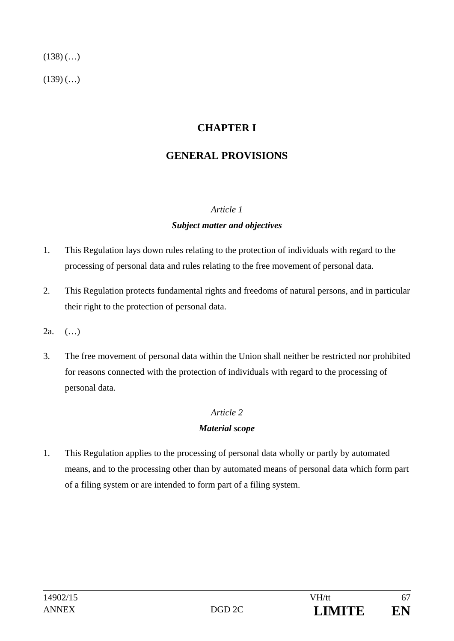$(138)$  (...)

 $(139)$  (...)

## **CHAPTER I**

## **GENERAL PROVISIONS**

#### *Article 1*

### *Subject matter and objectives*

- 1. This Regulation lays down rules relating to the protection of individuals with regard to the processing of personal data and rules relating to the free movement of personal data.
- 2. This Regulation protects fundamental rights and freedoms of natural persons, and in particular their right to the protection of personal data.
- $2a.$   $($ ... $)$
- 3. The free movement of personal data within the Union shall neither be restricted nor prohibited for reasons connected with the protection of individuals with regard to the processing of personal data.

#### *Article 2*

## *Material scope*

1. This Regulation applies to the processing of personal data wholly or partly by automated means, and to the processing other than by automated means of personal data which form part of a filing system or are intended to form part of a filing system.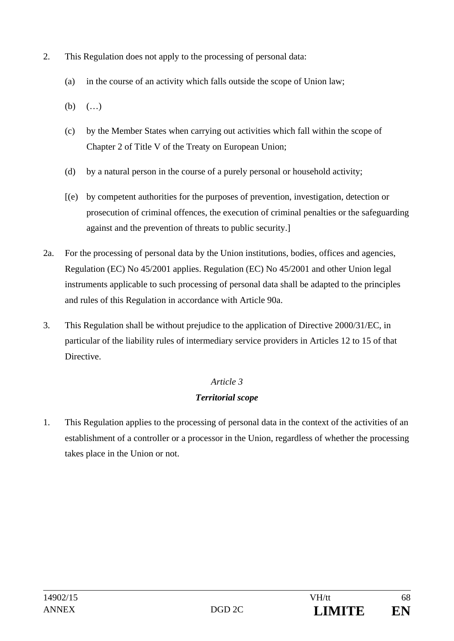- 2. This Regulation does not apply to the processing of personal data:
	- (a) in the course of an activity which falls outside the scope of Union law;
	- (b)  $($ ...)
	- (c) by the Member States when carrying out activities which fall within the scope of Chapter 2 of Title V of the Treaty on European Union;
	- (d) by a natural person in the course of a purely personal or household activity;
	- [(e) by competent authorities for the purposes of prevention, investigation, detection or prosecution of criminal offences, the execution of criminal penalties or the safeguarding against and the prevention of threats to public security.]
- 2a. For the processing of personal data by the Union institutions, bodies, offices and agencies, Regulation (EC) No 45/2001 applies. Regulation (EC) No 45/2001 and other Union legal instruments applicable to such processing of personal data shall be adapted to the principles and rules of this Regulation in accordance with Article 90a.
- 3. This Regulation shall be without prejudice to the application of Directive 2000/31/EC, in particular of the liability rules of intermediary service providers in Articles 12 to 15 of that **Directive**

## *Article 3*

## *Territorial scope*

1. This Regulation applies to the processing of personal data in the context of the activities of an establishment of a controller or a processor in the Union, regardless of whether the processing takes place in the Union or not.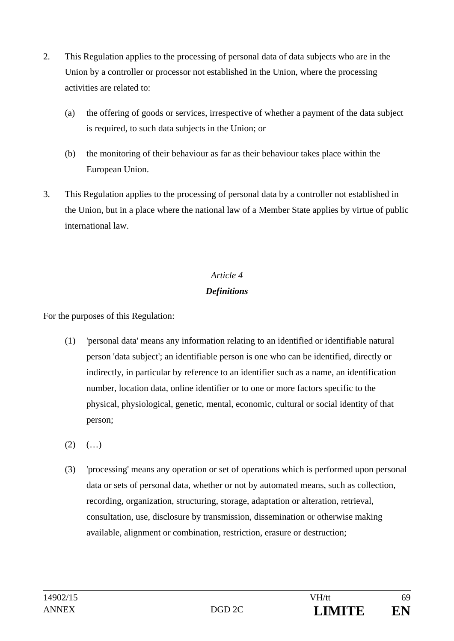- 2. This Regulation applies to the processing of personal data of data subjects who are in the Union by a controller or processor not established in the Union, where the processing activities are related to:
	- (a) the offering of goods or services, irrespective of whether a payment of the data subject is required, to such data subjects in the Union; or
	- (b) the monitoring of their behaviour as far as their behaviour takes place within the European Union.
- 3. This Regulation applies to the processing of personal data by a controller not established in the Union, but in a place where the national law of a Member State applies by virtue of public international law.

# *Article 4 Definitions*

For the purposes of this Regulation:

- (1) 'personal data' means any information relating to an identified or identifiable natural person 'data subject'; an identifiable person is one who can be identified, directly or indirectly, in particular by reference to an identifier such as a name, an identification number, location data, online identifier or to one or more factors specific to the physical, physiological, genetic, mental, economic, cultural or social identity of that person;
- $(2)$   $($ ...)
- (3) 'processing' means any operation or set of operations which is performed upon personal data or sets of personal data, whether or not by automated means, such as collection, recording, organization, structuring, storage, adaptation or alteration, retrieval, consultation, use, disclosure by transmission, dissemination or otherwise making available, alignment or combination, restriction, erasure or destruction;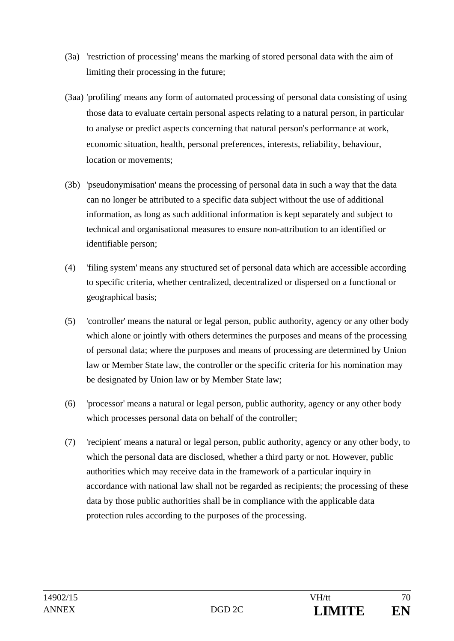- (3a) 'restriction of processing' means the marking of stored personal data with the aim of limiting their processing in the future;
- (3aa) 'profiling' means any form of automated processing of personal data consisting of using those data to evaluate certain personal aspects relating to a natural person, in particular to analyse or predict aspects concerning that natural person's performance at work, economic situation, health, personal preferences, interests, reliability, behaviour, location or movements;
- (3b) 'pseudonymisation' means the processing of personal data in such a way that the data can no longer be attributed to a specific data subject without the use of additional information, as long as such additional information is kept separately and subject to technical and organisational measures to ensure non-attribution to an identified or identifiable person;
- (4) 'filing system' means any structured set of personal data which are accessible according to specific criteria, whether centralized, decentralized or dispersed on a functional or geographical basis;
- (5) 'controller' means the natural or legal person, public authority, agency or any other body which alone or jointly with others determines the purposes and means of the processing of personal data; where the purposes and means of processing are determined by Union law or Member State law, the controller or the specific criteria for his nomination may be designated by Union law or by Member State law;
- (6) 'processor' means a natural or legal person, public authority, agency or any other body which processes personal data on behalf of the controller;
- (7) 'recipient' means a natural or legal person, public authority, agency or any other body, to which the personal data are disclosed, whether a third party or not. However, public authorities which may receive data in the framework of a particular inquiry in accordance with national law shall not be regarded as recipients; the processing of these data by those public authorities shall be in compliance with the applicable data protection rules according to the purposes of the processing.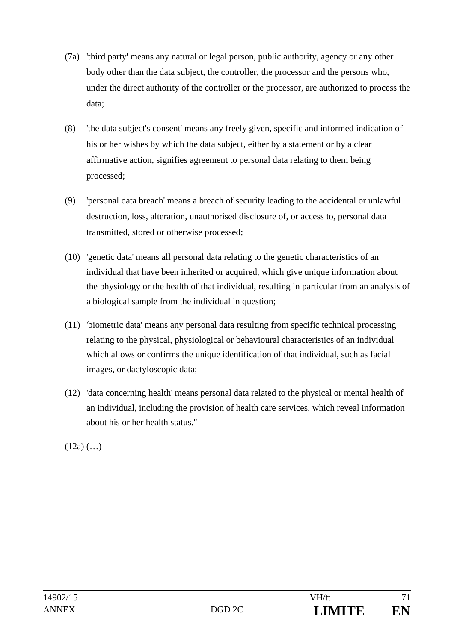- (7a) 'third party' means any natural or legal person, public authority, agency or any other body other than the data subject, the controller, the processor and the persons who, under the direct authority of the controller or the processor, are authorized to process the data;
- (8) 'the data subject's consent' means any freely given, specific and informed indication of his or her wishes by which the data subject, either by a statement or by a clear affirmative action, signifies agreement to personal data relating to them being processed;
- (9) 'personal data breach' means a breach of security leading to the accidental or unlawful destruction, loss, alteration, unauthorised disclosure of, or access to, personal data transmitted, stored or otherwise processed;
- (10) 'genetic data' means all personal data relating to the genetic characteristics of an individual that have been inherited or acquired, which give unique information about the physiology or the health of that individual, resulting in particular from an analysis of a biological sample from the individual in question;
- (11) 'biometric data' means any personal data resulting from specific technical processing relating to the physical, physiological or behavioural characteristics of an individual which allows or confirms the unique identification of that individual, such as facial images, or dactyloscopic data;
- (12) 'data concerning health' means personal data related to the physical or mental health of an individual, including the provision of health care services, which reveal information about his or her health status."

 $(12a)$   $(...)$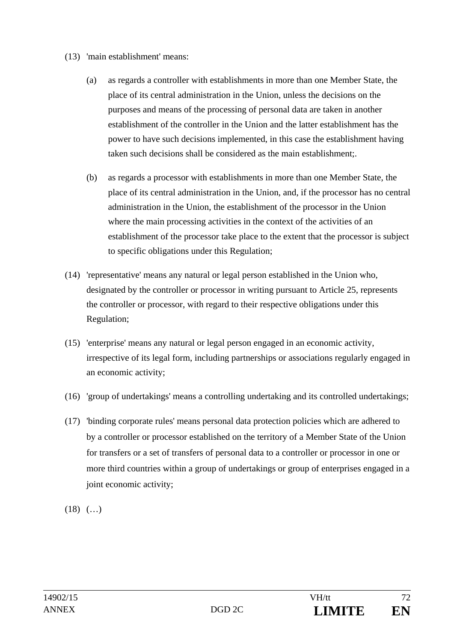- (13) 'main establishment' means:
	- (a) as regards a controller with establishments in more than one Member State, the place of its central administration in the Union, unless the decisions on the purposes and means of the processing of personal data are taken in another establishment of the controller in the Union and the latter establishment has the power to have such decisions implemented, in this case the establishment having taken such decisions shall be considered as the main establishment;.
	- (b) as regards a processor with establishments in more than one Member State, the place of its central administration in the Union, and, if the processor has no central administration in the Union, the establishment of the processor in the Union where the main processing activities in the context of the activities of an establishment of the processor take place to the extent that the processor is subject to specific obligations under this Regulation;
- (14) 'representative' means any natural or legal person established in the Union who, designated by the controller or processor in writing pursuant to Article 25, represents the controller or processor, with regard to their respective obligations under this Regulation;
- (15) 'enterprise' means any natural or legal person engaged in an economic activity, irrespective of its legal form, including partnerships or associations regularly engaged in an economic activity;
- (16) 'group of undertakings' means a controlling undertaking and its controlled undertakings;
- (17) 'binding corporate rules' means personal data protection policies which are adhered to by a controller or processor established on the territory of a Member State of the Union for transfers or a set of transfers of personal data to a controller or processor in one or more third countries within a group of undertakings or group of enterprises engaged in a joint economic activity;

 $(18)$   $(...)$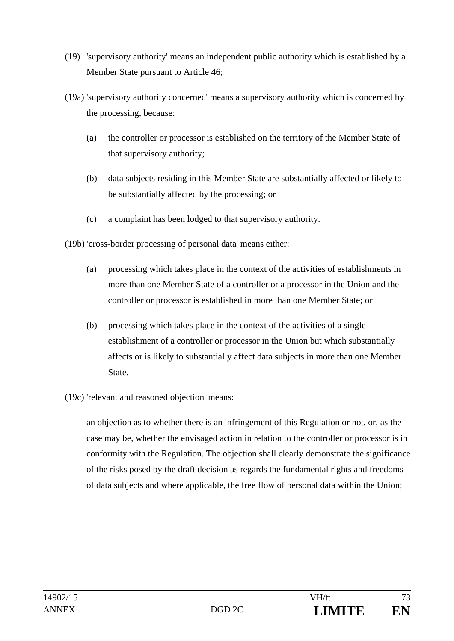- (19) 'supervisory authority' means an independent public authority which is established by a Member State pursuant to Article 46;
- (19a) 'supervisory authority concerned' means a supervisory authority which is concerned by the processing, because:
	- (a) the controller or processor is established on the territory of the Member State of that supervisory authority;
	- (b) data subjects residing in this Member State are substantially affected or likely to be substantially affected by the processing; or
	- (c) a complaint has been lodged to that supervisory authority.

(19b) 'cross-border processing of personal data' means either:

- (a) processing which takes place in the context of the activities of establishments in more than one Member State of a controller or a processor in the Union and the controller or processor is established in more than one Member State; or
- (b) processing which takes place in the context of the activities of a single establishment of a controller or processor in the Union but which substantially affects or is likely to substantially affect data subjects in more than one Member State.
- (19c) 'relevant and reasoned objection' means:

 an objection as to whether there is an infringement of this Regulation or not, or, as the case may be, whether the envisaged action in relation to the controller or processor is in conformity with the Regulation. The objection shall clearly demonstrate the significance of the risks posed by the draft decision as regards the fundamental rights and freedoms of data subjects and where applicable, the free flow of personal data within the Union;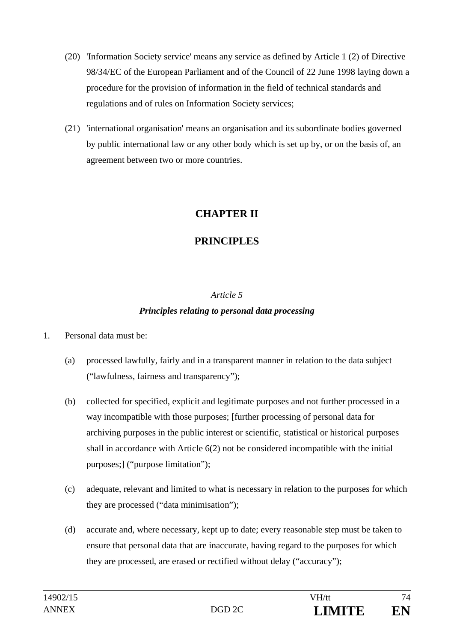- (20) 'Information Society service' means any service as defined by Article 1 (2) of Directive 98/34/EC of the European Parliament and of the Council of 22 June 1998 laying down a procedure for the provision of information in the field of technical standards and regulations and of rules on Information Society services;
- (21) 'international organisation' means an organisation and its subordinate bodies governed by public international law or any other body which is set up by, or on the basis of, an agreement between two or more countries.

## **CHAPTER II**

## **PRINCIPLES**

## *Article 5*

## *Principles relating to personal data processing*

- 1. Personal data must be:
	- (a) processed lawfully, fairly and in a transparent manner in relation to the data subject ("lawfulness, fairness and transparency");
	- (b) collected for specified, explicit and legitimate purposes and not further processed in a way incompatible with those purposes; [further processing of personal data for archiving purposes in the public interest or scientific, statistical or historical purposes shall in accordance with Article 6(2) not be considered incompatible with the initial purposes;] ("purpose limitation");
	- (c) adequate, relevant and limited to what is necessary in relation to the purposes for which they are processed ("data minimisation");
	- (d) accurate and, where necessary, kept up to date; every reasonable step must be taken to ensure that personal data that are inaccurate, having regard to the purposes for which they are processed, are erased or rectified without delay ("accuracy");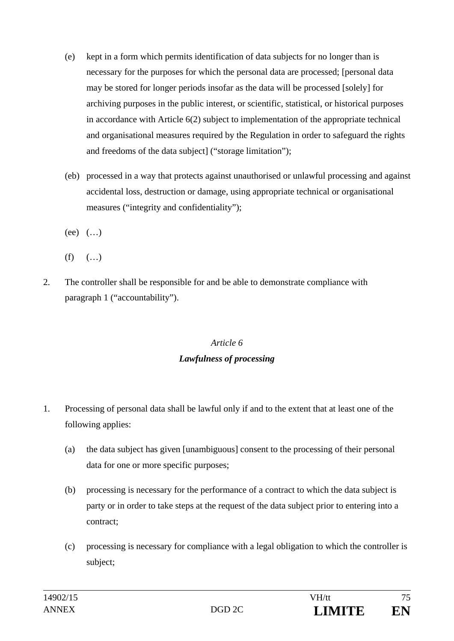- (e) kept in a form which permits identification of data subjects for no longer than is necessary for the purposes for which the personal data are processed; [personal data may be stored for longer periods insofar as the data will be processed [solely] for archiving purposes in the public interest, or scientific, statistical, or historical purposes in accordance with Article 6(2) subject to implementation of the appropriate technical and organisational measures required by the Regulation in order to safeguard the rights and freedoms of the data subject] ("storage limitation");
- (eb) processed in a way that protects against unauthorised or unlawful processing and against accidental loss, destruction or damage, using appropriate technical or organisational measures ("integrity and confidentiality");
- (ee) (…)
- $(f)$   $($ ...)
- 2. The controller shall be responsible for and be able to demonstrate compliance with paragraph 1 ("accountability").

## *Article 6 Lawfulness of processing*

- 1. Processing of personal data shall be lawful only if and to the extent that at least one of the following applies:
	- (a) the data subject has given [unambiguous] consent to the processing of their personal data for one or more specific purposes;
	- (b) processing is necessary for the performance of a contract to which the data subject is party or in order to take steps at the request of the data subject prior to entering into a contract;
	- (c) processing is necessary for compliance with a legal obligation to which the controller is subject;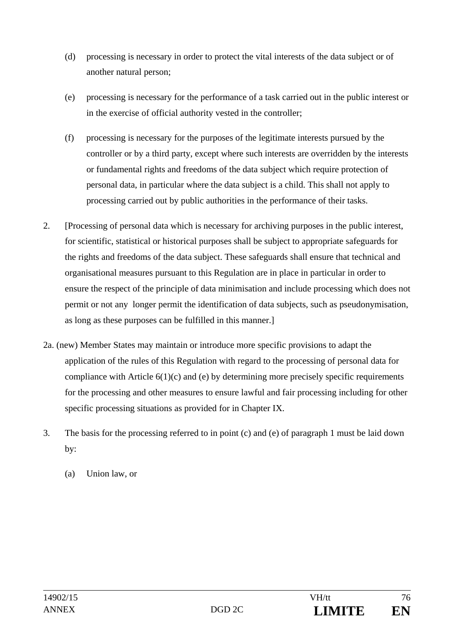- (d) processing is necessary in order to protect the vital interests of the data subject or of another natural person;
- (e) processing is necessary for the performance of a task carried out in the public interest or in the exercise of official authority vested in the controller;
- (f) processing is necessary for the purposes of the legitimate interests pursued by the controller or by a third party, except where such interests are overridden by the interests or fundamental rights and freedoms of the data subject which require protection of personal data, in particular where the data subject is a child. This shall not apply to processing carried out by public authorities in the performance of their tasks.
- 2. [Processing of personal data which is necessary for archiving purposes in the public interest, for scientific, statistical or historical purposes shall be subject to appropriate safeguards for the rights and freedoms of the data subject. These safeguards shall ensure that technical and organisational measures pursuant to this Regulation are in place in particular in order to ensure the respect of the principle of data minimisation and include processing which does not permit or not any longer permit the identification of data subjects, such as pseudonymisation, as long as these purposes can be fulfilled in this manner.]
- 2a. (new) Member States may maintain or introduce more specific provisions to adapt the application of the rules of this Regulation with regard to the processing of personal data for compliance with Article 6(1)(c) and (e) by determining more precisely specific requirements for the processing and other measures to ensure lawful and fair processing including for other specific processing situations as provided for in Chapter IX.
- 3. The basis for the processing referred to in point (c) and (e) of paragraph 1 must be laid down by:
	- (a) Union law, or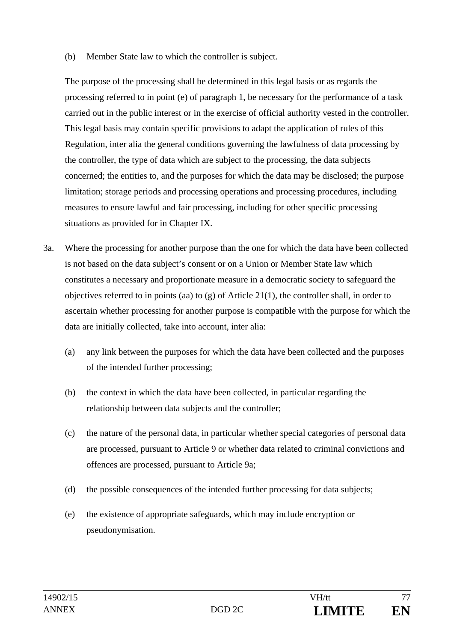(b) Member State law to which the controller is subject.

 The purpose of the processing shall be determined in this legal basis or as regards the processing referred to in point (e) of paragraph 1, be necessary for the performance of a task carried out in the public interest or in the exercise of official authority vested in the controller. This legal basis may contain specific provisions to adapt the application of rules of this Regulation, inter alia the general conditions governing the lawfulness of data processing by the controller, the type of data which are subject to the processing, the data subjects concerned; the entities to, and the purposes for which the data may be disclosed; the purpose limitation; storage periods and processing operations and processing procedures, including measures to ensure lawful and fair processing, including for other specific processing situations as provided for in Chapter IX.

- 3a. Where the processing for another purpose than the one for which the data have been collected is not based on the data subject's consent or on a Union or Member State law which constitutes a necessary and proportionate measure in a democratic society to safeguard the objectives referred to in points (aa) to (g) of Article 21(1), the controller shall, in order to ascertain whether processing for another purpose is compatible with the purpose for which the data are initially collected, take into account, inter alia:
	- (a) any link between the purposes for which the data have been collected and the purposes of the intended further processing;
	- (b) the context in which the data have been collected, in particular regarding the relationship between data subjects and the controller;
	- (c) the nature of the personal data, in particular whether special categories of personal data are processed, pursuant to Article 9 or whether data related to criminal convictions and offences are processed, pursuant to Article 9a;
	- (d) the possible consequences of the intended further processing for data subjects;
	- (e) the existence of appropriate safeguards, which may include encryption or pseudonymisation.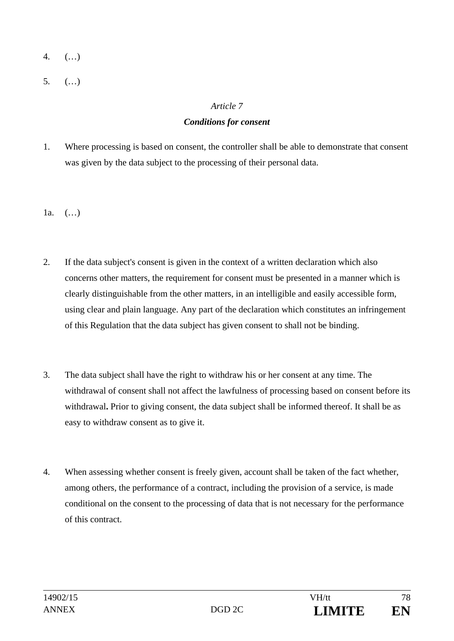- 4. (…)
- 5. (…)

## *Article 7*

### *Conditions for consent*

1. Where processing is based on consent, the controller shall be able to demonstrate that consent was given by the data subject to the processing of their personal data.

1a. (…)

- 2. If the data subject's consent is given in the context of a written declaration which also concerns other matters, the requirement for consent must be presented in a manner which is clearly distinguishable from the other matters, in an intelligible and easily accessible form, using clear and plain language. Any part of the declaration which constitutes an infringement of this Regulation that the data subject has given consent to shall not be binding.
- 3. The data subject shall have the right to withdraw his or her consent at any time. The withdrawal of consent shall not affect the lawfulness of processing based on consent before its withdrawal**.** Prior to giving consent, the data subject shall be informed thereof. It shall be as easy to withdraw consent as to give it.
- 4. When assessing whether consent is freely given, account shall be taken of the fact whether, among others, the performance of a contract, including the provision of a service, is made conditional on the consent to the processing of data that is not necessary for the performance of this contract.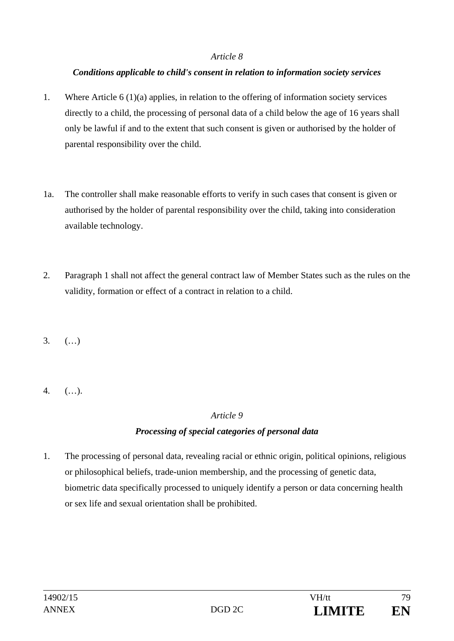#### *Article 8*

## *Conditions applicable to child's consent in relation to information society services*

- 1. Where Article 6 (1)(a) applies, in relation to the offering of information society services directly to a child, the processing of personal data of a child below the age of 16 years shall only be lawful if and to the extent that such consent is given or authorised by the holder of parental responsibility over the child.
- 1a. The controller shall make reasonable efforts to verify in such cases that consent is given or authorised by the holder of parental responsibility over the child, taking into consideration available technology.
- 2. Paragraph 1 shall not affect the general contract law of Member States such as the rules on the validity, formation or effect of a contract in relation to a child.
- 3. (…)
- 4. (…).

## *Article 9*

## *Processing of special categories of personal data*

1. The processing of personal data, revealing racial or ethnic origin, political opinions, religious or philosophical beliefs, trade-union membership, and the processing of genetic data, biometric data specifically processed to uniquely identify a person or data concerning health or sex life and sexual orientation shall be prohibited.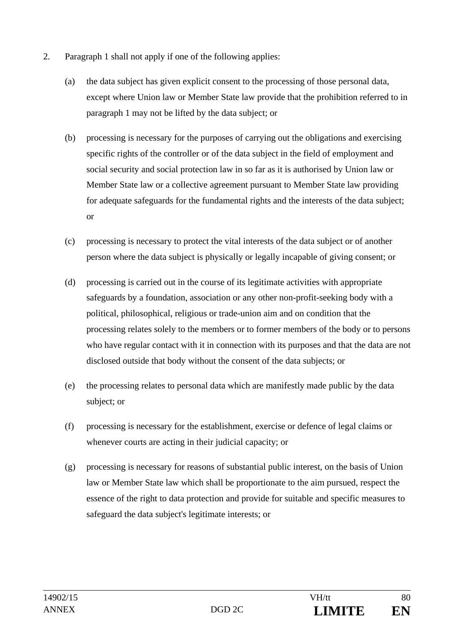- 2. Paragraph 1 shall not apply if one of the following applies:
	- (a) the data subject has given explicit consent to the processing of those personal data, except where Union law or Member State law provide that the prohibition referred to in paragraph 1 may not be lifted by the data subject; or
	- (b) processing is necessary for the purposes of carrying out the obligations and exercising specific rights of the controller or of the data subject in the field of employment and social security and social protection law in so far as it is authorised by Union law or Member State law or a collective agreement pursuant to Member State law providing for adequate safeguards for the fundamental rights and the interests of the data subject; or
	- (c) processing is necessary to protect the vital interests of the data subject or of another person where the data subject is physically or legally incapable of giving consent; or
	- (d) processing is carried out in the course of its legitimate activities with appropriate safeguards by a foundation, association or any other non-profit-seeking body with a political, philosophical, religious or trade-union aim and on condition that the processing relates solely to the members or to former members of the body or to persons who have regular contact with it in connection with its purposes and that the data are not disclosed outside that body without the consent of the data subjects; or
	- (e) the processing relates to personal data which are manifestly made public by the data subject; or
	- (f) processing is necessary for the establishment, exercise or defence of legal claims or whenever courts are acting in their judicial capacity; or
	- (g) processing is necessary for reasons of substantial public interest, on the basis of Union law or Member State law which shall be proportionate to the aim pursued, respect the essence of the right to data protection and provide for suitable and specific measures to safeguard the data subject's legitimate interests; or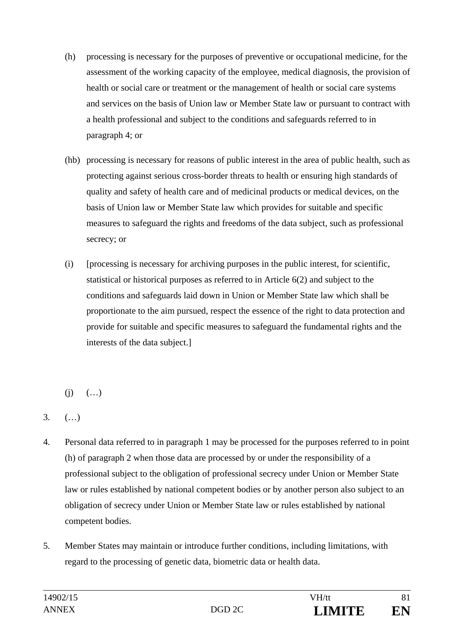- (h) processing is necessary for the purposes of preventive or occupational medicine, for the assessment of the working capacity of the employee, medical diagnosis, the provision of health or social care or treatment or the management of health or social care systems and services on the basis of Union law or Member State law or pursuant to contract with a health professional and subject to the conditions and safeguards referred to in paragraph 4; or
- (hb) processing is necessary for reasons of public interest in the area of public health, such as protecting against serious cross-border threats to health or ensuring high standards of quality and safety of health care and of medicinal products or medical devices, on the basis of Union law or Member State law which provides for suitable and specific measures to safeguard the rights and freedoms of the data subject, such as professional secrecy; or
- (i) [processing is necessary for archiving purposes in the public interest, for scientific, statistical or historical purposes as referred to in Article 6(2) and subject to the conditions and safeguards laid down in Union or Member State law which shall be proportionate to the aim pursued, respect the essence of the right to data protection and provide for suitable and specific measures to safeguard the fundamental rights and the interests of the data subject.]

## $(i)$   $(...)$

- $3.$  (...)
- 4. Personal data referred to in paragraph 1 may be processed for the purposes referred to in point (h) of paragraph 2 when those data are processed by or under the responsibility of a professional subject to the obligation of professional secrecy under Union or Member State law or rules established by national competent bodies or by another person also subject to an obligation of secrecy under Union or Member State law or rules established by national competent bodies.
- 5. Member States may maintain or introduce further conditions, including limitations, with regard to the processing of genetic data, biometric data or health data.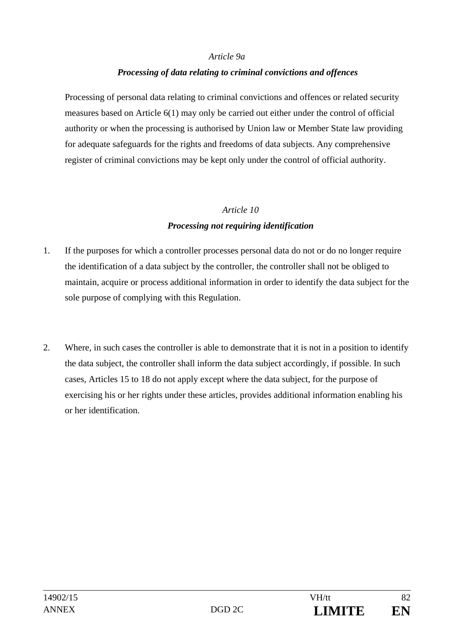#### *Article 9a*

### *Processing of data relating to criminal convictions and offences*

 Processing of personal data relating to criminal convictions and offences or related security measures based on Article 6(1) may only be carried out either under the control of official authority or when the processing is authorised by Union law or Member State law providing for adequate safeguards for the rights and freedoms of data subjects. Any comprehensive register of criminal convictions may be kept only under the control of official authority.

# *Article 10 Processing not requiring identification*

- 1. If the purposes for which a controller processes personal data do not or do no longer require the identification of a data subject by the controller, the controller shall not be obliged to maintain, acquire or process additional information in order to identify the data subject for the sole purpose of complying with this Regulation.
- 2. Where, in such cases the controller is able to demonstrate that it is not in a position to identify the data subject, the controller shall inform the data subject accordingly, if possible. In such cases, Articles 15 to 18 do not apply except where the data subject, for the purpose of exercising his or her rights under these articles, provides additional information enabling his or her identification.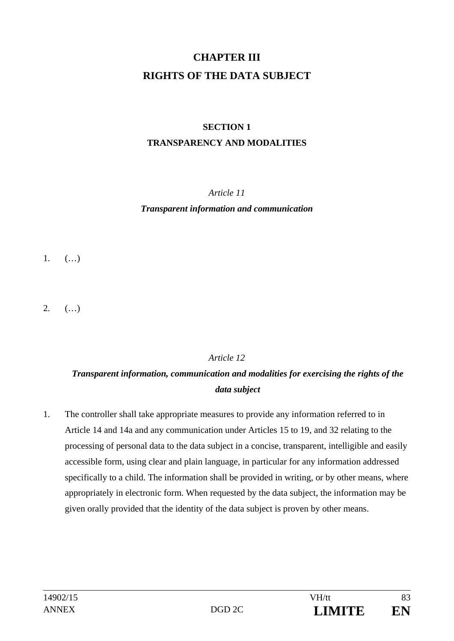# **CHAPTER III RIGHTS OF THE DATA SUBJECT**

### **SECTION 1**

## **TRANSPARENCY AND MODALITIES**

## *Article 11*

## *Transparent information and communication*

- $1. (...)$
- 2.  $( ...)$

## *Article 12*

## *Transparent information, communication and modalities for exercising the rights of the data subject*

1. The controller shall take appropriate measures to provide any information referred to in Article 14 and 14a and any communication under Articles 15 to 19, and 32 relating to the processing of personal data to the data subject in a concise, transparent, intelligible and easily accessible form, using clear and plain language, in particular for any information addressed specifically to a child. The information shall be provided in writing, or by other means, where appropriately in electronic form. When requested by the data subject, the information may be given orally provided that the identity of the data subject is proven by other means.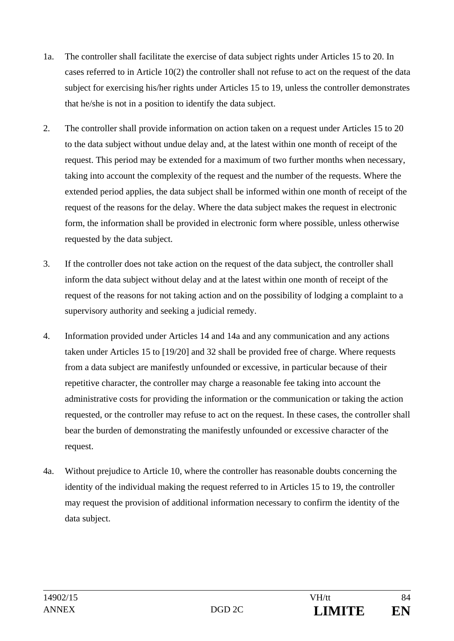- 1a. The controller shall facilitate the exercise of data subject rights under Articles 15 to 20. In cases referred to in Article 10(2) the controller shall not refuse to act on the request of the data subject for exercising his/her rights under Articles 15 to 19, unless the controller demonstrates that he/she is not in a position to identify the data subject.
- 2. The controller shall provide information on action taken on a request under Articles 15 to 20 to the data subject without undue delay and, at the latest within one month of receipt of the request. This period may be extended for a maximum of two further months when necessary, taking into account the complexity of the request and the number of the requests. Where the extended period applies, the data subject shall be informed within one month of receipt of the request of the reasons for the delay. Where the data subject makes the request in electronic form, the information shall be provided in electronic form where possible, unless otherwise requested by the data subject.
- 3. If the controller does not take action on the request of the data subject, the controller shall inform the data subject without delay and at the latest within one month of receipt of the request of the reasons for not taking action and on the possibility of lodging a complaint to a supervisory authority and seeking a judicial remedy.
- 4. Information provided under Articles 14 and 14a and any communication and any actions taken under Articles 15 to [19/20] and 32 shall be provided free of charge. Where requests from a data subject are manifestly unfounded or excessive, in particular because of their repetitive character, the controller may charge a reasonable fee taking into account the administrative costs for providing the information or the communication or taking the action requested, or the controller may refuse to act on the request. In these cases, the controller shall bear the burden of demonstrating the manifestly unfounded or excessive character of the request.
- 4a. Without prejudice to Article 10, where the controller has reasonable doubts concerning the identity of the individual making the request referred to in Articles 15 to 19, the controller may request the provision of additional information necessary to confirm the identity of the data subject.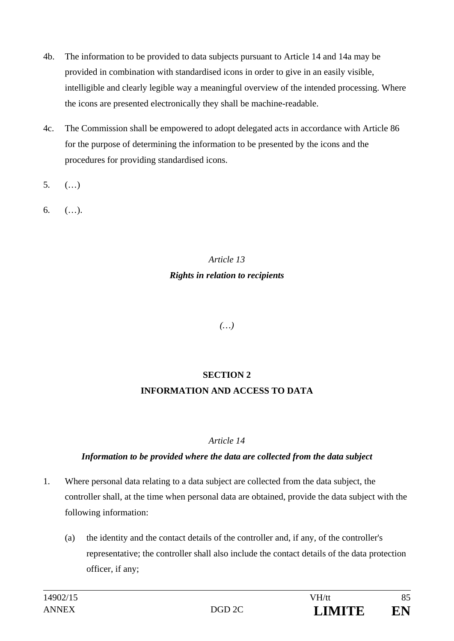- 4b. The information to be provided to data subjects pursuant to Article 14 and 14a may be provided in combination with standardised icons in order to give in an easily visible, intelligible and clearly legible way a meaningful overview of the intended processing. Where the icons are presented electronically they shall be machine-readable.
- 4c. The Commission shall be empowered to adopt delegated acts in accordance with Article 86 for the purpose of determining the information to be presented by the icons and the procedures for providing standardised icons.
- 5. (…)
- 6.  $($ ...).

# *Article 13 Rights in relation to recipients*

*(…)* 

## **SECTION 2 INFORMATION AND ACCESS TO DATA**

#### *Article 14*

### *Information to be provided where the data are collected from the data subject*

- 1. Where personal data relating to a data subject are collected from the data subject, the controller shall, at the time when personal data are obtained, provide the data subject with the following information:
	- (a) the identity and the contact details of the controller and, if any, of the controller's representative; the controller shall also include the contact details of the data protection officer, if any;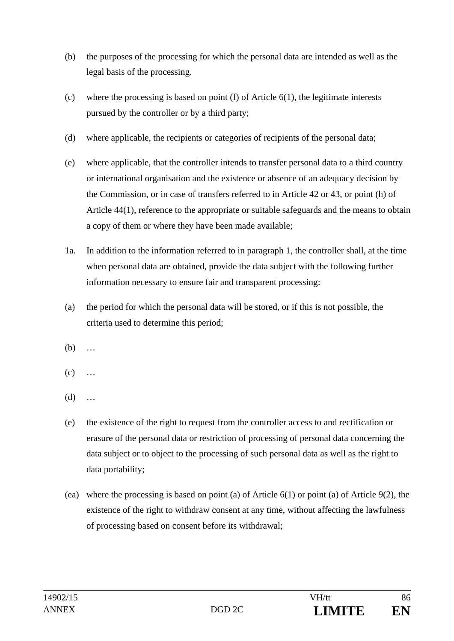- (b) the purposes of the processing for which the personal data are intended as well as the legal basis of the processing.
- (c) where the processing is based on point (f) of Article 6(1), the legitimate interests pursued by the controller or by a third party;
- (d) where applicable, the recipients or categories of recipients of the personal data;
- (e) where applicable, that the controller intends to transfer personal data to a third country or international organisation and the existence or absence of an adequacy decision by the Commission, or in case of transfers referred to in Article 42 or 43, or point (h) of Article 44(1), reference to the appropriate or suitable safeguards and the means to obtain a copy of them or where they have been made available;
- 1a. In addition to the information referred to in paragraph 1, the controller shall, at the time when personal data are obtained, provide the data subject with the following further information necessary to ensure fair and transparent processing:
- (a) the period for which the personal data will be stored, or if this is not possible, the criteria used to determine this period;
- (b) …
- $(c)$  ...
- (d) …
- (e) the existence of the right to request from the controller access to and rectification or erasure of the personal data or restriction of processing of personal data concerning the data subject or to object to the processing of such personal data as well as the right to data portability;
- (ea) where the processing is based on point (a) of Article 6(1) or point (a) of Article 9(2), the existence of the right to withdraw consent at any time, without affecting the lawfulness of processing based on consent before its withdrawal;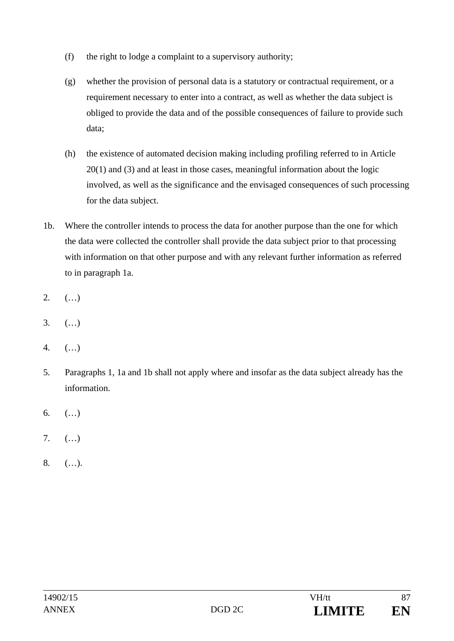- (f) the right to lodge a complaint to a supervisory authority;
- (g) whether the provision of personal data is a statutory or contractual requirement, or a requirement necessary to enter into a contract, as well as whether the data subject is obliged to provide the data and of the possible consequences of failure to provide such data;
- (h) the existence of automated decision making including profiling referred to in Article 20(1) and (3) and at least in those cases, meaningful information about the logic involved, as well as the significance and the envisaged consequences of such processing for the data subject.
- 1b. Where the controller intends to process the data for another purpose than the one for which the data were collected the controller shall provide the data subject prior to that processing with information on that other purpose and with any relevant further information as referred to in paragraph 1a.
- 2. (…)
- 3. (…)
- 4. (…)
- 5. Paragraphs 1, 1a and 1b shall not apply where and insofar as the data subject already has the information.
- 6. (…)
- 7. (…)
- 8. (…).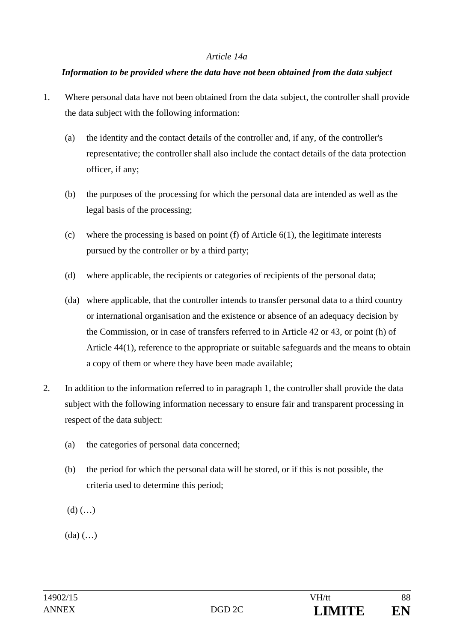#### *Article 14a*

### *Information to be provided where the data have not been obtained from the data subject*

- 1. Where personal data have not been obtained from the data subject, the controller shall provide the data subject with the following information:
	- (a) the identity and the contact details of the controller and, if any, of the controller's representative; the controller shall also include the contact details of the data protection officer, if any;
	- (b) the purposes of the processing for which the personal data are intended as well as the legal basis of the processing;
	- (c) where the processing is based on point  $(f)$  of Article  $6(1)$ , the legitimate interests pursued by the controller or by a third party;
	- (d) where applicable, the recipients or categories of recipients of the personal data;
	- (da) where applicable, that the controller intends to transfer personal data to a third country or international organisation and the existence or absence of an adequacy decision by the Commission, or in case of transfers referred to in Article 42 or 43, or point (h) of Article 44(1), reference to the appropriate or suitable safeguards and the means to obtain a copy of them or where they have been made available;
- 2. In addition to the information referred to in paragraph 1, the controller shall provide the data subject with the following information necessary to ensure fair and transparent processing in respect of the data subject:
	- (a) the categories of personal data concerned;
	- (b) the period for which the personal data will be stored, or if this is not possible, the criteria used to determine this period;
	- $(d)$   $(...)$

 $(da)$   $(...)$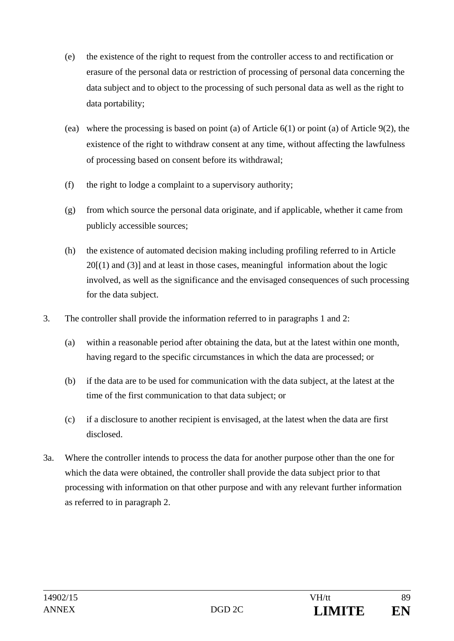- (e) the existence of the right to request from the controller access to and rectification or erasure of the personal data or restriction of processing of personal data concerning the data subject and to object to the processing of such personal data as well as the right to data portability;
- (ea) where the processing is based on point (a) of Article 6(1) or point (a) of Article 9(2), the existence of the right to withdraw consent at any time, without affecting the lawfulness of processing based on consent before its withdrawal;
- (f) the right to lodge a complaint to a supervisory authority;
- (g) from which source the personal data originate, and if applicable, whether it came from publicly accessible sources;
- (h) the existence of automated decision making including profiling referred to in Article  $20[(1)$  and  $(3)]$  and at least in those cases, meaningful information about the logic involved, as well as the significance and the envisaged consequences of such processing for the data subject.
- 3. The controller shall provide the information referred to in paragraphs 1 and 2:
	- (a) within a reasonable period after obtaining the data, but at the latest within one month, having regard to the specific circumstances in which the data are processed; or
	- (b) if the data are to be used for communication with the data subject, at the latest at the time of the first communication to that data subject; or
	- (c) if a disclosure to another recipient is envisaged, at the latest when the data are first disclosed.
- 3a. Where the controller intends to process the data for another purpose other than the one for which the data were obtained, the controller shall provide the data subject prior to that processing with information on that other purpose and with any relevant further information as referred to in paragraph 2.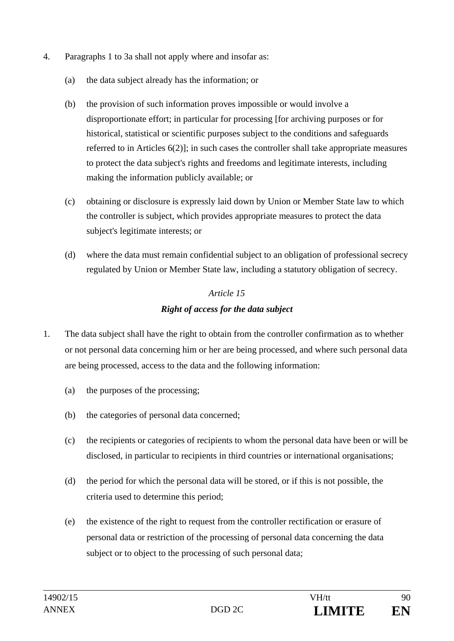- 4. Paragraphs 1 to 3a shall not apply where and insofar as:
	- (a) the data subject already has the information; or
	- (b) the provision of such information proves impossible or would involve a disproportionate effort; in particular for processing [for archiving purposes or for historical, statistical or scientific purposes subject to the conditions and safeguards referred to in Articles 6(2)]; in such cases the controller shall take appropriate measures to protect the data subject's rights and freedoms and legitimate interests, including making the information publicly available; or
	- (c) obtaining or disclosure is expressly laid down by Union or Member State law to which the controller is subject, which provides appropriate measures to protect the data subject's legitimate interests; or
	- (d) where the data must remain confidential subject to an obligation of professional secrecy regulated by Union or Member State law, including a statutory obligation of secrecy.

## *Article 15 Right of access for the data subject*

- 1. The data subject shall have the right to obtain from the controller confirmation as to whether or not personal data concerning him or her are being processed, and where such personal data are being processed, access to the data and the following information:
	- (a) the purposes of the processing;
	- (b) the categories of personal data concerned;
	- (c) the recipients or categories of recipients to whom the personal data have been or will be disclosed, in particular to recipients in third countries or international organisations;
	- (d) the period for which the personal data will be stored, or if this is not possible, the criteria used to determine this period;
	- (e) the existence of the right to request from the controller rectification or erasure of personal data or restriction of the processing of personal data concerning the data subject or to object to the processing of such personal data;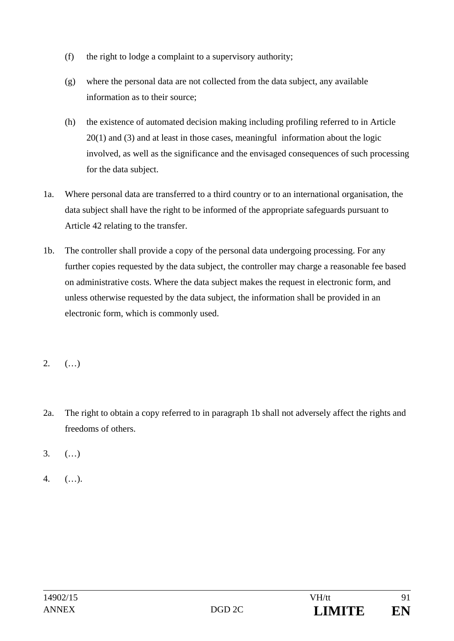- (f) the right to lodge a complaint to a supervisory authority;
- (g) where the personal data are not collected from the data subject, any available information as to their source;
- (h) the existence of automated decision making including profiling referred to in Article 20(1) and (3) and at least in those cases, meaningful information about the logic involved, as well as the significance and the envisaged consequences of such processing for the data subject.
- 1a. Where personal data are transferred to a third country or to an international organisation, the data subject shall have the right to be informed of the appropriate safeguards pursuant to Article 42 relating to the transfer.
- 1b. The controller shall provide a copy of the personal data undergoing processing. For any further copies requested by the data subject, the controller may charge a reasonable fee based on administrative costs. Where the data subject makes the request in electronic form, and unless otherwise requested by the data subject, the information shall be provided in an electronic form, which is commonly used.
- $2. \quad (\ldots)$
- 2a. The right to obtain a copy referred to in paragraph 1b shall not adversely affect the rights and freedoms of others.
- 3. (…)
- 4. (…).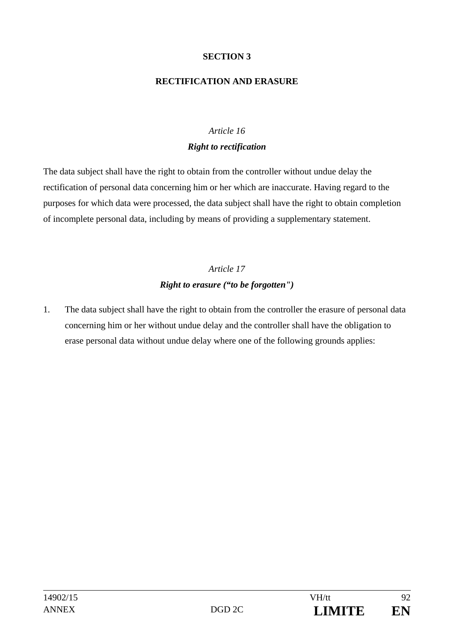### **SECTION 3**

#### **RECTIFICATION AND ERASURE**

#### *Article 16*

#### *Right to rectification*

The data subject shall have the right to obtain from the controller without undue delay the rectification of personal data concerning him or her which are inaccurate. Having regard to the purposes for which data were processed, the data subject shall have the right to obtain completion of incomplete personal data, including by means of providing a supplementary statement.

# *Article 17 Right to erasure ("to be forgotten")*

1. The data subject shall have the right to obtain from the controller the erasure of personal data concerning him or her without undue delay and the controller shall have the obligation to erase personal data without undue delay where one of the following grounds applies: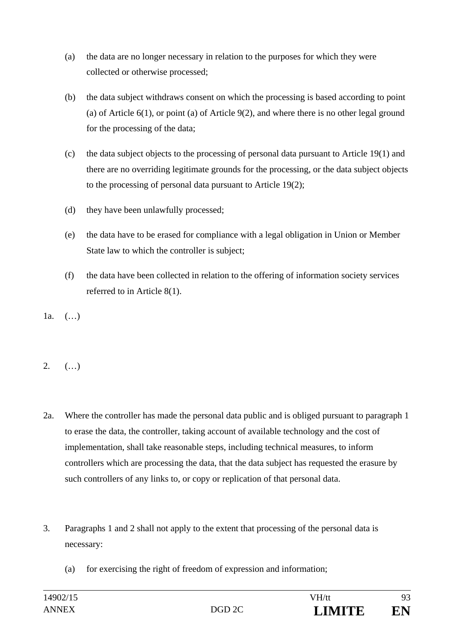- (a) the data are no longer necessary in relation to the purposes for which they were collected or otherwise processed;
- (b) the data subject withdraws consent on which the processing is based according to point (a) of Article 6(1), or point (a) of Article 9(2), and where there is no other legal ground for the processing of the data;
- (c) the data subject objects to the processing of personal data pursuant to Article 19(1) and there are no overriding legitimate grounds for the processing, or the data subject objects to the processing of personal data pursuant to Article 19(2);
- (d) they have been unlawfully processed;
- (e) the data have to be erased for compliance with a legal obligation in Union or Member State law to which the controller is subject;
- (f) the data have been collected in relation to the offering of information society services referred to in Article 8(1).

1a. (…)

- 2.  $( ...)$
- 2a. Where the controller has made the personal data public and is obliged pursuant to paragraph 1 to erase the data, the controller, taking account of available technology and the cost of implementation, shall take reasonable steps, including technical measures, to inform controllers which are processing the data, that the data subject has requested the erasure by such controllers of any links to, or copy or replication of that personal data.
- 3. Paragraphs 1 and 2 shall not apply to the extent that processing of the personal data is necessary:
	- (a) for exercising the right of freedom of expression and information;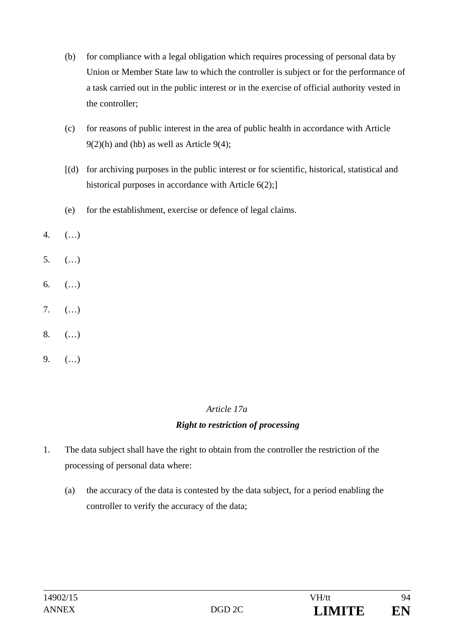- (b) for compliance with a legal obligation which requires processing of personal data by Union or Member State law to which the controller is subject or for the performance of a task carried out in the public interest or in the exercise of official authority vested in the controller;
- (c) for reasons of public interest in the area of public health in accordance with Article  $9(2)(h)$  and (hb) as well as Article  $9(4)$ ;
- [(d) for archiving purposes in the public interest or for scientific, historical, statistical and historical purposes in accordance with Article 6(2);
- (e) for the establishment, exercise or defence of legal claims.
- 4. (…)
- 5. (…)
- 6.  $($ ...)
- 7. (…)
- 8. (…)
- 9. (…)

## *Article 17a*

## *Right to restriction of processing*

- 1. The data subject shall have the right to obtain from the controller the restriction of the processing of personal data where:
	- (a) the accuracy of the data is contested by the data subject, for a period enabling the controller to verify the accuracy of the data;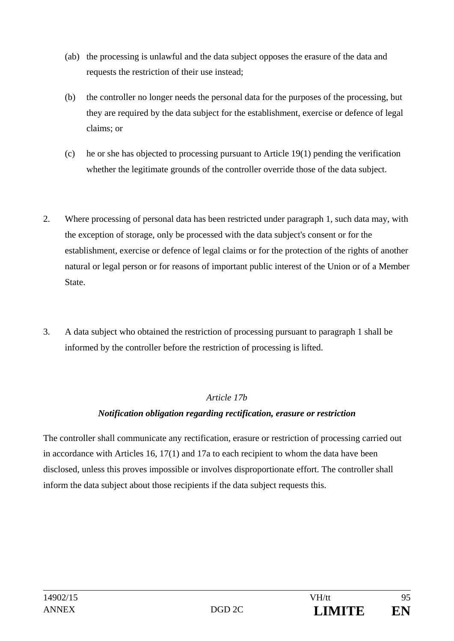- (ab) the processing is unlawful and the data subject opposes the erasure of the data and requests the restriction of their use instead;
- (b) the controller no longer needs the personal data for the purposes of the processing, but they are required by the data subject for the establishment, exercise or defence of legal claims; or
- (c) he or she has objected to processing pursuant to Article 19(1) pending the verification whether the legitimate grounds of the controller override those of the data subject.
- 2. Where processing of personal data has been restricted under paragraph 1, such data may, with the exception of storage, only be processed with the data subject's consent or for the establishment, exercise or defence of legal claims or for the protection of the rights of another natural or legal person or for reasons of important public interest of the Union or of a Member State.
- 3. A data subject who obtained the restriction of processing pursuant to paragraph 1 shall be informed by the controller before the restriction of processing is lifted.

### *Article 17b*

## *Notification obligation regarding rectification, erasure or restriction*

The controller shall communicate any rectification, erasure or restriction of processing carried out in accordance with Articles 16, 17(1) and 17a to each recipient to whom the data have been disclosed, unless this proves impossible or involves disproportionate effort. The controller shall inform the data subject about those recipients if the data subject requests this.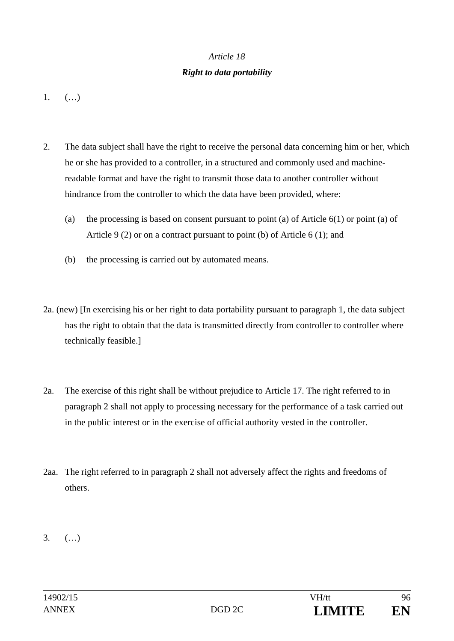## *Article 18 Right to data portability*

 $1.$   $($ ...)

- 2. The data subject shall have the right to receive the personal data concerning him or her, which he or she has provided to a controller, in a structured and commonly used and machinereadable format and have the right to transmit those data to another controller without hindrance from the controller to which the data have been provided, where:
	- (a) the processing is based on consent pursuant to point (a) of Article  $6(1)$  or point (a) of Article 9 (2) or on a contract pursuant to point (b) of Article 6 (1); and
	- (b) the processing is carried out by automated means.
- 2a. (new) [In exercising his or her right to data portability pursuant to paragraph 1, the data subject has the right to obtain that the data is transmitted directly from controller to controller where technically feasible.]
- 2a. The exercise of this right shall be without prejudice to Article 17. The right referred to in paragraph 2 shall not apply to processing necessary for the performance of a task carried out in the public interest or in the exercise of official authority vested in the controller.
- 2aa. The right referred to in paragraph 2 shall not adversely affect the rights and freedoms of others.
- 3. (…)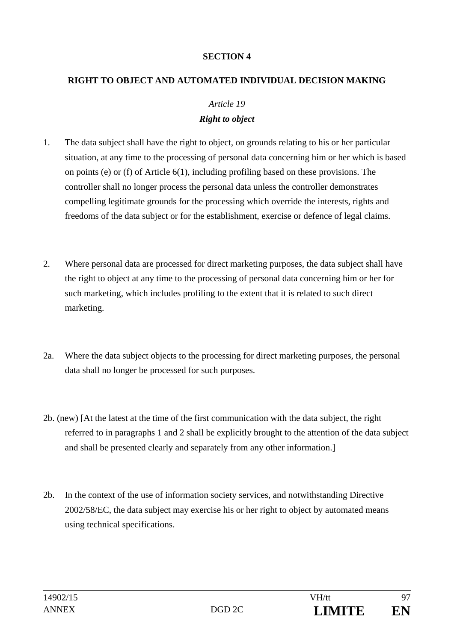#### **SECTION 4**

#### **RIGHT TO OBJECT AND AUTOMATED INDIVIDUAL DECISION MAKING**

## *Article 19 Right to object*

- 1. The data subject shall have the right to object, on grounds relating to his or her particular situation, at any time to the processing of personal data concerning him or her which is based on points (e) or (f) of Article 6(1), including profiling based on these provisions. The controller shall no longer process the personal data unless the controller demonstrates compelling legitimate grounds for the processing which override the interests, rights and freedoms of the data subject or for the establishment, exercise or defence of legal claims.
- 2. Where personal data are processed for direct marketing purposes, the data subject shall have the right to object at any time to the processing of personal data concerning him or her for such marketing, which includes profiling to the extent that it is related to such direct marketing.
- 2a. Where the data subject objects to the processing for direct marketing purposes, the personal data shall no longer be processed for such purposes.
- 2b. (new) [At the latest at the time of the first communication with the data subject, the right referred to in paragraphs 1 and 2 shall be explicitly brought to the attention of the data subject and shall be presented clearly and separately from any other information.]
- 2b. In the context of the use of information society services, and notwithstanding Directive 2002/58/EC, the data subject may exercise his or her right to object by automated means using technical specifications.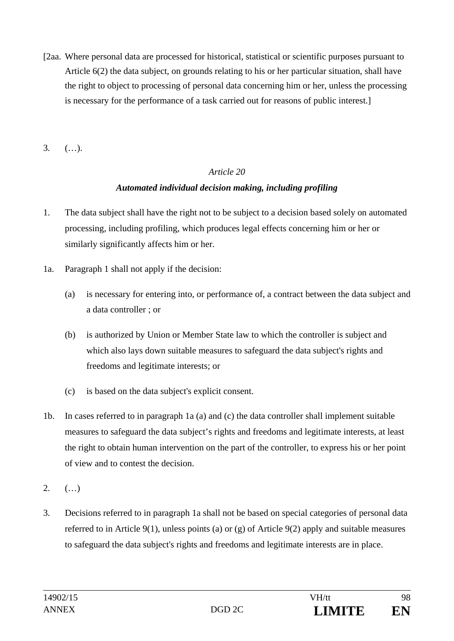- [2aa. Where personal data are processed for historical, statistical or scientific purposes pursuant to Article 6(2) the data subject, on grounds relating to his or her particular situation, shall have the right to object to processing of personal data concerning him or her, unless the processing is necessary for the performance of a task carried out for reasons of public interest.]
- 3. (…).

## *Article 20*

## *Automated individual decision making, including profiling*

- 1. The data subject shall have the right not to be subject to a decision based solely on automated processing, including profiling, which produces legal effects concerning him or her or similarly significantly affects him or her.
- 1a. Paragraph 1 shall not apply if the decision:
	- (a) is necessary for entering into, or performance of, a contract between the data subject and a data controller ; or
	- (b) is authorized by Union or Member State law to which the controller is subject and which also lays down suitable measures to safeguard the data subject's rights and freedoms and legitimate interests; or
	- (c) is based on the data subject's explicit consent.
- 1b. In cases referred to in paragraph 1a (a) and (c) the data controller shall implement suitable measures to safeguard the data subject's rights and freedoms and legitimate interests, at least the right to obtain human intervention on the part of the controller, to express his or her point of view and to contest the decision.
- 2. (…)
- 3. Decisions referred to in paragraph 1a shall not be based on special categories of personal data referred to in Article 9(1), unless points (a) or (g) of Article 9(2) apply and suitable measures to safeguard the data subject's rights and freedoms and legitimate interests are in place.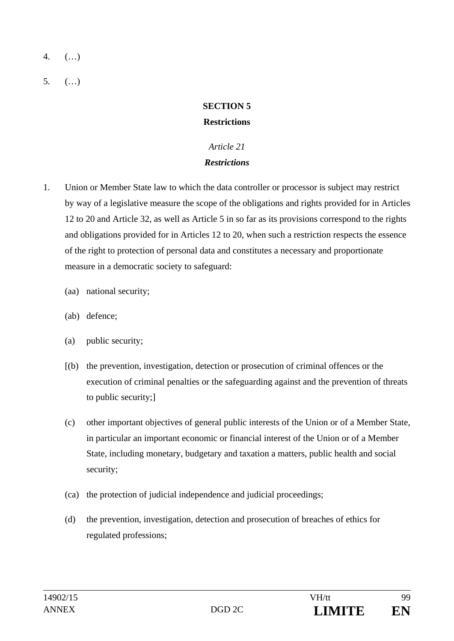- 4. (…)
- 5. (…)

## **SECTION 5 Restrictions**

## *Article 21*

### *Restrictions*

- 1. Union or Member State law to which the data controller or processor is subject may restrict by way of a legislative measure the scope of the obligations and rights provided for in Articles 12 to 20 and Article 32, as well as Article 5 in so far as its provisions correspond to the rights and obligations provided for in Articles 12 to 20, when such a restriction respects the essence of the right to protection of personal data and constitutes a necessary and proportionate measure in a democratic society to safeguard:
	- (aa) national security;
	- (ab) defence;
	- (a) public security;
	- [(b) the prevention, investigation, detection or prosecution of criminal offences or the execution of criminal penalties or the safeguarding against and the prevention of threats to public security;]
	- (c) other important objectives of general public interests of the Union or of a Member State, in particular an important economic or financial interest of the Union or of a Member State, including monetary, budgetary and taxation a matters, public health and social security;
	- (ca) the protection of judicial independence and judicial proceedings;
	- (d) the prevention, investigation, detection and prosecution of breaches of ethics for regulated professions;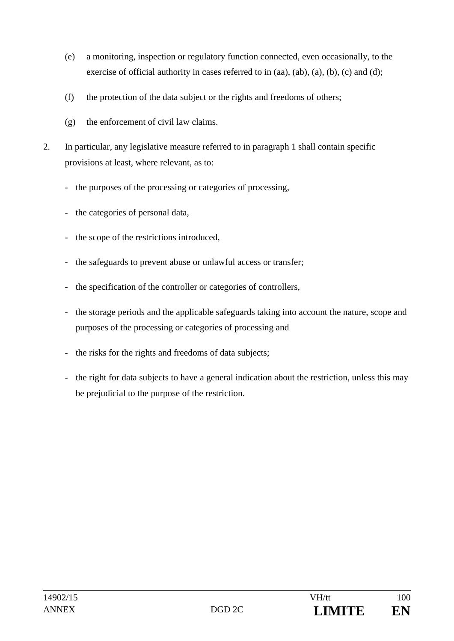- (e) a monitoring, inspection or regulatory function connected, even occasionally, to the exercise of official authority in cases referred to in (aa), (ab), (a), (b), (c) and (d);
- (f) the protection of the data subject or the rights and freedoms of others;
- (g) the enforcement of civil law claims.
- 2. In particular, any legislative measure referred to in paragraph 1 shall contain specific provisions at least, where relevant, as to:
	- the purposes of the processing or categories of processing,
	- the categories of personal data,
	- the scope of the restrictions introduced,
	- the safeguards to prevent abuse or unlawful access or transfer;
	- the specification of the controller or categories of controllers,
	- the storage periods and the applicable safeguards taking into account the nature, scope and purposes of the processing or categories of processing and
	- the risks for the rights and freedoms of data subjects;
	- the right for data subjects to have a general indication about the restriction, unless this may be prejudicial to the purpose of the restriction.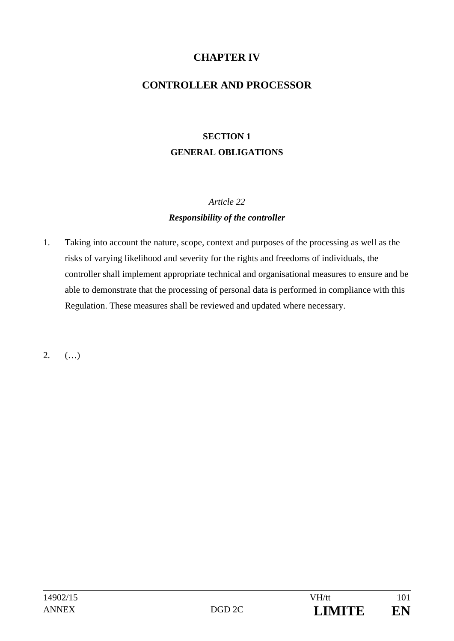## **CHAPTER IV**

## **CONTROLLER AND PROCESSOR**

# **SECTION 1 GENERAL OBLIGATIONS**

## *Article 22*

## *Responsibility of the controller*

1. Taking into account the nature, scope, context and purposes of the processing as well as the risks of varying likelihood and severity for the rights and freedoms of individuals, the controller shall implement appropriate technical and organisational measures to ensure and be able to demonstrate that the processing of personal data is performed in compliance with this Regulation. These measures shall be reviewed and updated where necessary.

2.  $(...)$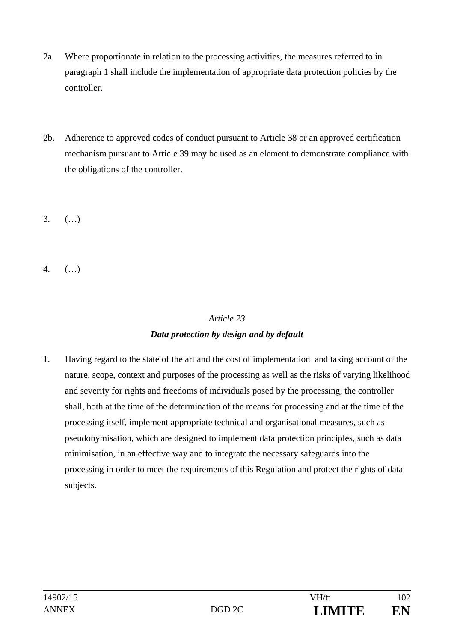- 2a. Where proportionate in relation to the processing activities, the measures referred to in paragraph 1 shall include the implementation of appropriate data protection policies by the controller.
- 2b. Adherence to approved codes of conduct pursuant to Article 38 or an approved certification mechanism pursuant to Article 39 may be used as an element to demonstrate compliance with the obligations of the controller.

3. (…)

4. (…)

## *Article 23 Data protection by design and by default*

1. Having regard to the state of the art and the cost of implementation and taking account of the nature, scope, context and purposes of the processing as well as the risks of varying likelihood and severity for rights and freedoms of individuals posed by the processing, the controller shall, both at the time of the determination of the means for processing and at the time of the processing itself, implement appropriate technical and organisational measures, such as pseudonymisation, which are designed to implement data protection principles, such as data minimisation, in an effective way and to integrate the necessary safeguards into the processing in order to meet the requirements of this Regulation and protect the rights of data subjects.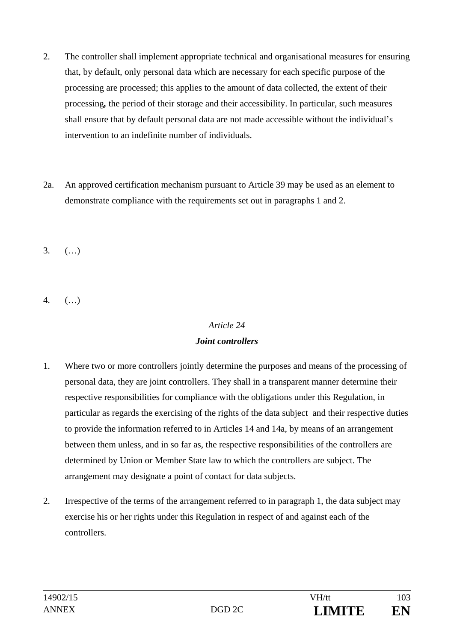- 2. The controller shall implement appropriate technical and organisational measures for ensuring that, by default, only personal data which are necessary for each specific purpose of the processing are processed; this applies to the amount of data collected, the extent of their processing*,* the period of their storage and their accessibility. In particular, such measures shall ensure that by default personal data are not made accessible without the individual's intervention to an indefinite number of individuals.
- 2a. An approved certification mechanism pursuant to Article 39 may be used as an element to demonstrate compliance with the requirements set out in paragraphs 1 and 2.
- 3. (…)
- 4. (…)

### *Article 24*

#### *Joint controllers*

- 1. Where two or more controllers jointly determine the purposes and means of the processing of personal data, they are joint controllers. They shall in a transparent manner determine their respective responsibilities for compliance with the obligations under this Regulation, in particular as regards the exercising of the rights of the data subject and their respective duties to provide the information referred to in Articles 14 and 14a, by means of an arrangement between them unless, and in so far as, the respective responsibilities of the controllers are determined by Union or Member State law to which the controllers are subject. The arrangement may designate a point of contact for data subjects.
- 2. Irrespective of the terms of the arrangement referred to in paragraph 1, the data subject may exercise his or her rights under this Regulation in respect of and against each of the controllers.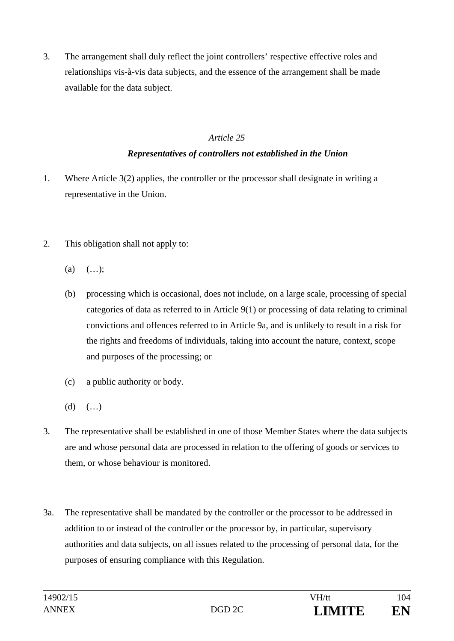3. The arrangement shall duly reflect the joint controllers' respective effective roles and relationships vis-à-vis data subjects, and the essence of the arrangement shall be made available for the data subject.

### *Article 25*

## *Representatives of controllers not established in the Union*

- 1. Where Article 3(2) applies, the controller or the processor shall designate in writing a representative in the Union.
- 2. This obligation shall not apply to:
	- (a)  $(...);$
	- (b) processing which is occasional, does not include, on a large scale, processing of special categories of data as referred to in Article 9(1) or processing of data relating to criminal convictions and offences referred to in Article 9a, and is unlikely to result in a risk for the rights and freedoms of individuals, taking into account the nature, context, scope and purposes of the processing; or
	- (c) a public authority or body.
	- $(d)$   $($ ... $)$
- 3. The representative shall be established in one of those Member States where the data subjects are and whose personal data are processed in relation to the offering of goods or services to them, or whose behaviour is monitored.
- 3a. The representative shall be mandated by the controller or the processor to be addressed in addition to or instead of the controller or the processor by, in particular, supervisory authorities and data subjects, on all issues related to the processing of personal data, for the purposes of ensuring compliance with this Regulation.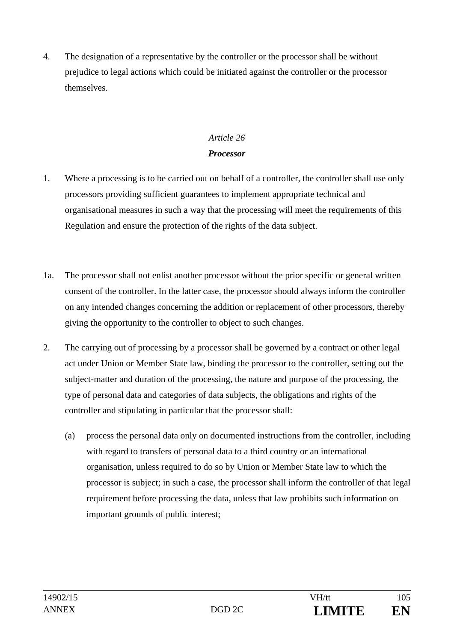4. The designation of a representative by the controller or the processor shall be without prejudice to legal actions which could be initiated against the controller or the processor themselves.

## *Article 26 Processor*

- 1. Where a processing is to be carried out on behalf of a controller, the controller shall use only processors providing sufficient guarantees to implement appropriate technical and organisational measures in such a way that the processing will meet the requirements of this Regulation and ensure the protection of the rights of the data subject.
- 1a. The processor shall not enlist another processor without the prior specific or general written consent of the controller. In the latter case, the processor should always inform the controller on any intended changes concerning the addition or replacement of other processors, thereby giving the opportunity to the controller to object to such changes.
- 2. The carrying out of processing by a processor shall be governed by a contract or other legal act under Union or Member State law, binding the processor to the controller, setting out the subject-matter and duration of the processing, the nature and purpose of the processing, the type of personal data and categories of data subjects, the obligations and rights of the controller and stipulating in particular that the processor shall:
	- (a) process the personal data only on documented instructions from the controller, including with regard to transfers of personal data to a third country or an international organisation, unless required to do so by Union or Member State law to which the processor is subject; in such a case, the processor shall inform the controller of that legal requirement before processing the data, unless that law prohibits such information on important grounds of public interest;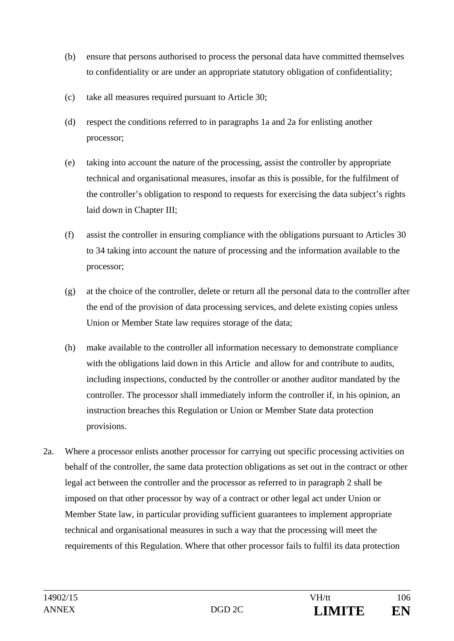- (b) ensure that persons authorised to process the personal data have committed themselves to confidentiality or are under an appropriate statutory obligation of confidentiality;
- (c) take all measures required pursuant to Article 30;
- (d) respect the conditions referred to in paragraphs 1a and 2a for enlisting another processor;
- (e) taking into account the nature of the processing, assist the controller by appropriate technical and organisational measures, insofar as this is possible, for the fulfilment of the controller's obligation to respond to requests for exercising the data subject's rights laid down in Chapter III;
- (f) assist the controller in ensuring compliance with the obligations pursuant to Articles 30 to 34 taking into account the nature of processing and the information available to the processor;
- (g) at the choice of the controller, delete or return all the personal data to the controller after the end of the provision of data processing services, and delete existing copies unless Union or Member State law requires storage of the data;
- (h) make available to the controller all information necessary to demonstrate compliance with the obligations laid down in this Article and allow for and contribute to audits, including inspections, conducted by the controller or another auditor mandated by the controller. The processor shall immediately inform the controller if, in his opinion, an instruction breaches this Regulation or Union or Member State data protection provisions.
- 2a. Where a processor enlists another processor for carrying out specific processing activities on behalf of the controller, the same data protection obligations as set out in the contract or other legal act between the controller and the processor as referred to in paragraph 2 shall be imposed on that other processor by way of a contract or other legal act under Union or Member State law, in particular providing sufficient guarantees to implement appropriate technical and organisational measures in such a way that the processing will meet the requirements of this Regulation. Where that other processor fails to fulfil its data protection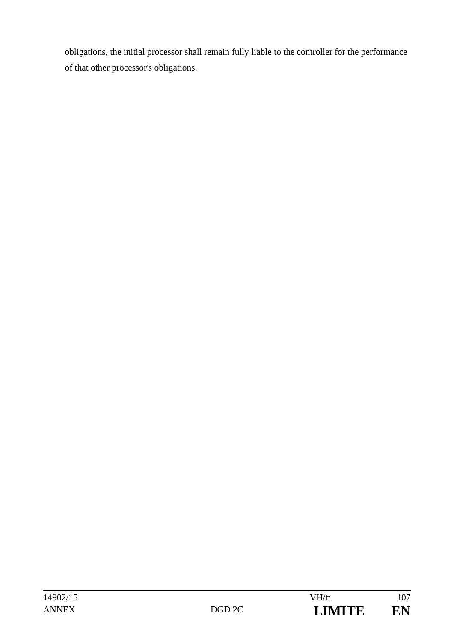obligations, the initial processor shall remain fully liable to the controller for the performance of that other processor's obligations.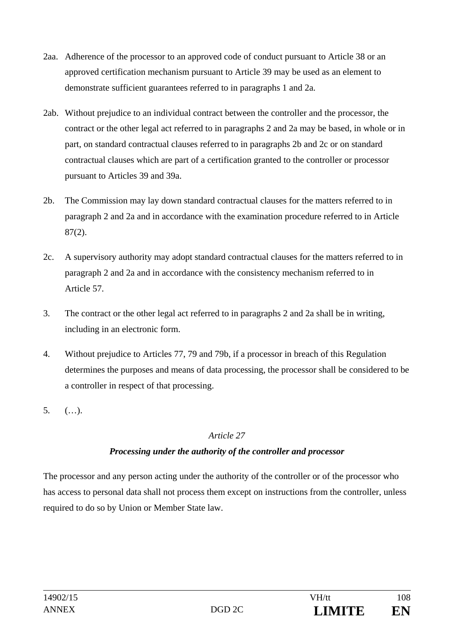- 2aa. Adherence of the processor to an approved code of conduct pursuant to Article 38 or an approved certification mechanism pursuant to Article 39 may be used as an element to demonstrate sufficient guarantees referred to in paragraphs 1 and 2a.
- 2ab. Without prejudice to an individual contract between the controller and the processor, the contract or the other legal act referred to in paragraphs 2 and 2a may be based, in whole or in part, on standard contractual clauses referred to in paragraphs 2b and 2c or on standard contractual clauses which are part of a certification granted to the controller or processor pursuant to Articles 39 and 39a.
- 2b. The Commission may lay down standard contractual clauses for the matters referred to in paragraph 2 and 2a and in accordance with the examination procedure referred to in Article 87(2).
- 2c. A supervisory authority may adopt standard contractual clauses for the matters referred to in paragraph 2 and 2a and in accordance with the consistency mechanism referred to in Article 57.
- 3. The contract or the other legal act referred to in paragraphs 2 and 2a shall be in writing, including in an electronic form.
- 4. Without prejudice to Articles 77, 79 and 79b, if a processor in breach of this Regulation determines the purposes and means of data processing, the processor shall be considered to be a controller in respect of that processing.
- 5. (…).

## *Article 27*

## *Processing under the authority of the controller and processor*

The processor and any person acting under the authority of the controller or of the processor who has access to personal data shall not process them except on instructions from the controller, unless required to do so by Union or Member State law.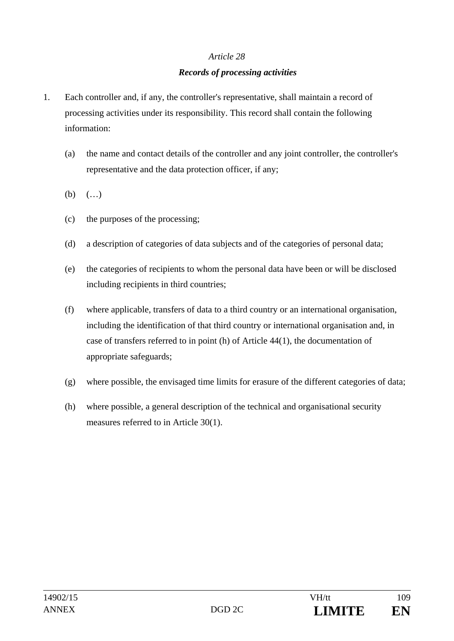### *Records of processing activities*

- 1. Each controller and, if any, the controller's representative, shall maintain a record of processing activities under its responsibility. This record shall contain the following information:
	- (a) the name and contact details of the controller and any joint controller, the controller's representative and the data protection officer, if any;
	- (b) (…)
	- (c) the purposes of the processing;
	- (d) a description of categories of data subjects and of the categories of personal data;
	- (e) the categories of recipients to whom the personal data have been or will be disclosed including recipients in third countries;
	- (f) where applicable, transfers of data to a third country or an international organisation, including the identification of that third country or international organisation and, in case of transfers referred to in point (h) of Article 44(1), the documentation of appropriate safeguards;
	- (g) where possible, the envisaged time limits for erasure of the different categories of data;
	- (h) where possible, a general description of the technical and organisational security measures referred to in Article 30(1).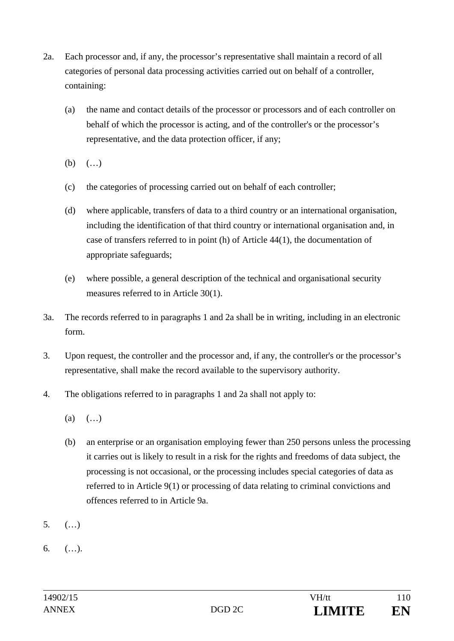- 2a. Each processor and, if any, the processor's representative shall maintain a record of all categories of personal data processing activities carried out on behalf of a controller, containing:
	- (a) the name and contact details of the processor or processors and of each controller on behalf of which the processor is acting, and of the controller's or the processor's representative, and the data protection officer, if any;
	- (b) (…)
	- (c) the categories of processing carried out on behalf of each controller;
	- (d) where applicable, transfers of data to a third country or an international organisation, including the identification of that third country or international organisation and, in case of transfers referred to in point (h) of Article 44(1), the documentation of appropriate safeguards;
	- (e) where possible, a general description of the technical and organisational security measures referred to in Article 30(1).
- 3a. The records referred to in paragraphs 1 and 2a shall be in writing, including in an electronic form.
- 3. Upon request, the controller and the processor and, if any, the controller's or the processor's representative, shall make the record available to the supervisory authority.
- 4. The obligations referred to in paragraphs 1 and 2a shall not apply to:
	- $(a)$   $(...)$
	- (b) an enterprise or an organisation employing fewer than 250 persons unless the processing it carries out is likely to result in a risk for the rights and freedoms of data subject, the processing is not occasional, or the processing includes special categories of data as referred to in Article 9(1) or processing of data relating to criminal convictions and offences referred to in Article 9a.
- 5. (…)
- 6.  $($ ...).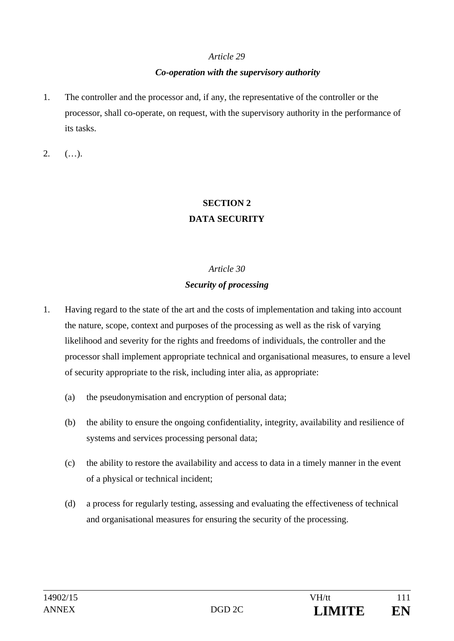#### *Co-operation with the supervisory authority*

- 1. The controller and the processor and, if any, the representative of the controller or the processor, shall co-operate, on request, with the supervisory authority in the performance of its tasks.
- 2. (…).

# **SECTION 2 DATA SECURITY**

# *Article 30 Security of processing*

- 1. Having regard to the state of the art and the costs of implementation and taking into account the nature, scope, context and purposes of the processing as well as the risk of varying likelihood and severity for the rights and freedoms of individuals, the controller and the processor shall implement appropriate technical and organisational measures, to ensure a level of security appropriate to the risk, including inter alia, as appropriate:
	- (a) the pseudonymisation and encryption of personal data;
	- (b) the ability to ensure the ongoing confidentiality, integrity, availability and resilience of systems and services processing personal data;
	- (c) the ability to restore the availability and access to data in a timely manner in the event of a physical or technical incident;
	- (d) a process for regularly testing, assessing and evaluating the effectiveness of technical and organisational measures for ensuring the security of the processing.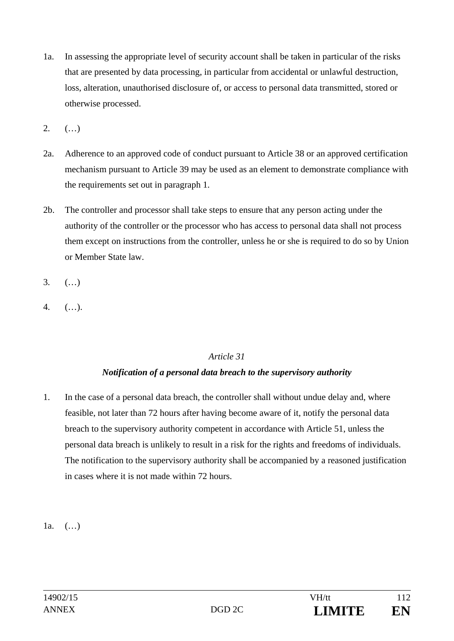- 1a. In assessing the appropriate level of security account shall be taken in particular of the risks that are presented by data processing, in particular from accidental or unlawful destruction, loss, alteration, unauthorised disclosure of, or access to personal data transmitted, stored or otherwise processed.
- $2.$   $($ ...)
- 2a. Adherence to an approved code of conduct pursuant to Article 38 or an approved certification mechanism pursuant to Article 39 may be used as an element to demonstrate compliance with the requirements set out in paragraph 1.
- 2b. The controller and processor shall take steps to ensure that any person acting under the authority of the controller or the processor who has access to personal data shall not process them except on instructions from the controller, unless he or she is required to do so by Union or Member State law.
- 3. (…)
- 4. (…).

### *Notification of a personal data breach to the supervisory authority*

1. In the case of a personal data breach, the controller shall without undue delay and, where feasible, not later than 72 hours after having become aware of it, notify the personal data breach to the supervisory authority competent in accordance with Article 51, unless the personal data breach is unlikely to result in a risk for the rights and freedoms of individuals. The notification to the supervisory authority shall be accompanied by a reasoned justification in cases where it is not made within 72 hours.

1a. (…)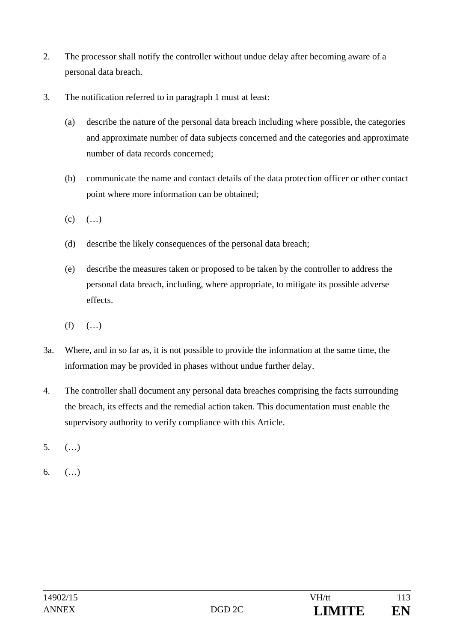- 2. The processor shall notify the controller without undue delay after becoming aware of a personal data breach.
- 3. The notification referred to in paragraph 1 must at least:
	- (a) describe the nature of the personal data breach including where possible, the categories and approximate number of data subjects concerned and the categories and approximate number of data records concerned;
	- (b) communicate the name and contact details of the data protection officer or other contact point where more information can be obtained;
	- $(c)$   $($ ...)
	- (d) describe the likely consequences of the personal data breach;
	- (e) describe the measures taken or proposed to be taken by the controller to address the personal data breach, including, where appropriate, to mitigate its possible adverse effects.
	- $(f)$   $(...)$
- 3a. Where, and in so far as, it is not possible to provide the information at the same time, the information may be provided in phases without undue further delay.
- 4. The controller shall document any personal data breaches comprising the facts surrounding the breach, its effects and the remedial action taken. This documentation must enable the supervisory authority to verify compliance with this Article.
- 5. (…)
- 6. (…)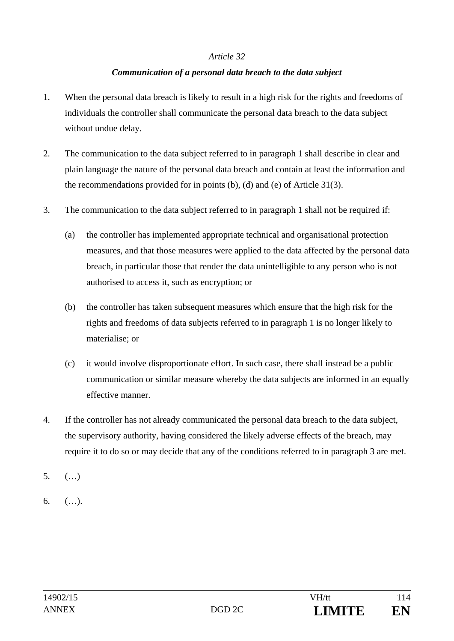#### *Communication of a personal data breach to the data subject*

- 1. When the personal data breach is likely to result in a high risk for the rights and freedoms of individuals the controller shall communicate the personal data breach to the data subject without undue delay.
- 2. The communication to the data subject referred to in paragraph 1 shall describe in clear and plain language the nature of the personal data breach and contain at least the information and the recommendations provided for in points (b), (d) and (e) of Article 31(3).
- 3. The communication to the data subject referred to in paragraph 1 shall not be required if:
	- (a) the controller has implemented appropriate technical and organisational protection measures, and that those measures were applied to the data affected by the personal data breach, in particular those that render the data unintelligible to any person who is not authorised to access it, such as encryption; or
	- (b) the controller has taken subsequent measures which ensure that the high risk for the rights and freedoms of data subjects referred to in paragraph 1 is no longer likely to materialise; or
	- (c) it would involve disproportionate effort. In such case, there shall instead be a public communication or similar measure whereby the data subjects are informed in an equally effective manner.
- 4. If the controller has not already communicated the personal data breach to the data subject, the supervisory authority, having considered the likely adverse effects of the breach, may require it to do so or may decide that any of the conditions referred to in paragraph 3 are met.
- 5. (…)
- 6.  $($ ...).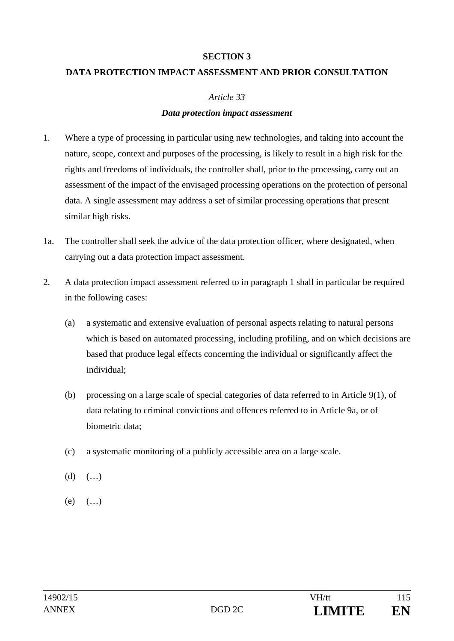#### **SECTION 3**

#### **DATA PROTECTION IMPACT ASSESSMENT AND PRIOR CONSULTATION**

#### *Article 33*

#### *Data protection impact assessment*

- 1. Where a type of processing in particular using new technologies, and taking into account the nature, scope, context and purposes of the processing, is likely to result in a high risk for the rights and freedoms of individuals, the controller shall, prior to the processing, carry out an assessment of the impact of the envisaged processing operations on the protection of personal data. A single assessment may address a set of similar processing operations that present similar high risks.
- 1a. The controller shall seek the advice of the data protection officer, where designated, when carrying out a data protection impact assessment.
- 2. A data protection impact assessment referred to in paragraph 1 shall in particular be required in the following cases:
	- (a) a systematic and extensive evaluation of personal aspects relating to natural persons which is based on automated processing, including profiling, and on which decisions are based that produce legal effects concerning the individual or significantly affect the individual;
	- (b) processing on a large scale of special categories of data referred to in Article 9(1), of data relating to criminal convictions and offences referred to in Article 9a, or of biometric data;
	- (c) a systematic monitoring of a publicly accessible area on a large scale.
	- $(d)$   $(...)$
	- $(e)$   $(...)$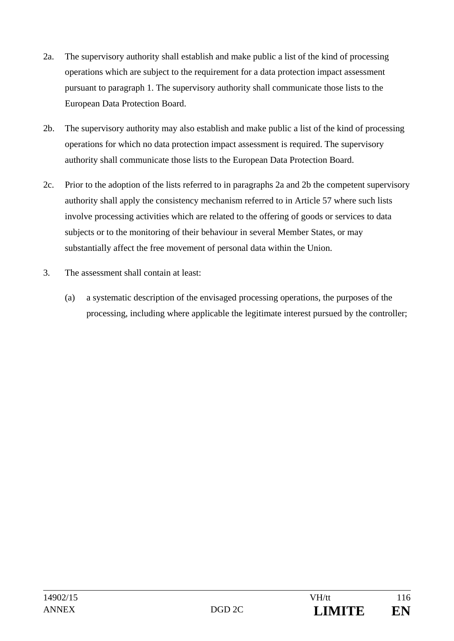- 2a. The supervisory authority shall establish and make public a list of the kind of processing operations which are subject to the requirement for a data protection impact assessment pursuant to paragraph 1. The supervisory authority shall communicate those lists to the European Data Protection Board.
- 2b. The supervisory authority may also establish and make public a list of the kind of processing operations for which no data protection impact assessment is required. The supervisory authority shall communicate those lists to the European Data Protection Board.
- 2c. Prior to the adoption of the lists referred to in paragraphs 2a and 2b the competent supervisory authority shall apply the consistency mechanism referred to in Article 57 where such lists involve processing activities which are related to the offering of goods or services to data subjects or to the monitoring of their behaviour in several Member States, or may substantially affect the free movement of personal data within the Union.
- 3. The assessment shall contain at least:
	- (a) a systematic description of the envisaged processing operations, the purposes of the processing, including where applicable the legitimate interest pursued by the controller;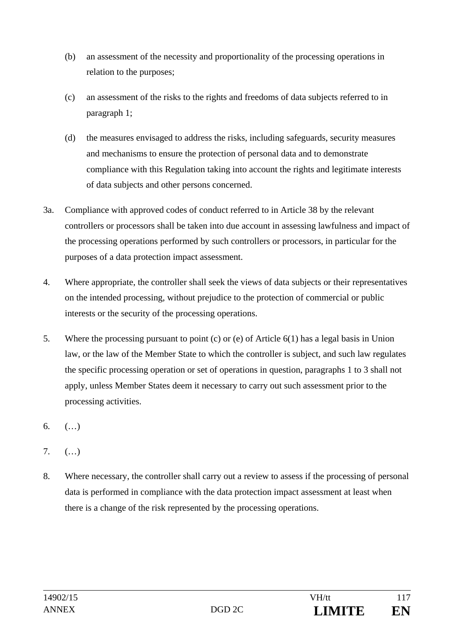- (b) an assessment of the necessity and proportionality of the processing operations in relation to the purposes;
- (c) an assessment of the risks to the rights and freedoms of data subjects referred to in paragraph 1;
- (d) the measures envisaged to address the risks, including safeguards, security measures and mechanisms to ensure the protection of personal data and to demonstrate compliance with this Regulation taking into account the rights and legitimate interests of data subjects and other persons concerned.
- 3a. Compliance with approved codes of conduct referred to in Article 38 by the relevant controllers or processors shall be taken into due account in assessing lawfulness and impact of the processing operations performed by such controllers or processors, in particular for the purposes of a data protection impact assessment.
- 4. Where appropriate, the controller shall seek the views of data subjects or their representatives on the intended processing, without prejudice to the protection of commercial or public interests or the security of the processing operations.
- 5. Where the processing pursuant to point (c) or (e) of Article 6(1) has a legal basis in Union law, or the law of the Member State to which the controller is subject, and such law regulates the specific processing operation or set of operations in question, paragraphs 1 to 3 shall not apply, unless Member States deem it necessary to carry out such assessment prior to the processing activities.
- 6.  $($ ...)
- 7. (…)
- 8. Where necessary, the controller shall carry out a review to assess if the processing of personal data is performed in compliance with the data protection impact assessment at least when there is a change of the risk represented by the processing operations.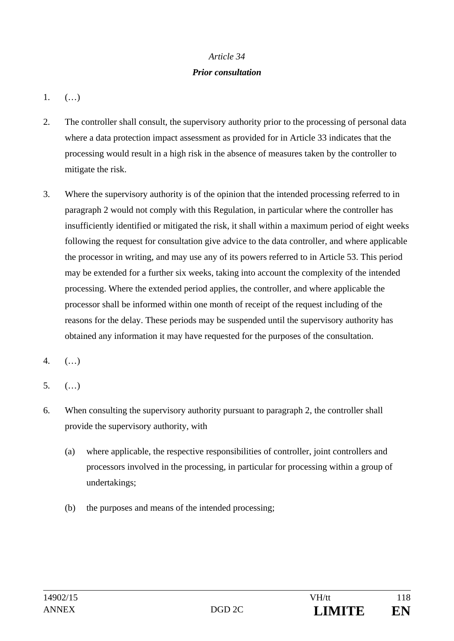### *Article 34 Prior consultation*

 $1. (...)$ 

- 2. The controller shall consult, the supervisory authority prior to the processing of personal data where a data protection impact assessment as provided for in Article 33 indicates that the processing would result in a high risk in the absence of measures taken by the controller to mitigate the risk.
- 3. Where the supervisory authority is of the opinion that the intended processing referred to in paragraph 2 would not comply with this Regulation, in particular where the controller has insufficiently identified or mitigated the risk, it shall within a maximum period of eight weeks following the request for consultation give advice to the data controller, and where applicable the processor in writing, and may use any of its powers referred to in Article 53. This period may be extended for a further six weeks, taking into account the complexity of the intended processing. Where the extended period applies, the controller, and where applicable the processor shall be informed within one month of receipt of the request including of the reasons for the delay. These periods may be suspended until the supervisory authority has obtained any information it may have requested for the purposes of the consultation.
- 4. (…)
- 5. (…)
- 6. When consulting the supervisory authority pursuant to paragraph 2, the controller shall provide the supervisory authority, with
	- (a) where applicable, the respective responsibilities of controller, joint controllers and processors involved in the processing, in particular for processing within a group of undertakings;
	- (b) the purposes and means of the intended processing;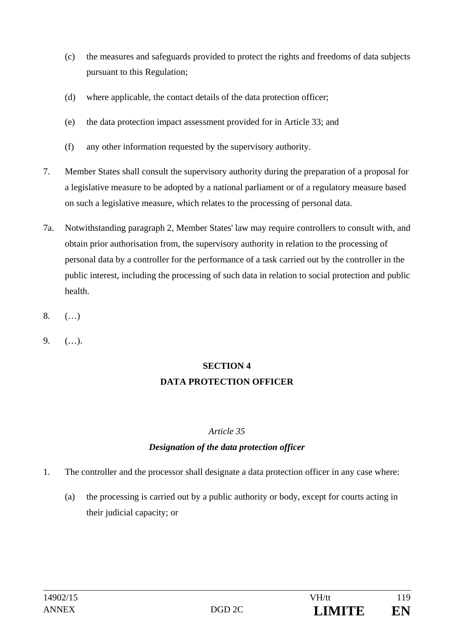- (c) the measures and safeguards provided to protect the rights and freedoms of data subjects pursuant to this Regulation;
- (d) where applicable, the contact details of the data protection officer;
- (e) the data protection impact assessment provided for in Article 33; and
- (f) any other information requested by the supervisory authority.
- 7. Member States shall consult the supervisory authority during the preparation of a proposal for a legislative measure to be adopted by a national parliament or of a regulatory measure based on such a legislative measure, which relates to the processing of personal data.
- 7a. Notwithstanding paragraph 2, Member States' law may require controllers to consult with, and obtain prior authorisation from, the supervisory authority in relation to the processing of personal data by a controller for the performance of a task carried out by the controller in the public interest, including the processing of such data in relation to social protection and public health.
- 8. (…)
- 9. (…).

# **SECTION 4 DATA PROTECTION OFFICER**

### *Article 35*

### *Designation of the data protection officer*

- 1. The controller and the processor shall designate a data protection officer in any case where:
	- (a) the processing is carried out by a public authority or body, except for courts acting in their judicial capacity; or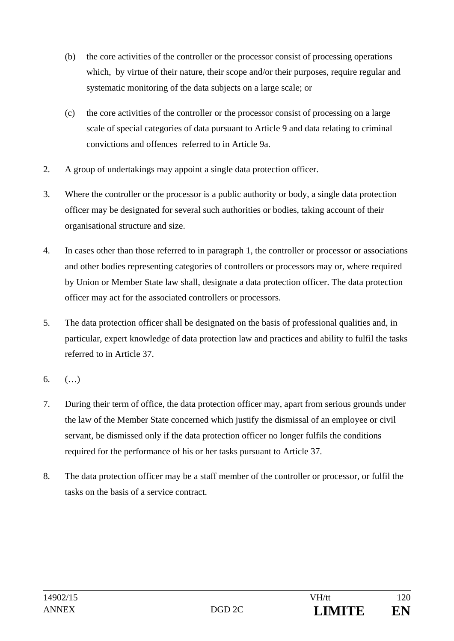- (b) the core activities of the controller or the processor consist of processing operations which, by virtue of their nature, their scope and/or their purposes, require regular and systematic monitoring of the data subjects on a large scale; or
- (c) the core activities of the controller or the processor consist of processing on a large scale of special categories of data pursuant to Article 9 and data relating to criminal convictions and offences referred to in Article 9a.
- 2. A group of undertakings may appoint a single data protection officer.
- 3. Where the controller or the processor is a public authority or body, a single data protection officer may be designated for several such authorities or bodies, taking account of their organisational structure and size.
- 4. In cases other than those referred to in paragraph 1, the controller or processor or associations and other bodies representing categories of controllers or processors may or, where required by Union or Member State law shall, designate a data protection officer. The data protection officer may act for the associated controllers or processors.
- 5. The data protection officer shall be designated on the basis of professional qualities and, in particular, expert knowledge of data protection law and practices and ability to fulfil the tasks referred to in Article 37.
- 6.  $($ ...)
- 7. During their term of office, the data protection officer may, apart from serious grounds under the law of the Member State concerned which justify the dismissal of an employee or civil servant, be dismissed only if the data protection officer no longer fulfils the conditions required for the performance of his or her tasks pursuant to Article 37.
- 8. The data protection officer may be a staff member of the controller or processor, or fulfil the tasks on the basis of a service contract.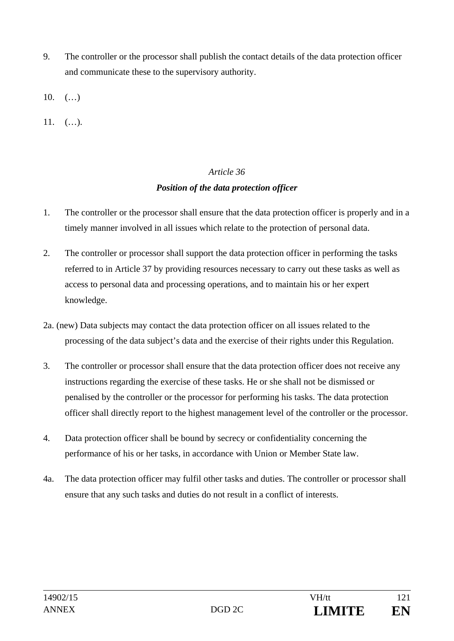- 9. The controller or the processor shall publish the contact details of the data protection officer and communicate these to the supervisory authority.
- $10.$   $($ ...)
- $11.$   $($ ...).

#### *Position of the data protection officer*

- 1. The controller or the processor shall ensure that the data protection officer is properly and in a timely manner involved in all issues which relate to the protection of personal data.
- 2. The controller or processor shall support the data protection officer in performing the tasks referred to in Article 37 by providing resources necessary to carry out these tasks as well as access to personal data and processing operations, and to maintain his or her expert knowledge.
- 2a. (new) Data subjects may contact the data protection officer on all issues related to the processing of the data subject's data and the exercise of their rights under this Regulation.
- 3. The controller or processor shall ensure that the data protection officer does not receive any instructions regarding the exercise of these tasks. He or she shall not be dismissed or penalised by the controller or the processor for performing his tasks. The data protection officer shall directly report to the highest management level of the controller or the processor.
- 4. Data protection officer shall be bound by secrecy or confidentiality concerning the performance of his or her tasks, in accordance with Union or Member State law.
- 4a. The data protection officer may fulfil other tasks and duties. The controller or processor shall ensure that any such tasks and duties do not result in a conflict of interests.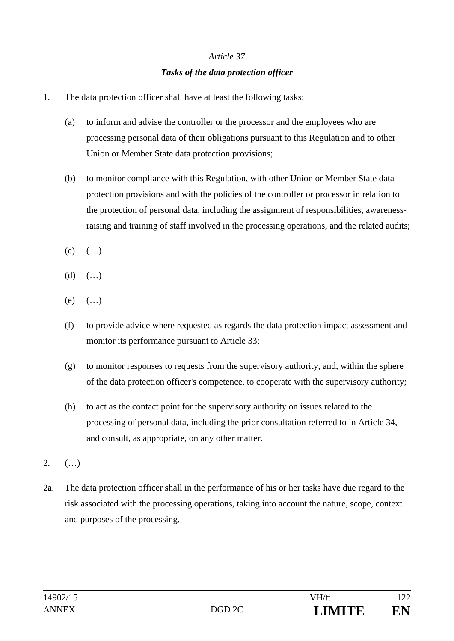### *Tasks of the data protection officer*

- 1. The data protection officer shall have at least the following tasks:
	- (a) to inform and advise the controller or the processor and the employees who are processing personal data of their obligations pursuant to this Regulation and to other Union or Member State data protection provisions;
	- (b) to monitor compliance with this Regulation, with other Union or Member State data protection provisions and with the policies of the controller or processor in relation to the protection of personal data, including the assignment of responsibilities, awarenessraising and training of staff involved in the processing operations, and the related audits;
	- $(c)$   $(...)$
	- $(d)$   $($ ...)
	- $(e)$   $(...)$
	- (f) to provide advice where requested as regards the data protection impact assessment and monitor its performance pursuant to Article 33;
	- (g) to monitor responses to requests from the supervisory authority, and, within the sphere of the data protection officer's competence, to cooperate with the supervisory authority;
	- (h) to act as the contact point for the supervisory authority on issues related to the processing of personal data, including the prior consultation referred to in Article 34, and consult, as appropriate, on any other matter.
- $2. (...)$
- 2a. The data protection officer shall in the performance of his or her tasks have due regard to the risk associated with the processing operations, taking into account the nature, scope, context and purposes of the processing.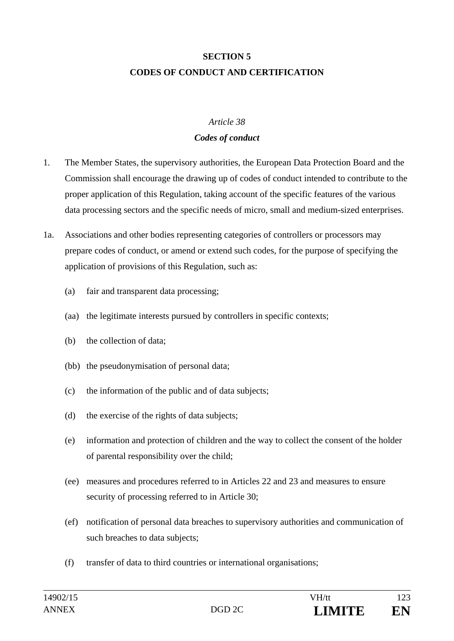# **SECTION 5 CODES OF CONDUCT AND CERTIFICATION**

#### *Article 38*

#### *Codes of conduct*

- 1. The Member States, the supervisory authorities, the European Data Protection Board and the Commission shall encourage the drawing up of codes of conduct intended to contribute to the proper application of this Regulation, taking account of the specific features of the various data processing sectors and the specific needs of micro, small and medium-sized enterprises.
- 1a. Associations and other bodies representing categories of controllers or processors may prepare codes of conduct, or amend or extend such codes, for the purpose of specifying the application of provisions of this Regulation, such as:
	- (a) fair and transparent data processing;
	- (aa) the legitimate interests pursued by controllers in specific contexts;
	- (b) the collection of data;
	- (bb) the pseudonymisation of personal data;
	- (c) the information of the public and of data subjects;
	- (d) the exercise of the rights of data subjects;
	- (e) information and protection of children and the way to collect the consent of the holder of parental responsibility over the child;
	- (ee) measures and procedures referred to in Articles 22 and 23 and measures to ensure security of processing referred to in Article 30;
	- (ef) notification of personal data breaches to supervisory authorities and communication of such breaches to data subjects;
	- (f) transfer of data to third countries or international organisations;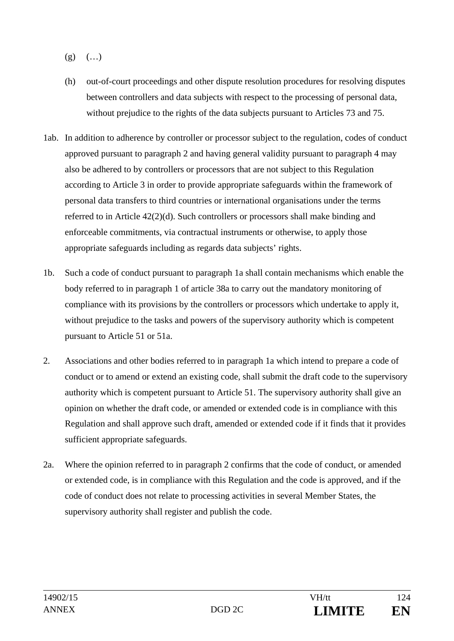- $(g)$   $(...)$
- (h) out-of-court proceedings and other dispute resolution procedures for resolving disputes between controllers and data subjects with respect to the processing of personal data, without prejudice to the rights of the data subjects pursuant to Articles 73 and 75.
- 1ab. In addition to adherence by controller or processor subject to the regulation, codes of conduct approved pursuant to paragraph 2 and having general validity pursuant to paragraph 4 may also be adhered to by controllers or processors that are not subject to this Regulation according to Article 3 in order to provide appropriate safeguards within the framework of personal data transfers to third countries or international organisations under the terms referred to in Article 42(2)(d). Such controllers or processors shall make binding and enforceable commitments, via contractual instruments or otherwise, to apply those appropriate safeguards including as regards data subjects' rights.
- 1b. Such a code of conduct pursuant to paragraph 1a shall contain mechanisms which enable the body referred to in paragraph 1 of article 38a to carry out the mandatory monitoring of compliance with its provisions by the controllers or processors which undertake to apply it, without prejudice to the tasks and powers of the supervisory authority which is competent pursuant to Article 51 or 51a.
- 2. Associations and other bodies referred to in paragraph 1a which intend to prepare a code of conduct or to amend or extend an existing code, shall submit the draft code to the supervisory authority which is competent pursuant to Article 51. The supervisory authority shall give an opinion on whether the draft code, or amended or extended code is in compliance with this Regulation and shall approve such draft, amended or extended code if it finds that it provides sufficient appropriate safeguards.
- 2a. Where the opinion referred to in paragraph 2 confirms that the code of conduct, or amended or extended code, is in compliance with this Regulation and the code is approved, and if the code of conduct does not relate to processing activities in several Member States, the supervisory authority shall register and publish the code.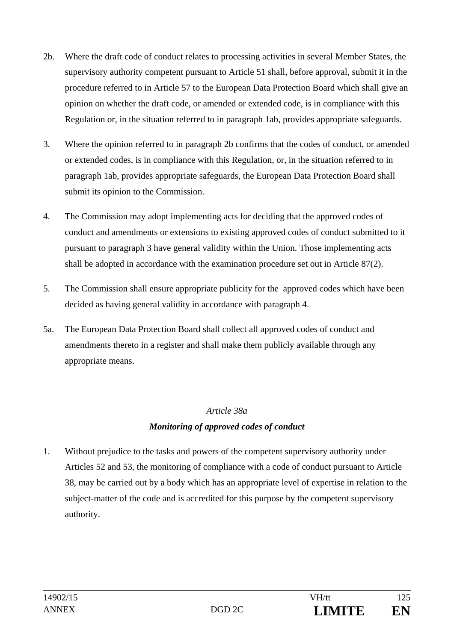- 2b. Where the draft code of conduct relates to processing activities in several Member States, the supervisory authority competent pursuant to Article 51 shall, before approval, submit it in the procedure referred to in Article 57 to the European Data Protection Board which shall give an opinion on whether the draft code, or amended or extended code, is in compliance with this Regulation or, in the situation referred to in paragraph 1ab, provides appropriate safeguards.
- 3. Where the opinion referred to in paragraph 2b confirms that the codes of conduct, or amended or extended codes, is in compliance with this Regulation, or, in the situation referred to in paragraph 1ab, provides appropriate safeguards, the European Data Protection Board shall submit its opinion to the Commission.
- 4. The Commission may adopt implementing acts for deciding that the approved codes of conduct and amendments or extensions to existing approved codes of conduct submitted to it pursuant to paragraph 3 have general validity within the Union. Those implementing acts shall be adopted in accordance with the examination procedure set out in Article 87(2).
- 5. The Commission shall ensure appropriate publicity for the approved codes which have been decided as having general validity in accordance with paragraph 4.
- 5a. The European Data Protection Board shall collect all approved codes of conduct and amendments thereto in a register and shall make them publicly available through any appropriate means.

# *Article 38a Monitoring of approved codes of conduct*

1. Without prejudice to the tasks and powers of the competent supervisory authority under Articles 52 and 53, the monitoring of compliance with a code of conduct pursuant to Article 38, may be carried out by a body which has an appropriate level of expertise in relation to the subject-matter of the code and is accredited for this purpose by the competent supervisory authority.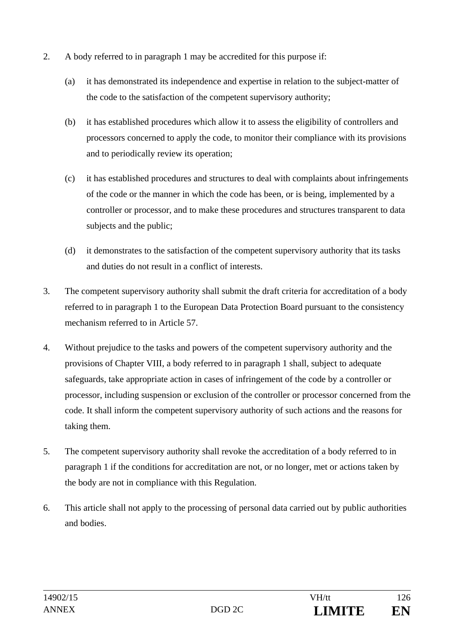- 2. A body referred to in paragraph 1 may be accredited for this purpose if:
	- (a) it has demonstrated its independence and expertise in relation to the subject-matter of the code to the satisfaction of the competent supervisory authority;
	- (b) it has established procedures which allow it to assess the eligibility of controllers and processors concerned to apply the code, to monitor their compliance with its provisions and to periodically review its operation;
	- (c) it has established procedures and structures to deal with complaints about infringements of the code or the manner in which the code has been, or is being, implemented by a controller or processor, and to make these procedures and structures transparent to data subjects and the public;
	- (d) it demonstrates to the satisfaction of the competent supervisory authority that its tasks and duties do not result in a conflict of interests.
- 3. The competent supervisory authority shall submit the draft criteria for accreditation of a body referred to in paragraph 1 to the European Data Protection Board pursuant to the consistency mechanism referred to in Article 57.
- 4. Without prejudice to the tasks and powers of the competent supervisory authority and the provisions of Chapter VIII, a body referred to in paragraph 1 shall, subject to adequate safeguards, take appropriate action in cases of infringement of the code by a controller or processor, including suspension or exclusion of the controller or processor concerned from the code. It shall inform the competent supervisory authority of such actions and the reasons for taking them.
- 5. The competent supervisory authority shall revoke the accreditation of a body referred to in paragraph 1 if the conditions for accreditation are not, or no longer, met or actions taken by the body are not in compliance with this Regulation.
- 6. This article shall not apply to the processing of personal data carried out by public authorities and bodies.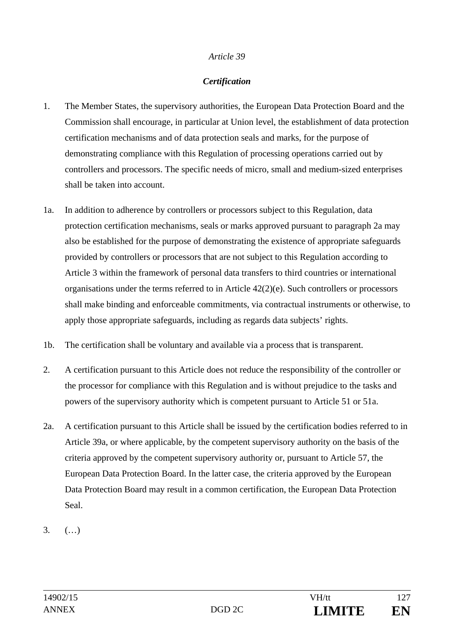#### *Certification*

- 1. The Member States, the supervisory authorities, the European Data Protection Board and the Commission shall encourage, in particular at Union level, the establishment of data protection certification mechanisms and of data protection seals and marks, for the purpose of demonstrating compliance with this Regulation of processing operations carried out by controllers and processors. The specific needs of micro, small and medium-sized enterprises shall be taken into account.
- 1a. In addition to adherence by controllers or processors subject to this Regulation, data protection certification mechanisms, seals or marks approved pursuant to paragraph 2a may also be established for the purpose of demonstrating the existence of appropriate safeguards provided by controllers or processors that are not subject to this Regulation according to Article 3 within the framework of personal data transfers to third countries or international organisations under the terms referred to in Article 42(2)(e). Such controllers or processors shall make binding and enforceable commitments, via contractual instruments or otherwise, to apply those appropriate safeguards, including as regards data subjects' rights.
- 1b. The certification shall be voluntary and available via a process that is transparent.
- 2. A certification pursuant to this Article does not reduce the responsibility of the controller or the processor for compliance with this Regulation and is without prejudice to the tasks and powers of the supervisory authority which is competent pursuant to Article 51 or 51a.
- 2a. A certification pursuant to this Article shall be issued by the certification bodies referred to in Article 39a, or where applicable, by the competent supervisory authority on the basis of the criteria approved by the competent supervisory authority or, pursuant to Article 57, the European Data Protection Board. In the latter case, the criteria approved by the European Data Protection Board may result in a common certification, the European Data Protection Seal.
- 3. (…)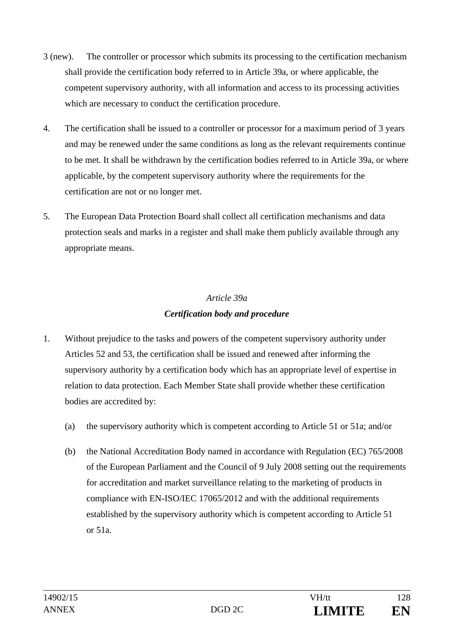- 3 (new). The controller or processor which submits its processing to the certification mechanism shall provide the certification body referred to in Article 39a, or where applicable, the competent supervisory authority, with all information and access to its processing activities which are necessary to conduct the certification procedure.
- 4. The certification shall be issued to a controller or processor for a maximum period of 3 years and may be renewed under the same conditions as long as the relevant requirements continue to be met. It shall be withdrawn by the certification bodies referred to in Article 39a, or where applicable, by the competent supervisory authority where the requirements for the certification are not or no longer met.
- 5. The European Data Protection Board shall collect all certification mechanisms and data protection seals and marks in a register and shall make them publicly available through any appropriate means.

# *Article 39a Certification body and procedure*

- 1. Without prejudice to the tasks and powers of the competent supervisory authority under Articles 52 and 53, the certification shall be issued and renewed after informing the supervisory authority by a certification body which has an appropriate level of expertise in relation to data protection. Each Member State shall provide whether these certification bodies are accredited by:
	- (a) the supervisory authority which is competent according to Article 51 or 51a; and/or
	- (b) the National Accreditation Body named in accordance with Regulation (EC) 765/2008 of the European Parliament and the Council of 9 July 2008 setting out the requirements for accreditation and market surveillance relating to the marketing of products in compliance with EN-ISO/IEC 17065/2012 and with the additional requirements established by the supervisory authority which is competent according to Article 51 or 51a.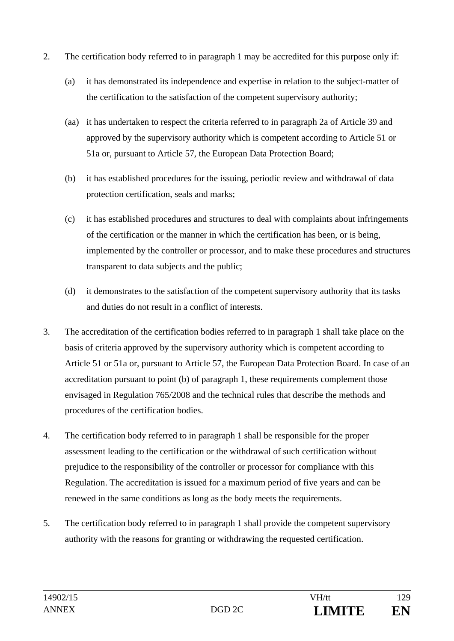- 2. The certification body referred to in paragraph 1 may be accredited for this purpose only if:
	- (a) it has demonstrated its independence and expertise in relation to the subject-matter of the certification to the satisfaction of the competent supervisory authority;
	- (aa) it has undertaken to respect the criteria referred to in paragraph 2a of Article 39 and approved by the supervisory authority which is competent according to Article 51 or 51a or, pursuant to Article 57, the European Data Protection Board;
	- (b) it has established procedures for the issuing, periodic review and withdrawal of data protection certification, seals and marks;
	- (c) it has established procedures and structures to deal with complaints about infringements of the certification or the manner in which the certification has been, or is being, implemented by the controller or processor, and to make these procedures and structures transparent to data subjects and the public;
	- (d) it demonstrates to the satisfaction of the competent supervisory authority that its tasks and duties do not result in a conflict of interests.
- 3. The accreditation of the certification bodies referred to in paragraph 1 shall take place on the basis of criteria approved by the supervisory authority which is competent according to Article 51 or 51a or, pursuant to Article 57, the European Data Protection Board. In case of an accreditation pursuant to point (b) of paragraph 1, these requirements complement those envisaged in Regulation 765/2008 and the technical rules that describe the methods and procedures of the certification bodies.
- 4. The certification body referred to in paragraph 1 shall be responsible for the proper assessment leading to the certification or the withdrawal of such certification without prejudice to the responsibility of the controller or processor for compliance with this Regulation. The accreditation is issued for a maximum period of five years and can be renewed in the same conditions as long as the body meets the requirements.
- 5. The certification body referred to in paragraph 1 shall provide the competent supervisory authority with the reasons for granting or withdrawing the requested certification.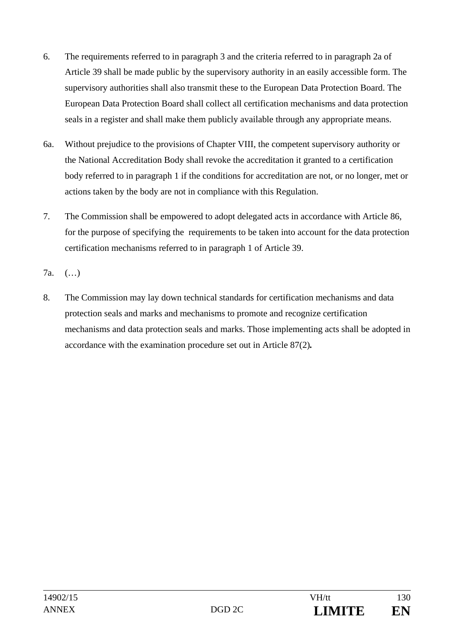- 6. The requirements referred to in paragraph 3 and the criteria referred to in paragraph 2a of Article 39 shall be made public by the supervisory authority in an easily accessible form. The supervisory authorities shall also transmit these to the European Data Protection Board. The European Data Protection Board shall collect all certification mechanisms and data protection seals in a register and shall make them publicly available through any appropriate means.
- 6a. Without prejudice to the provisions of Chapter VIII, the competent supervisory authority or the National Accreditation Body shall revoke the accreditation it granted to a certification body referred to in paragraph 1 if the conditions for accreditation are not, or no longer, met or actions taken by the body are not in compliance with this Regulation.
- 7. The Commission shall be empowered to adopt delegated acts in accordance with Article 86, for the purpose of specifying the requirements to be taken into account for the data protection certification mechanisms referred to in paragraph 1 of Article 39.

7a. (…)

8. The Commission may lay down technical standards for certification mechanisms and data protection seals and marks and mechanisms to promote and recognize certification mechanisms and data protection seals and marks. Those implementing acts shall be adopted in accordance with the examination procedure set out in Article 87(2)*.*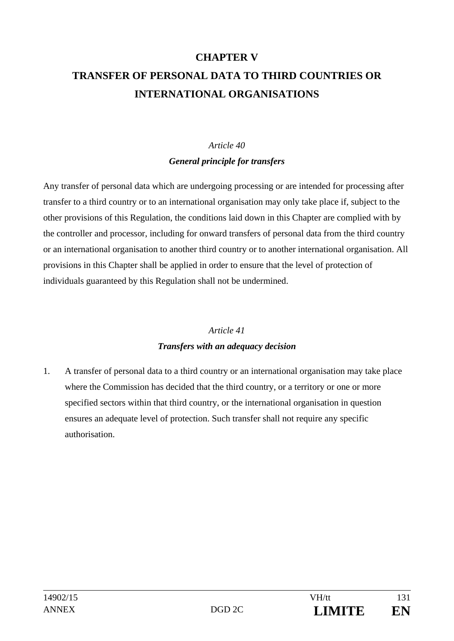# **CHAPTER V TRANSFER OF PERSONAL DATA TO THIRD COUNTRIES OR INTERNATIONAL ORGANISATIONS**

### *Article 40*

#### *General principle for transfers*

Any transfer of personal data which are undergoing processing or are intended for processing after transfer to a third country or to an international organisation may only take place if, subject to the other provisions of this Regulation, the conditions laid down in this Chapter are complied with by the controller and processor, including for onward transfers of personal data from the third country or an international organisation to another third country or to another international organisation. All provisions in this Chapter shall be applied in order to ensure that the level of protection of individuals guaranteed by this Regulation shall not be undermined.

# *Article 41 Transfers with an adequacy decision*

1. A transfer of personal data to a third country or an international organisation may take place where the Commission has decided that the third country, or a territory or one or more specified sectors within that third country, or the international organisation in question ensures an adequate level of protection. Such transfer shall not require any specific authorisation.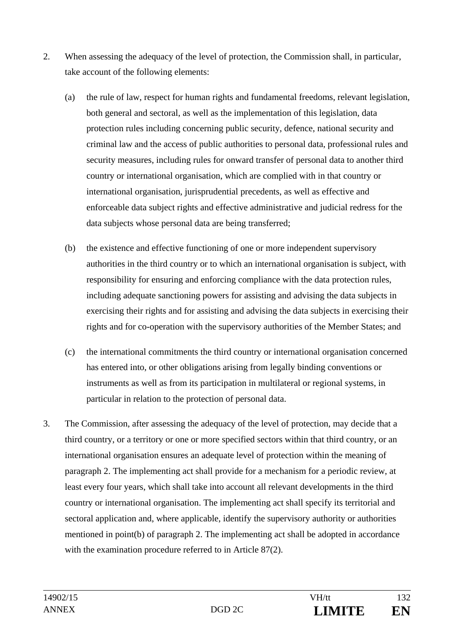- 2. When assessing the adequacy of the level of protection, the Commission shall, in particular, take account of the following elements:
	- (a) the rule of law, respect for human rights and fundamental freedoms, relevant legislation, both general and sectoral, as well as the implementation of this legislation, data protection rules including concerning public security, defence, national security and criminal law and the access of public authorities to personal data, professional rules and security measures, including rules for onward transfer of personal data to another third country or international organisation, which are complied with in that country or international organisation, jurisprudential precedents, as well as effective and enforceable data subject rights and effective administrative and judicial redress for the data subjects whose personal data are being transferred;
	- (b) the existence and effective functioning of one or more independent supervisory authorities in the third country or to which an international organisation is subject, with responsibility for ensuring and enforcing compliance with the data protection rules, including adequate sanctioning powers for assisting and advising the data subjects in exercising their rights and for assisting and advising the data subjects in exercising their rights and for co-operation with the supervisory authorities of the Member States; and
	- (c) the international commitments the third country or international organisation concerned has entered into, or other obligations arising from legally binding conventions or instruments as well as from its participation in multilateral or regional systems, in particular in relation to the protection of personal data.
- 3. The Commission, after assessing the adequacy of the level of protection, may decide that a third country, or a territory or one or more specified sectors within that third country, or an international organisation ensures an adequate level of protection within the meaning of paragraph 2. The implementing act shall provide for a mechanism for a periodic review, at least every four years, which shall take into account all relevant developments in the third country or international organisation. The implementing act shall specify its territorial and sectoral application and, where applicable, identify the supervisory authority or authorities mentioned in point(b) of paragraph 2. The implementing act shall be adopted in accordance with the examination procedure referred to in Article 87(2).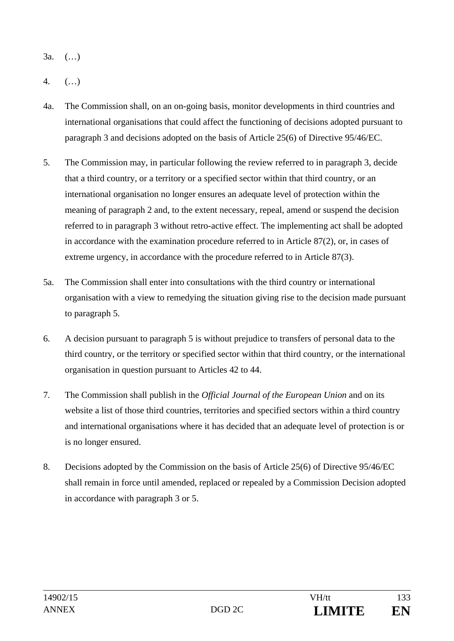3a. (…)

4. (…)

- 4a. The Commission shall, on an on-going basis, monitor developments in third countries and international organisations that could affect the functioning of decisions adopted pursuant to paragraph 3 and decisions adopted on the basis of Article 25(6) of Directive 95/46/EC.
- 5. The Commission may, in particular following the review referred to in paragraph 3, decide that a third country, or a territory or a specified sector within that third country, or an international organisation no longer ensures an adequate level of protection within the meaning of paragraph 2 and, to the extent necessary, repeal, amend or suspend the decision referred to in paragraph 3 without retro-active effect. The implementing act shall be adopted in accordance with the examination procedure referred to in Article 87(2), or, in cases of extreme urgency, in accordance with the procedure referred to in Article 87(3).
- 5a. The Commission shall enter into consultations with the third country or international organisation with a view to remedying the situation giving rise to the decision made pursuant to paragraph 5.
- 6. A decision pursuant to paragraph 5 is without prejudice to transfers of personal data to the third country, or the territory or specified sector within that third country, or the international organisation in question pursuant to Articles 42 to 44.
- 7. The Commission shall publish in the *Official Journal of the European Union* and on its website a list of those third countries, territories and specified sectors within a third country and international organisations where it has decided that an adequate level of protection is or is no longer ensured.
- 8. Decisions adopted by the Commission on the basis of Article 25(6) of Directive 95/46/EC shall remain in force until amended, replaced or repealed by a Commission Decision adopted in accordance with paragraph 3 or 5.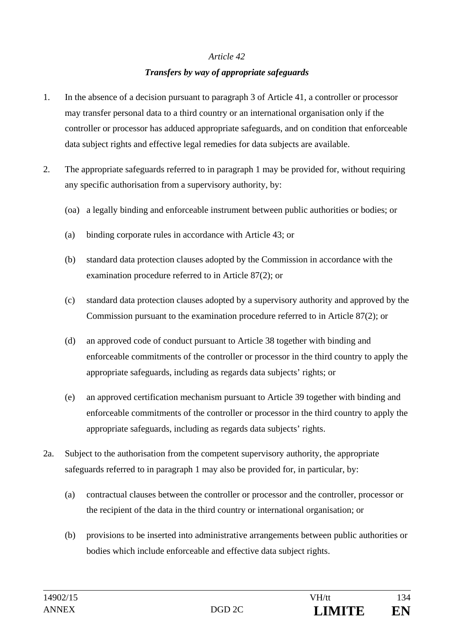### *Transfers by way of appropriate safeguards*

- 1. In the absence of a decision pursuant to paragraph 3 of Article 41, a controller or processor may transfer personal data to a third country or an international organisation only if the controller or processor has adduced appropriate safeguards, and on condition that enforceable data subject rights and effective legal remedies for data subjects are available.
- 2. The appropriate safeguards referred to in paragraph 1 may be provided for, without requiring any specific authorisation from a supervisory authority, by:
	- (oa) a legally binding and enforceable instrument between public authorities or bodies; or
	- (a) binding corporate rules in accordance with Article 43; or
	- (b) standard data protection clauses adopted by the Commission in accordance with the examination procedure referred to in Article 87(2); or
	- (c) standard data protection clauses adopted by a supervisory authority and approved by the Commission pursuant to the examination procedure referred to in Article 87(2); or
	- (d) an approved code of conduct pursuant to Article 38 together with binding and enforceable commitments of the controller or processor in the third country to apply the appropriate safeguards, including as regards data subjects' rights; or
	- (e) an approved certification mechanism pursuant to Article 39 together with binding and enforceable commitments of the controller or processor in the third country to apply the appropriate safeguards, including as regards data subjects' rights.
- 2a. Subject to the authorisation from the competent supervisory authority, the appropriate safeguards referred to in paragraph 1 may also be provided for, in particular, by:
	- (a) contractual clauses between the controller or processor and the controller, processor or the recipient of the data in the third country or international organisation; or
	- (b) provisions to be inserted into administrative arrangements between public authorities or bodies which include enforceable and effective data subject rights.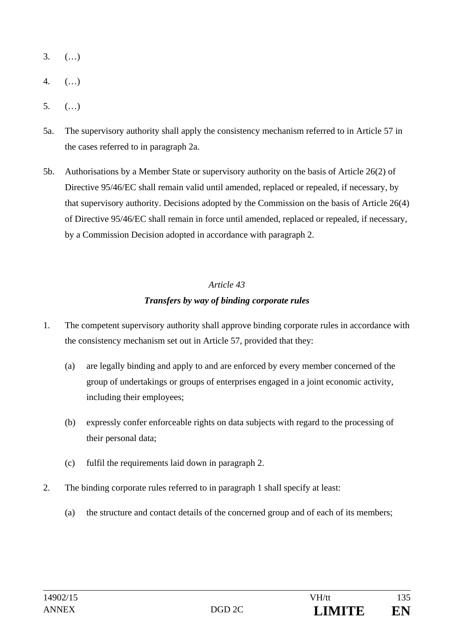- 3. (…)
- 4. (…)
- 5. (…)
- 5a. The supervisory authority shall apply the consistency mechanism referred to in Article 57 in the cases referred to in paragraph 2a.
- 5b. Authorisations by a Member State or supervisory authority on the basis of Article 26(2) of Directive 95/46/EC shall remain valid until amended, replaced or repealed, if necessary, by that supervisory authority. Decisions adopted by the Commission on the basis of Article 26(4) of Directive 95/46/EC shall remain in force until amended, replaced or repealed, if necessary, by a Commission Decision adopted in accordance with paragraph 2.

## *Article 43 Transfers by way of binding corporate rules*

- 1. The competent supervisory authority shall approve binding corporate rules in accordance with the consistency mechanism set out in Article 57, provided that they:
	- (a) are legally binding and apply to and are enforced by every member concerned of the group of undertakings or groups of enterprises engaged in a joint economic activity, including their employees;
	- (b) expressly confer enforceable rights on data subjects with regard to the processing of their personal data;
	- (c) fulfil the requirements laid down in paragraph 2.
- 2. The binding corporate rules referred to in paragraph 1 shall specify at least:
	- (a) the structure and contact details of the concerned group and of each of its members;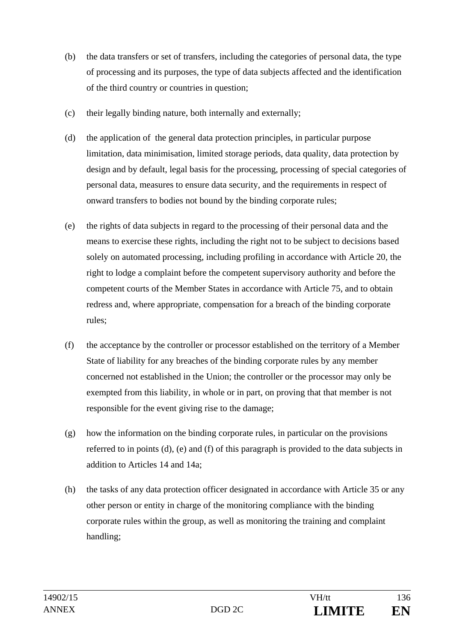- (b) the data transfers or set of transfers, including the categories of personal data, the type of processing and its purposes, the type of data subjects affected and the identification of the third country or countries in question;
- (c) their legally binding nature, both internally and externally;
- (d) the application of the general data protection principles, in particular purpose limitation, data minimisation, limited storage periods, data quality, data protection by design and by default, legal basis for the processing, processing of special categories of personal data, measures to ensure data security, and the requirements in respect of onward transfers to bodies not bound by the binding corporate rules;
- (e) the rights of data subjects in regard to the processing of their personal data and the means to exercise these rights, including the right not to be subject to decisions based solely on automated processing, including profiling in accordance with Article 20, the right to lodge a complaint before the competent supervisory authority and before the competent courts of the Member States in accordance with Article 75, and to obtain redress and, where appropriate, compensation for a breach of the binding corporate rules;
- (f) the acceptance by the controller or processor established on the territory of a Member State of liability for any breaches of the binding corporate rules by any member concerned not established in the Union; the controller or the processor may only be exempted from this liability, in whole or in part, on proving that that member is not responsible for the event giving rise to the damage;
- (g) how the information on the binding corporate rules, in particular on the provisions referred to in points (d), (e) and (f) of this paragraph is provided to the data subjects in addition to Articles 14 and 14a;
- (h) the tasks of any data protection officer designated in accordance with Article 35 or any other person or entity in charge of the monitoring compliance with the binding corporate rules within the group, as well as monitoring the training and complaint handling;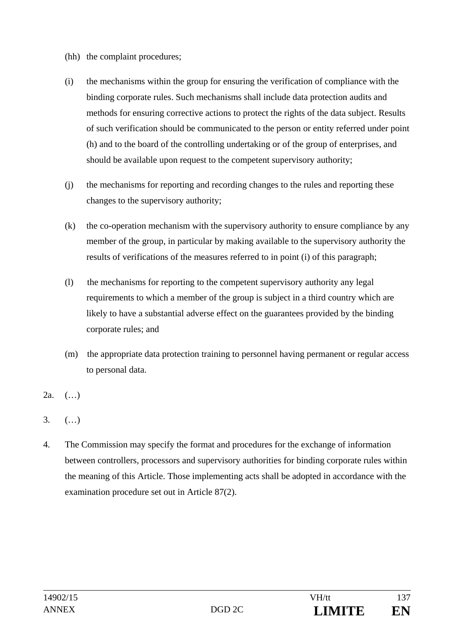- (hh) the complaint procedures;
- (i) the mechanisms within the group for ensuring the verification of compliance with the binding corporate rules. Such mechanisms shall include data protection audits and methods for ensuring corrective actions to protect the rights of the data subject. Results of such verification should be communicated to the person or entity referred under point (h) and to the board of the controlling undertaking or of the group of enterprises, and should be available upon request to the competent supervisory authority;
- (j) the mechanisms for reporting and recording changes to the rules and reporting these changes to the supervisory authority;
- (k) the co-operation mechanism with the supervisory authority to ensure compliance by any member of the group, in particular by making available to the supervisory authority the results of verifications of the measures referred to in point (i) of this paragraph;
- (l) the mechanisms for reporting to the competent supervisory authority any legal requirements to which a member of the group is subject in a third country which are likely to have a substantial adverse effect on the guarantees provided by the binding corporate rules; and
- (m) the appropriate data protection training to personnel having permanent or regular access to personal data.
- $2a.$   $($ ... $)$
- 3. (…)
- 4. The Commission may specify the format and procedures for the exchange of information between controllers, processors and supervisory authorities for binding corporate rules within the meaning of this Article. Those implementing acts shall be adopted in accordance with the examination procedure set out in Article 87(2).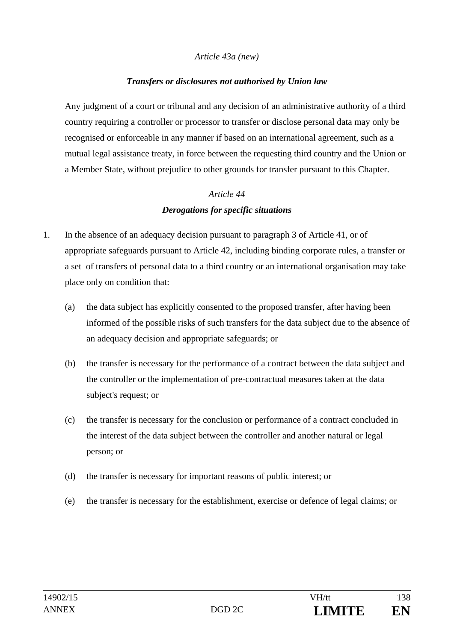#### *Article 43a (new)*

#### *Transfers or disclosures not authorised by Union law*

 Any judgment of a court or tribunal and any decision of an administrative authority of a third country requiring a controller or processor to transfer or disclose personal data may only be recognised or enforceable in any manner if based on an international agreement, such as a mutual legal assistance treaty, in force between the requesting third country and the Union or a Member State, without prejudice to other grounds for transfer pursuant to this Chapter.

# *Article 44 Derogations for specific situations*

- 1. In the absence of an adequacy decision pursuant to paragraph 3 of Article 41, or of appropriate safeguards pursuant to Article 42, including binding corporate rules, a transfer or a set of transfers of personal data to a third country or an international organisation may take place only on condition that:
	- (a) the data subject has explicitly consented to the proposed transfer, after having been informed of the possible risks of such transfers for the data subject due to the absence of an adequacy decision and appropriate safeguards; or
	- (b) the transfer is necessary for the performance of a contract between the data subject and the controller or the implementation of pre-contractual measures taken at the data subject's request; or
	- (c) the transfer is necessary for the conclusion or performance of a contract concluded in the interest of the data subject between the controller and another natural or legal person; or
	- (d) the transfer is necessary for important reasons of public interest; or
	- (e) the transfer is necessary for the establishment, exercise or defence of legal claims; or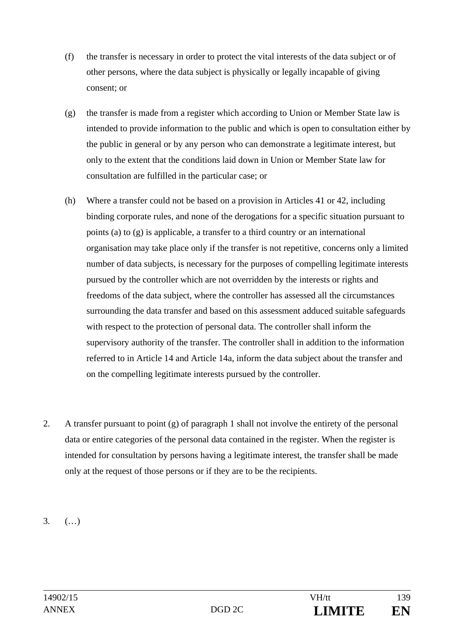- (f) the transfer is necessary in order to protect the vital interests of the data subject or of other persons, where the data subject is physically or legally incapable of giving consent; or
- (g) the transfer is made from a register which according to Union or Member State law is intended to provide information to the public and which is open to consultation either by the public in general or by any person who can demonstrate a legitimate interest, but only to the extent that the conditions laid down in Union or Member State law for consultation are fulfilled in the particular case; or
- (h) Where a transfer could not be based on a provision in Articles 41 or 42, including binding corporate rules, and none of the derogations for a specific situation pursuant to points (a) to (g) is applicable, a transfer to a third country or an international organisation may take place only if the transfer is not repetitive, concerns only a limited number of data subjects, is necessary for the purposes of compelling legitimate interests pursued by the controller which are not overridden by the interests or rights and freedoms of the data subject, where the controller has assessed all the circumstances surrounding the data transfer and based on this assessment adduced suitable safeguards with respect to the protection of personal data. The controller shall inform the supervisory authority of the transfer. The controller shall in addition to the information referred to in Article 14 and Article 14a, inform the data subject about the transfer and on the compelling legitimate interests pursued by the controller.
- 2. A transfer pursuant to point (g) of paragraph 1 shall not involve the entirety of the personal data or entire categories of the personal data contained in the register. When the register is intended for consultation by persons having a legitimate interest, the transfer shall be made only at the request of those persons or if they are to be the recipients.

3. (…)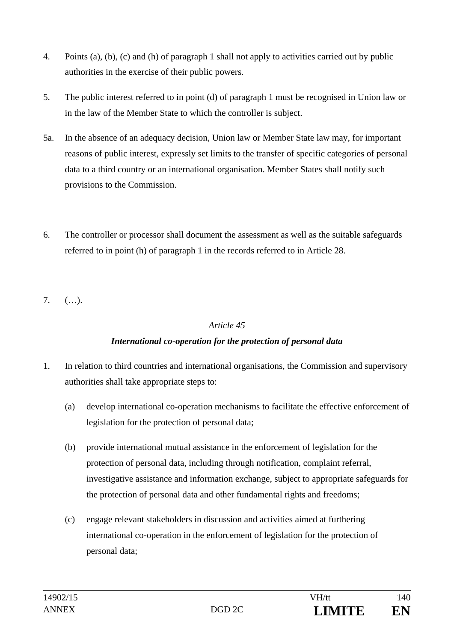- 4. Points (a), (b), (c) and (h) of paragraph 1 shall not apply to activities carried out by public authorities in the exercise of their public powers.
- 5. The public interest referred to in point (d) of paragraph 1 must be recognised in Union law or in the law of the Member State to which the controller is subject.
- 5a. In the absence of an adequacy decision, Union law or Member State law may, for important reasons of public interest, expressly set limits to the transfer of specific categories of personal data to a third country or an international organisation. Member States shall notify such provisions to the Commission.
- 6. The controller or processor shall document the assessment as well as the suitable safeguards referred to in point (h) of paragraph 1 in the records referred to in Article 28.
- 7. (…).

### *International co-operation for the protection of personal data*

- 1. In relation to third countries and international organisations, the Commission and supervisory authorities shall take appropriate steps to:
	- (a) develop international co-operation mechanisms to facilitate the effective enforcement of legislation for the protection of personal data;
	- (b) provide international mutual assistance in the enforcement of legislation for the protection of personal data, including through notification, complaint referral, investigative assistance and information exchange, subject to appropriate safeguards for the protection of personal data and other fundamental rights and freedoms;
	- (c) engage relevant stakeholders in discussion and activities aimed at furthering international co-operation in the enforcement of legislation for the protection of personal data;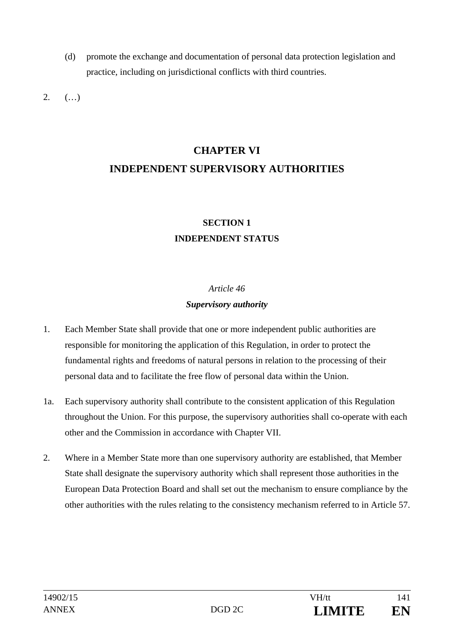(d) promote the exchange and documentation of personal data protection legislation and practice, including on jurisdictional conflicts with third countries.

 $2. (...)$ 

# **CHAPTER VI INDEPENDENT SUPERVISORY AUTHORITIES**

# **SECTION 1 INDEPENDENT STATUS**

# *Article 46 Supervisory authority*

- 1. Each Member State shall provide that one or more independent public authorities are responsible for monitoring the application of this Regulation, in order to protect the fundamental rights and freedoms of natural persons in relation to the processing of their personal data and to facilitate the free flow of personal data within the Union.
- 1a. Each supervisory authority shall contribute to the consistent application of this Regulation throughout the Union. For this purpose, the supervisory authorities shall co-operate with each other and the Commission in accordance with Chapter VII.
- 2. Where in a Member State more than one supervisory authority are established, that Member State shall designate the supervisory authority which shall represent those authorities in the European Data Protection Board and shall set out the mechanism to ensure compliance by the other authorities with the rules relating to the consistency mechanism referred to in Article 57.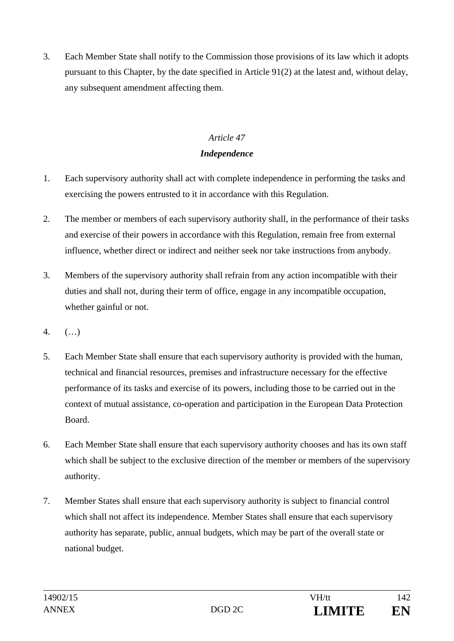3. Each Member State shall notify to the Commission those provisions of its law which it adopts pursuant to this Chapter, by the date specified in Article 91(2) at the latest and, without delay, any subsequent amendment affecting them.

# *Article 47 Independence*

- 1. Each supervisory authority shall act with complete independence in performing the tasks and exercising the powers entrusted to it in accordance with this Regulation.
- 2. The member or members of each supervisory authority shall, in the performance of their tasks and exercise of their powers in accordance with this Regulation, remain free from external influence, whether direct or indirect and neither seek nor take instructions from anybody.
- 3. Members of the supervisory authority shall refrain from any action incompatible with their duties and shall not, during their term of office, engage in any incompatible occupation, whether gainful or not.
- 4. (…)
- 5. Each Member State shall ensure that each supervisory authority is provided with the human, technical and financial resources, premises and infrastructure necessary for the effective performance of its tasks and exercise of its powers, including those to be carried out in the context of mutual assistance, co-operation and participation in the European Data Protection Board.
- 6. Each Member State shall ensure that each supervisory authority chooses and has its own staff which shall be subject to the exclusive direction of the member or members of the supervisory authority.
- 7. Member States shall ensure that each supervisory authority is subject to financial control which shall not affect its independence. Member States shall ensure that each supervisory authority has separate, public, annual budgets, which may be part of the overall state or national budget.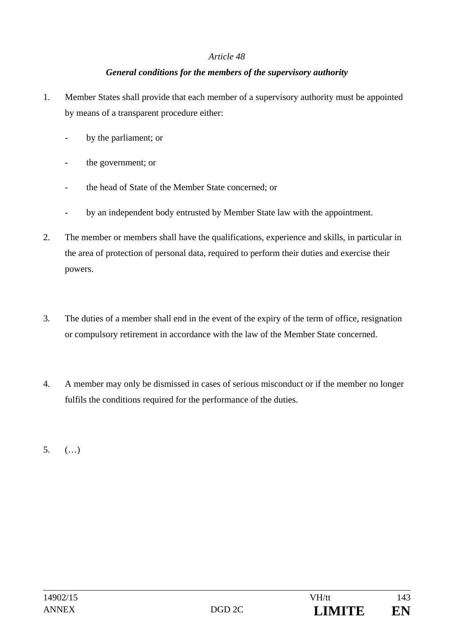#### *General conditions for the members of the supervisory authority*

- 1. Member States shall provide that each member of a supervisory authority must be appointed by means of a transparent procedure either:
	- by the parliament; or
	- the government; or
	- the head of State of the Member State concerned; or
	- by an independent body entrusted by Member State law with the appointment.
- 2. The member or members shall have the qualifications, experience and skills, in particular in the area of protection of personal data, required to perform their duties and exercise their powers.
- 3. The duties of a member shall end in the event of the expiry of the term of office, resignation or compulsory retirement in accordance with the law of the Member State concerned.
- 4. A member may only be dismissed in cases of serious misconduct or if the member no longer fulfils the conditions required for the performance of the duties.
- 5. (…)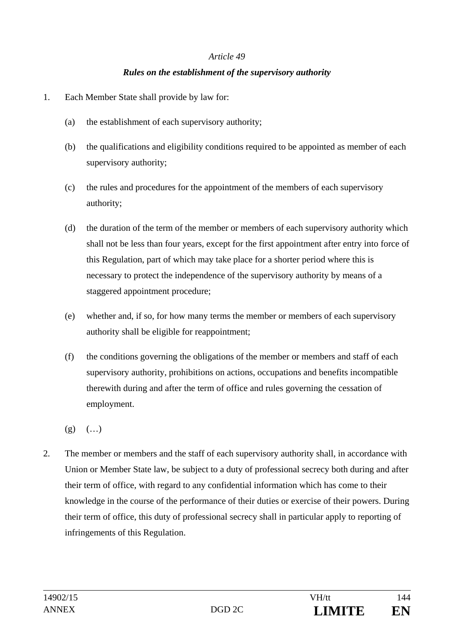#### *Rules on the establishment of the supervisory authority*

- 1. Each Member State shall provide by law for:
	- (a) the establishment of each supervisory authority;
	- (b) the qualifications and eligibility conditions required to be appointed as member of each supervisory authority;
	- (c) the rules and procedures for the appointment of the members of each supervisory authority;
	- (d) the duration of the term of the member or members of each supervisory authority which shall not be less than four years, except for the first appointment after entry into force of this Regulation, part of which may take place for a shorter period where this is necessary to protect the independence of the supervisory authority by means of a staggered appointment procedure;
	- (e) whether and, if so, for how many terms the member or members of each supervisory authority shall be eligible for reappointment;
	- (f) the conditions governing the obligations of the member or members and staff of each supervisory authority, prohibitions on actions, occupations and benefits incompatible therewith during and after the term of office and rules governing the cessation of employment.
	- $(g)$   $(...)$
- 2. The member or members and the staff of each supervisory authority shall, in accordance with Union or Member State law, be subject to a duty of professional secrecy both during and after their term of office, with regard to any confidential information which has come to their knowledge in the course of the performance of their duties or exercise of their powers. During their term of office, this duty of professional secrecy shall in particular apply to reporting of infringements of this Regulation.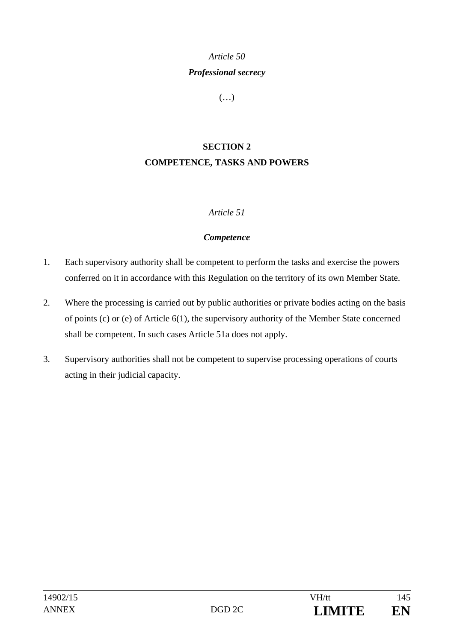### *Professional secrecy*

(…)

# **SECTION 2 COMPETENCE, TASKS AND POWERS**

#### *Article 51*

#### *Competence*

- 1. Each supervisory authority shall be competent to perform the tasks and exercise the powers conferred on it in accordance with this Regulation on the territory of its own Member State.
- 2. Where the processing is carried out by public authorities or private bodies acting on the basis of points (c) or (e) of Article 6(1), the supervisory authority of the Member State concerned shall be competent. In such cases Article 51a does not apply.
- 3. Supervisory authorities shall not be competent to supervise processing operations of courts acting in their judicial capacity.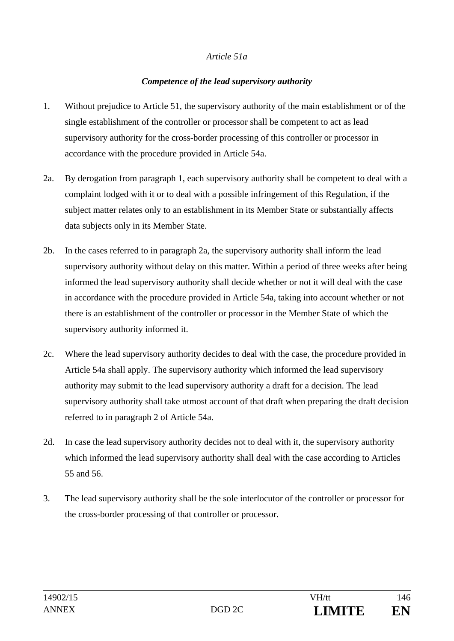#### *Article 51a*

#### *Competence of the lead supervisory authority*

- 1. Without prejudice to Article 51, the supervisory authority of the main establishment or of the single establishment of the controller or processor shall be competent to act as lead supervisory authority for the cross-border processing of this controller or processor in accordance with the procedure provided in Article 54a.
- 2a. By derogation from paragraph 1, each supervisory authority shall be competent to deal with a complaint lodged with it or to deal with a possible infringement of this Regulation, if the subject matter relates only to an establishment in its Member State or substantially affects data subjects only in its Member State.
- 2b. In the cases referred to in paragraph 2a, the supervisory authority shall inform the lead supervisory authority without delay on this matter. Within a period of three weeks after being informed the lead supervisory authority shall decide whether or not it will deal with the case in accordance with the procedure provided in Article 54a, taking into account whether or not there is an establishment of the controller or processor in the Member State of which the supervisory authority informed it.
- 2c. Where the lead supervisory authority decides to deal with the case, the procedure provided in Article 54a shall apply. The supervisory authority which informed the lead supervisory authority may submit to the lead supervisory authority a draft for a decision. The lead supervisory authority shall take utmost account of that draft when preparing the draft decision referred to in paragraph 2 of Article 54a.
- 2d. In case the lead supervisory authority decides not to deal with it, the supervisory authority which informed the lead supervisory authority shall deal with the case according to Articles 55 and 56.
- 3. The lead supervisory authority shall be the sole interlocutor of the controller or processor for the cross-border processing of that controller or processor.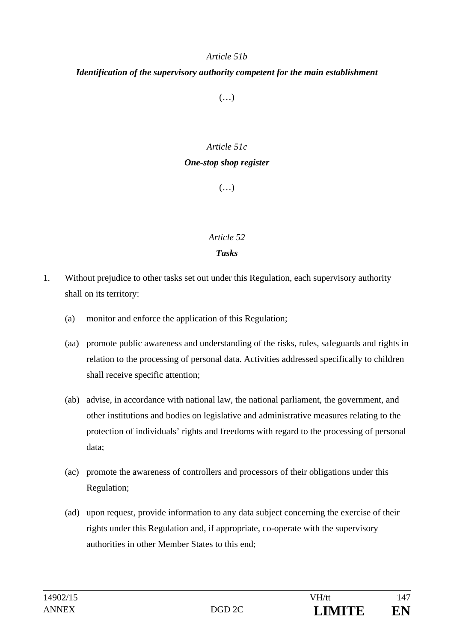#### *Article 51b*

#### *Identification of the supervisory authority competent for the main establishment*

(…)

# *Article 51c One-stop shop register*

(…)

#### *Article 52*

#### *Tasks*

- 1. Without prejudice to other tasks set out under this Regulation, each supervisory authority shall on its territory:
	- (a) monitor and enforce the application of this Regulation;
	- (aa) promote public awareness and understanding of the risks, rules, safeguards and rights in relation to the processing of personal data. Activities addressed specifically to children shall receive specific attention;
	- (ab) advise, in accordance with national law, the national parliament, the government, and other institutions and bodies on legislative and administrative measures relating to the protection of individuals' rights and freedoms with regard to the processing of personal data;
	- (ac) promote the awareness of controllers and processors of their obligations under this Regulation;
	- (ad) upon request, provide information to any data subject concerning the exercise of their rights under this Regulation and, if appropriate, co-operate with the supervisory authorities in other Member States to this end;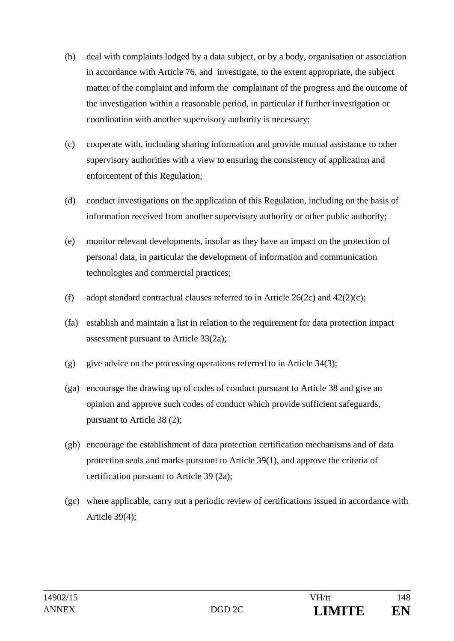- (b) deal with complaints lodged by a data subject, or by a body, organisation or association in accordance with Article 76, and investigate, to the extent appropriate, the subject matter of the complaint and inform the complainant of the progress and the outcome of the investigation within a reasonable period, in particular if further investigation or coordination with another supervisory authority is necessary;
- (c) cooperate with, including sharing information and provide mutual assistance to other supervisory authorities with a view to ensuring the consistency of application and enforcement of this Regulation;
- (d) conduct investigations on the application of this Regulation, including on the basis of information received from another supervisory authority or other public authority;
- (e) monitor relevant developments, insofar as they have an impact on the protection of personal data, in particular the development of information and communication technologies and commercial practices;
- (f) adopt standard contractual clauses referred to in Article 26(2c) and  $42(2)(c)$ ;
- (fa) establish and maintain a list in relation to the requirement for data protection impact assessment pursuant to Article 33(2a);
- (g) give advice on the processing operations referred to in Article  $34(3)$ ;
- (ga) encourage the drawing up of codes of conduct pursuant to Article 38 and give an opinion and approve such codes of conduct which provide sufficient safeguards, pursuant to Article 38 (2);
- (gb) encourage the establishment of data protection certification mechanisms and of data protection seals and marks pursuant to Article 39(1), and approve the criteria of certification pursuant to Article 39 (2a);
- (gc) where applicable, carry out a periodic review of certifications issued in accordance with Article 39(4);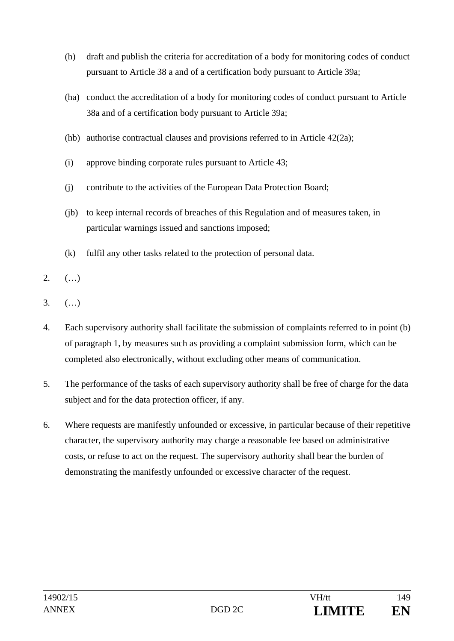- (h) draft and publish the criteria for accreditation of a body for monitoring codes of conduct pursuant to Article 38 a and of a certification body pursuant to Article 39a;
- (ha) conduct the accreditation of a body for monitoring codes of conduct pursuant to Article 38a and of a certification body pursuant to Article 39a;
- (hb) authorise contractual clauses and provisions referred to in Article  $42(2a)$ ;
- (i) approve binding corporate rules pursuant to Article 43;
- (j) contribute to the activities of the European Data Protection Board;
- (jb) to keep internal records of breaches of this Regulation and of measures taken, in particular warnings issued and sanctions imposed;
- (k) fulfil any other tasks related to the protection of personal data.
- $2.$   $($ ...)
- 3. (…)
- 4. Each supervisory authority shall facilitate the submission of complaints referred to in point (b) of paragraph 1, by measures such as providing a complaint submission form, which can be completed also electronically, without excluding other means of communication.
- 5. The performance of the tasks of each supervisory authority shall be free of charge for the data subject and for the data protection officer, if any.
- 6. Where requests are manifestly unfounded or excessive, in particular because of their repetitive character, the supervisory authority may charge a reasonable fee based on administrative costs, or refuse to act on the request. The supervisory authority shall bear the burden of demonstrating the manifestly unfounded or excessive character of the request.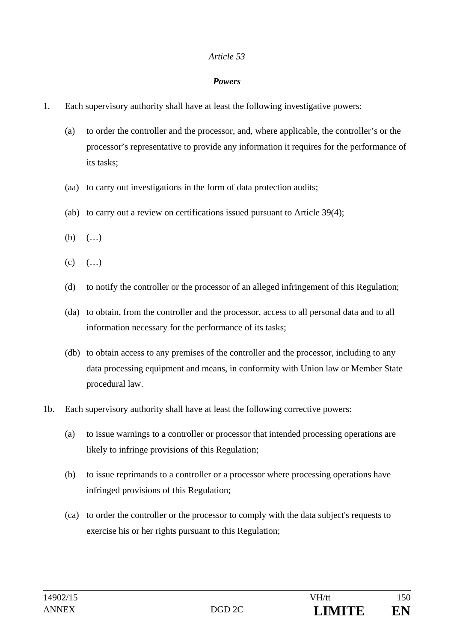#### *Powers*

- 1. Each supervisory authority shall have at least the following investigative powers:
	- (a) to order the controller and the processor, and, where applicable, the controller's or the processor's representative to provide any information it requires for the performance of its tasks;
	- (aa) to carry out investigations in the form of data protection audits;
	- (ab) to carry out a review on certifications issued pursuant to Article 39(4);
	- (b)  $( ...)$
	- $(c)$   $($ ...)
	- (d) to notify the controller or the processor of an alleged infringement of this Regulation;
	- (da) to obtain, from the controller and the processor, access to all personal data and to all information necessary for the performance of its tasks;
	- (db) to obtain access to any premises of the controller and the processor, including to any data processing equipment and means, in conformity with Union law or Member State procedural law.
- 1b. Each supervisory authority shall have at least the following corrective powers:
	- (a) to issue warnings to a controller or processor that intended processing operations are likely to infringe provisions of this Regulation;
	- (b) to issue reprimands to a controller or a processor where processing operations have infringed provisions of this Regulation;
	- (ca) to order the controller or the processor to comply with the data subject's requests to exercise his or her rights pursuant to this Regulation;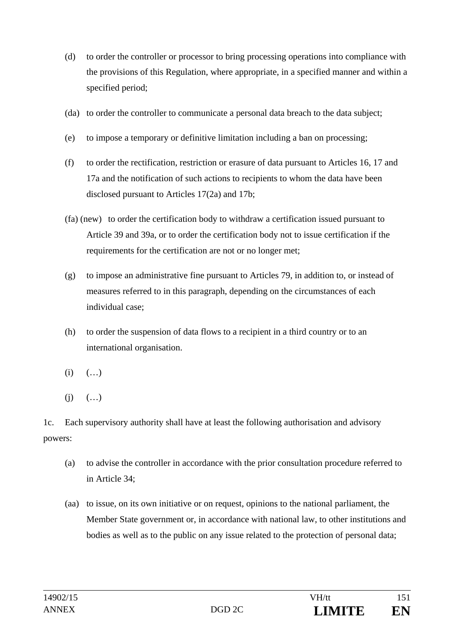- (d) to order the controller or processor to bring processing operations into compliance with the provisions of this Regulation, where appropriate, in a specified manner and within a specified period;
- (da) to order the controller to communicate a personal data breach to the data subject;
- (e) to impose a temporary or definitive limitation including a ban on processing;
- (f) to order the rectification, restriction or erasure of data pursuant to Articles 16, 17 and 17a and the notification of such actions to recipients to whom the data have been disclosed pursuant to Articles 17(2a) and 17b;
- (fa) (new) to order the certification body to withdraw a certification issued pursuant to Article 39 and 39a, or to order the certification body not to issue certification if the requirements for the certification are not or no longer met;
- (g) to impose an administrative fine pursuant to Articles 79, in addition to, or instead of measures referred to in this paragraph, depending on the circumstances of each individual case;
- (h) to order the suspension of data flows to a recipient in a third country or to an international organisation.
- $(i)$   $(...)$
- $(i)$   $(...)$

1c. Each supervisory authority shall have at least the following authorisation and advisory powers:

- (a) to advise the controller in accordance with the prior consultation procedure referred to in Article 34;
- (aa) to issue, on its own initiative or on request, opinions to the national parliament, the Member State government or, in accordance with national law, to other institutions and bodies as well as to the public on any issue related to the protection of personal data;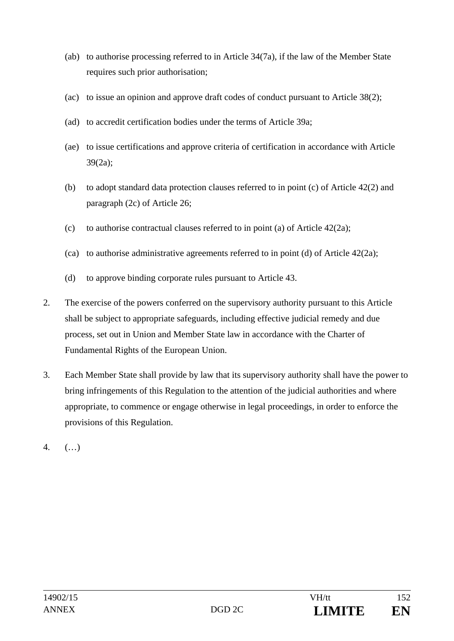- (ab) to authorise processing referred to in Article 34(7a), if the law of the Member State requires such prior authorisation;
- (ac) to issue an opinion and approve draft codes of conduct pursuant to Article 38(2);
- (ad) to accredit certification bodies under the terms of Article 39a;
- (ae) to issue certifications and approve criteria of certification in accordance with Article 39(2a);
- (b) to adopt standard data protection clauses referred to in point (c) of Article 42(2) and paragraph (2c) of Article 26;
- (c) to authorise contractual clauses referred to in point (a) of Article  $42(2a)$ ;
- (ca) to authorise administrative agreements referred to in point (d) of Article 42(2a);
- (d) to approve binding corporate rules pursuant to Article 43.
- 2. The exercise of the powers conferred on the supervisory authority pursuant to this Article shall be subject to appropriate safeguards, including effective judicial remedy and due process, set out in Union and Member State law in accordance with the Charter of Fundamental Rights of the European Union.
- 3. Each Member State shall provide by law that its supervisory authority shall have the power to bring infringements of this Regulation to the attention of the judicial authorities and where appropriate, to commence or engage otherwise in legal proceedings, in order to enforce the provisions of this Regulation.
- 4. (…)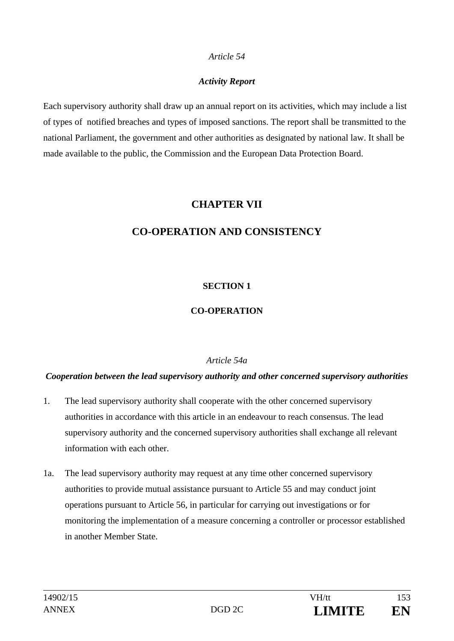#### *Activity Report*

Each supervisory authority shall draw up an annual report on its activities, which may include a list of types of notified breaches and types of imposed sanctions. The report shall be transmitted to the national Parliament, the government and other authorities as designated by national law. It shall be made available to the public, the Commission and the European Data Protection Board.

# **CHAPTER VII**

# **CO-OPERATION AND CONSISTENCY**

## **SECTION 1**

## **CO-OPERATION**

### *Article 54a*

#### *Cooperation between the lead supervisory authority and other concerned supervisory authorities*

- 1. The lead supervisory authority shall cooperate with the other concerned supervisory authorities in accordance with this article in an endeavour to reach consensus. The lead supervisory authority and the concerned supervisory authorities shall exchange all relevant information with each other.
- 1a. The lead supervisory authority may request at any time other concerned supervisory authorities to provide mutual assistance pursuant to Article 55 and may conduct joint operations pursuant to Article 56, in particular for carrying out investigations or for monitoring the implementation of a measure concerning a controller or processor established in another Member State.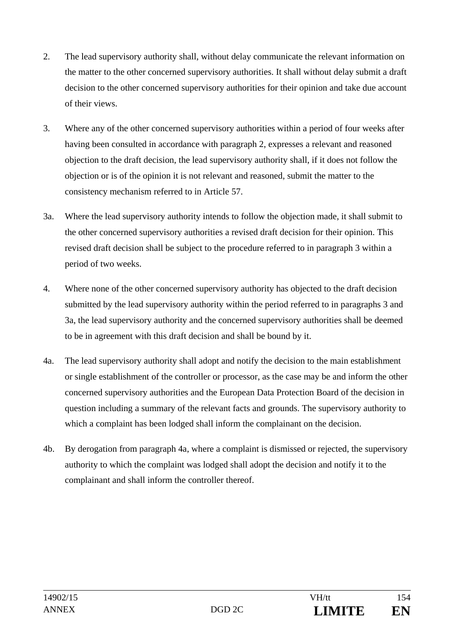- 2. The lead supervisory authority shall, without delay communicate the relevant information on the matter to the other concerned supervisory authorities. It shall without delay submit a draft decision to the other concerned supervisory authorities for their opinion and take due account of their views.
- 3. Where any of the other concerned supervisory authorities within a period of four weeks after having been consulted in accordance with paragraph 2, expresses a relevant and reasoned objection to the draft decision, the lead supervisory authority shall, if it does not follow the objection or is of the opinion it is not relevant and reasoned, submit the matter to the consistency mechanism referred to in Article 57.
- 3a. Where the lead supervisory authority intends to follow the objection made, it shall submit to the other concerned supervisory authorities a revised draft decision for their opinion. This revised draft decision shall be subject to the procedure referred to in paragraph 3 within a period of two weeks.
- 4. Where none of the other concerned supervisory authority has objected to the draft decision submitted by the lead supervisory authority within the period referred to in paragraphs 3 and 3a, the lead supervisory authority and the concerned supervisory authorities shall be deemed to be in agreement with this draft decision and shall be bound by it.
- 4a. The lead supervisory authority shall adopt and notify the decision to the main establishment or single establishment of the controller or processor, as the case may be and inform the other concerned supervisory authorities and the European Data Protection Board of the decision in question including a summary of the relevant facts and grounds. The supervisory authority to which a complaint has been lodged shall inform the complainant on the decision.
- 4b. By derogation from paragraph 4a, where a complaint is dismissed or rejected, the supervisory authority to which the complaint was lodged shall adopt the decision and notify it to the complainant and shall inform the controller thereof.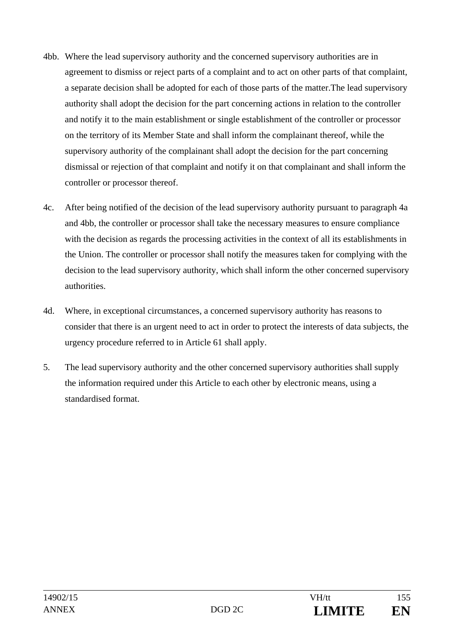- 4bb. Where the lead supervisory authority and the concerned supervisory authorities are in agreement to dismiss or reject parts of a complaint and to act on other parts of that complaint, a separate decision shall be adopted for each of those parts of the matter.The lead supervisory authority shall adopt the decision for the part concerning actions in relation to the controller and notify it to the main establishment or single establishment of the controller or processor on the territory of its Member State and shall inform the complainant thereof, while the supervisory authority of the complainant shall adopt the decision for the part concerning dismissal or rejection of that complaint and notify it on that complainant and shall inform the controller or processor thereof.
- 4c. After being notified of the decision of the lead supervisory authority pursuant to paragraph 4a and 4bb, the controller or processor shall take the necessary measures to ensure compliance with the decision as regards the processing activities in the context of all its establishments in the Union. The controller or processor shall notify the measures taken for complying with the decision to the lead supervisory authority, which shall inform the other concerned supervisory authorities.
- 4d. Where, in exceptional circumstances, a concerned supervisory authority has reasons to consider that there is an urgent need to act in order to protect the interests of data subjects, the urgency procedure referred to in Article 61 shall apply.
- 5. The lead supervisory authority and the other concerned supervisory authorities shall supply the information required under this Article to each other by electronic means, using a standardised format.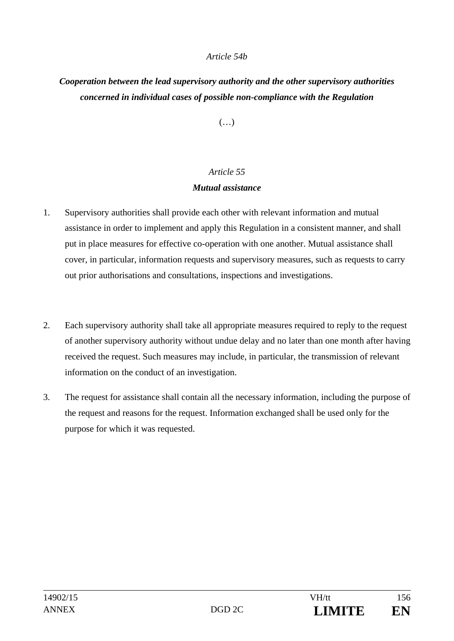#### *Article 54b*

# *Cooperation between the lead supervisory authority and the other supervisory authorities concerned in individual cases of possible non-compliance with the Regulation*

(…)

# *Article 55 Mutual assistance*

- 1. Supervisory authorities shall provide each other with relevant information and mutual assistance in order to implement and apply this Regulation in a consistent manner, and shall put in place measures for effective co-operation with one another. Mutual assistance shall cover, in particular, information requests and supervisory measures, such as requests to carry out prior authorisations and consultations, inspections and investigations.
- 2. Each supervisory authority shall take all appropriate measures required to reply to the request of another supervisory authority without undue delay and no later than one month after having received the request. Such measures may include, in particular, the transmission of relevant information on the conduct of an investigation.
- 3. The request for assistance shall contain all the necessary information, including the purpose of the request and reasons for the request. Information exchanged shall be used only for the purpose for which it was requested.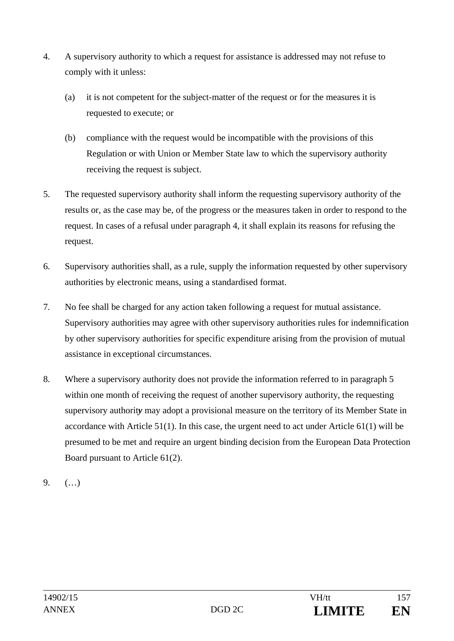- 4. A supervisory authority to which a request for assistance is addressed may not refuse to comply with it unless:
	- (a) it is not competent for the subject-matter of the request or for the measures it is requested to execute; or
	- (b) compliance with the request would be incompatible with the provisions of this Regulation or with Union or Member State law to which the supervisory authority receiving the request is subject.
- 5. The requested supervisory authority shall inform the requesting supervisory authority of the results or, as the case may be, of the progress or the measures taken in order to respond to the request. In cases of a refusal under paragraph 4, it shall explain its reasons for refusing the request.
- 6. Supervisory authorities shall, as a rule, supply the information requested by other supervisory authorities by electronic means, using a standardised format.
- 7. No fee shall be charged for any action taken following a request for mutual assistance. Supervisory authorities may agree with other supervisory authorities rules for indemnification by other supervisory authorities for specific expenditure arising from the provision of mutual assistance in exceptional circumstances.
- 8. Where a supervisory authority does not provide the information referred to in paragraph 5 within one month of receiving the request of another supervisory authority, the requesting supervisory authorit*y* may adopt a provisional measure on the territory of its Member State in accordance with Article 51(1). In this case, the urgent need to act under Article 61(1) will be presumed to be met and require an urgent binding decision from the European Data Protection Board pursuant to Article 61(2).
- 9. (…)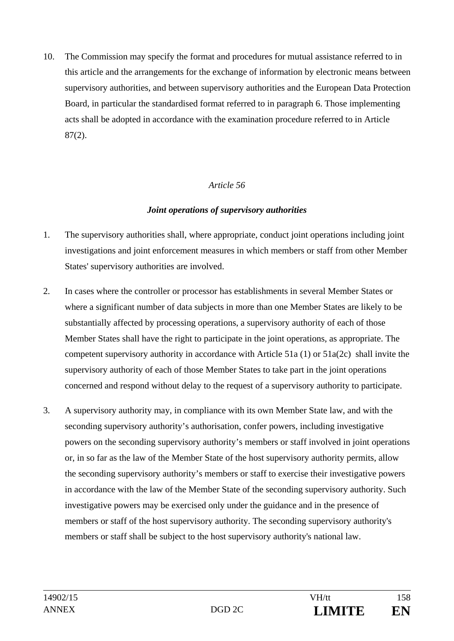10. The Commission may specify the format and procedures for mutual assistance referred to in this article and the arrangements for the exchange of information by electronic means between supervisory authorities, and between supervisory authorities and the European Data Protection Board, in particular the standardised format referred to in paragraph 6. Those implementing acts shall be adopted in accordance with the examination procedure referred to in Article 87(2).

#### *Article 56*

#### *Joint operations of supervisory authorities*

- 1. The supervisory authorities shall, where appropriate, conduct joint operations including joint investigations and joint enforcement measures in which members or staff from other Member States' supervisory authorities are involved.
- 2. In cases where the controller or processor has establishments in several Member States or where a significant number of data subjects in more than one Member States are likely to be substantially affected by processing operations, a supervisory authority of each of those Member States shall have the right to participate in the joint operations, as appropriate. The competent supervisory authority in accordance with Article 51a (1) or 51a(2c) shall invite the supervisory authority of each of those Member States to take part in the joint operations concerned and respond without delay to the request of a supervisory authority to participate.
- 3. A supervisory authority may, in compliance with its own Member State law, and with the seconding supervisory authority's authorisation, confer powers, including investigative powers on the seconding supervisory authority's members or staff involved in joint operations or, in so far as the law of the Member State of the host supervisory authority permits, allow the seconding supervisory authority's members or staff to exercise their investigative powers in accordance with the law of the Member State of the seconding supervisory authority. Such investigative powers may be exercised only under the guidance and in the presence of members or staff of the host supervisory authority. The seconding supervisory authority's members or staff shall be subject to the host supervisory authority's national law.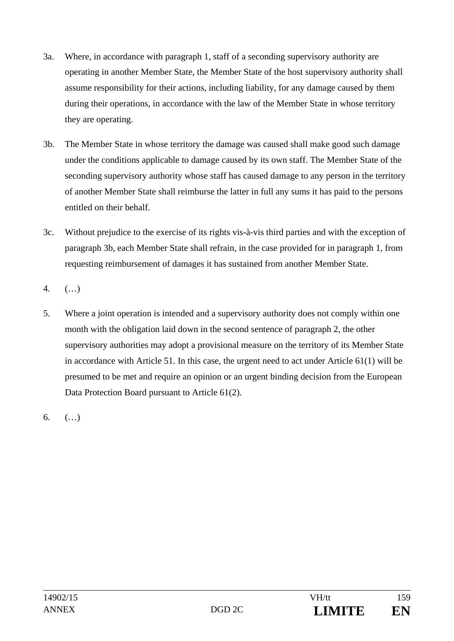- 3a. Where, in accordance with paragraph 1, staff of a seconding supervisory authority are operating in another Member State, the Member State of the host supervisory authority shall assume responsibility for their actions, including liability, for any damage caused by them during their operations, in accordance with the law of the Member State in whose territory they are operating.
- 3b. The Member State in whose territory the damage was caused shall make good such damage under the conditions applicable to damage caused by its own staff. The Member State of the seconding supervisory authority whose staff has caused damage to any person in the territory of another Member State shall reimburse the latter in full any sums it has paid to the persons entitled on their behalf.
- 3c. Without prejudice to the exercise of its rights vis-à-vis third parties and with the exception of paragraph 3b, each Member State shall refrain, in the case provided for in paragraph 1, from requesting reimbursement of damages it has sustained from another Member State.
- 4. (…)
- 5. Where a joint operation is intended and a supervisory authority does not comply within one month with the obligation laid down in the second sentence of paragraph 2, the other supervisory authorities may adopt a provisional measure on the territory of its Member State in accordance with Article 51. In this case, the urgent need to act under Article 61(1) will be presumed to be met and require an opinion or an urgent binding decision from the European Data Protection Board pursuant to Article 61(2).

6. (…)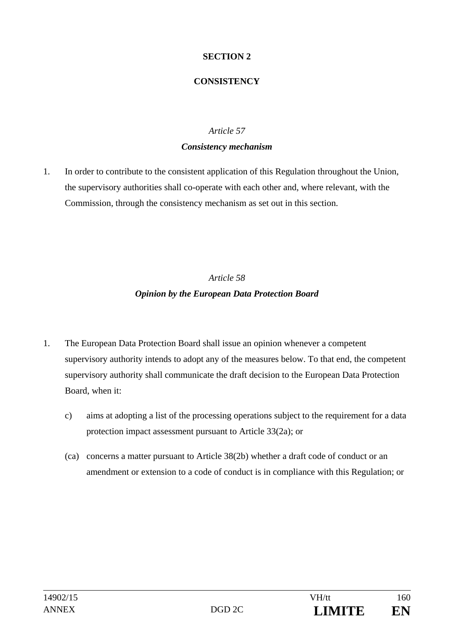#### **SECTION 2**

#### **CONSISTENCY**

#### *Article 57*

#### *Consistency mechanism*

1. In order to contribute to the consistent application of this Regulation throughout the Union, the supervisory authorities shall co-operate with each other and, where relevant, with the Commission, through the consistency mechanism as set out in this section.

## *Article 58*

#### *Opinion by the European Data Protection Board*

- 1. The European Data Protection Board shall issue an opinion whenever a competent supervisory authority intends to adopt any of the measures below. To that end, the competent supervisory authority shall communicate the draft decision to the European Data Protection Board, when it:
	- c) aims at adopting a list of the processing operations subject to the requirement for a data protection impact assessment pursuant to Article 33(2a); or
	- (ca) concerns a matter pursuant to Article 38(2b) whether a draft code of conduct or an amendment or extension to a code of conduct is in compliance with this Regulation; or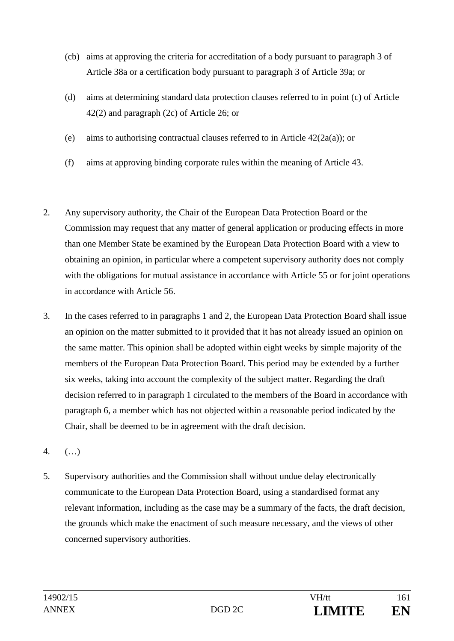- (cb) aims at approving the criteria for accreditation of a body pursuant to paragraph 3 of Article 38a or a certification body pursuant to paragraph 3 of Article 39a; or
- (d) aims at determining standard data protection clauses referred to in point (c) of Article 42(2) and paragraph (2c) of Article 26; or
- (e) aims to authorising contractual clauses referred to in Article  $42(2a(a))$ ; or
- (f) aims at approving binding corporate rules within the meaning of Article 43.
- 2. Any supervisory authority, the Chair of the European Data Protection Board or the Commission may request that any matter of general application or producing effects in more than one Member State be examined by the European Data Protection Board with a view to obtaining an opinion, in particular where a competent supervisory authority does not comply with the obligations for mutual assistance in accordance with Article 55 or for joint operations in accordance with Article 56.
- 3. In the cases referred to in paragraphs 1 and 2, the European Data Protection Board shall issue an opinion on the matter submitted to it provided that it has not already issued an opinion on the same matter. This opinion shall be adopted within eight weeks by simple majority of the members of the European Data Protection Board. This period may be extended by a further six weeks, taking into account the complexity of the subject matter. Regarding the draft decision referred to in paragraph 1 circulated to the members of the Board in accordance with paragraph 6, a member which has not objected within a reasonable period indicated by the Chair, shall be deemed to be in agreement with the draft decision.
- 4. (…)
- 5. Supervisory authorities and the Commission shall without undue delay electronically communicate to the European Data Protection Board, using a standardised format any relevant information, including as the case may be a summary of the facts, the draft decision, the grounds which make the enactment of such measure necessary, and the views of other concerned supervisory authorities.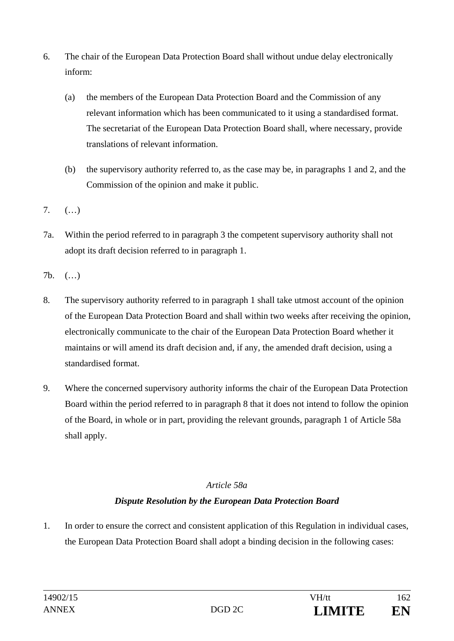- 6. The chair of the European Data Protection Board shall without undue delay electronically inform:
	- (a) the members of the European Data Protection Board and the Commission of any relevant information which has been communicated to it using a standardised format. The secretariat of the European Data Protection Board shall, where necessary, provide translations of relevant information.
	- (b) the supervisory authority referred to, as the case may be, in paragraphs 1 and 2, and the Commission of the opinion and make it public.
- 7. (…)
- 7a. Within the period referred to in paragraph 3 the competent supervisory authority shall not adopt its draft decision referred to in paragraph 1.
- 7b. (…)
- 8. The supervisory authority referred to in paragraph 1 shall take utmost account of the opinion of the European Data Protection Board and shall within two weeks after receiving the opinion, electronically communicate to the chair of the European Data Protection Board whether it maintains or will amend its draft decision and, if any, the amended draft decision, using a standardised format.
- 9. Where the concerned supervisory authority informs the chair of the European Data Protection Board within the period referred to in paragraph 8 that it does not intend to follow the opinion of the Board, in whole or in part, providing the relevant grounds, paragraph 1 of Article 58a shall apply.

## *Article 58a*

## *Dispute Resolution by the European Data Protection Board*

1. In order to ensure the correct and consistent application of this Regulation in individual cases, the European Data Protection Board shall adopt a binding decision in the following cases: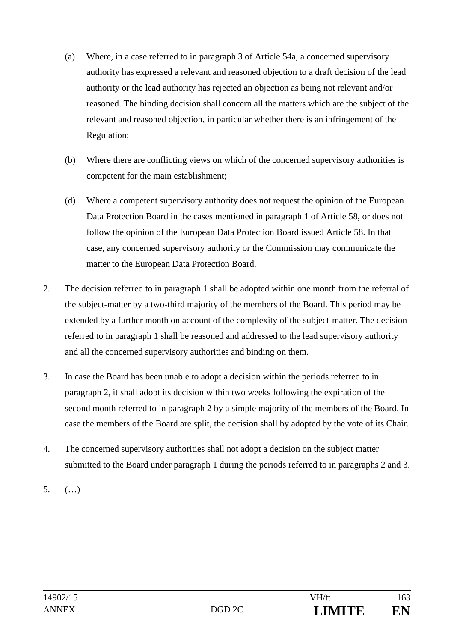- (a) Where, in a case referred to in paragraph 3 of Article 54a, a concerned supervisory authority has expressed a relevant and reasoned objection to a draft decision of the lead authority or the lead authority has rejected an objection as being not relevant and/or reasoned. The binding decision shall concern all the matters which are the subject of the relevant and reasoned objection, in particular whether there is an infringement of the Regulation;
- (b) Where there are conflicting views on which of the concerned supervisory authorities is competent for the main establishment;
- (d) Where a competent supervisory authority does not request the opinion of the European Data Protection Board in the cases mentioned in paragraph 1 of Article 58, or does not follow the opinion of the European Data Protection Board issued Article 58. In that case, any concerned supervisory authority or the Commission may communicate the matter to the European Data Protection Board.
- 2. The decision referred to in paragraph 1 shall be adopted within one month from the referral of the subject-matter by a two-third majority of the members of the Board. This period may be extended by a further month on account of the complexity of the subject-matter. The decision referred to in paragraph 1 shall be reasoned and addressed to the lead supervisory authority and all the concerned supervisory authorities and binding on them.
- 3. In case the Board has been unable to adopt a decision within the periods referred to in paragraph 2, it shall adopt its decision within two weeks following the expiration of the second month referred to in paragraph 2 by a simple majority of the members of the Board. In case the members of the Board are split, the decision shall by adopted by the vote of its Chair.
- 4. The concerned supervisory authorities shall not adopt a decision on the subject matter submitted to the Board under paragraph 1 during the periods referred to in paragraphs 2 and 3.
- 5. (…)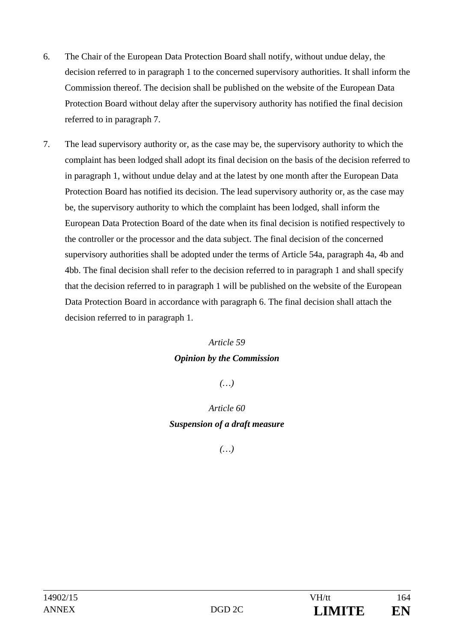- 6. The Chair of the European Data Protection Board shall notify, without undue delay, the decision referred to in paragraph 1 to the concerned supervisory authorities. It shall inform the Commission thereof. The decision shall be published on the website of the European Data Protection Board without delay after the supervisory authority has notified the final decision referred to in paragraph 7.
- 7. The lead supervisory authority or, as the case may be, the supervisory authority to which the complaint has been lodged shall adopt its final decision on the basis of the decision referred to in paragraph 1, without undue delay and at the latest by one month after the European Data Protection Board has notified its decision. The lead supervisory authority or, as the case may be, the supervisory authority to which the complaint has been lodged, shall inform the European Data Protection Board of the date when its final decision is notified respectively to the controller or the processor and the data subject. The final decision of the concerned supervisory authorities shall be adopted under the terms of Article 54a, paragraph 4a, 4b and 4bb. The final decision shall refer to the decision referred to in paragraph 1 and shall specify that the decision referred to in paragraph 1 will be published on the website of the European Data Protection Board in accordance with paragraph 6. The final decision shall attach the decision referred to in paragraph 1.

# *Article 59 Opinion by the Commission*

#### *(…)*

# *Article 60 Suspension of a draft measure*

*(…)*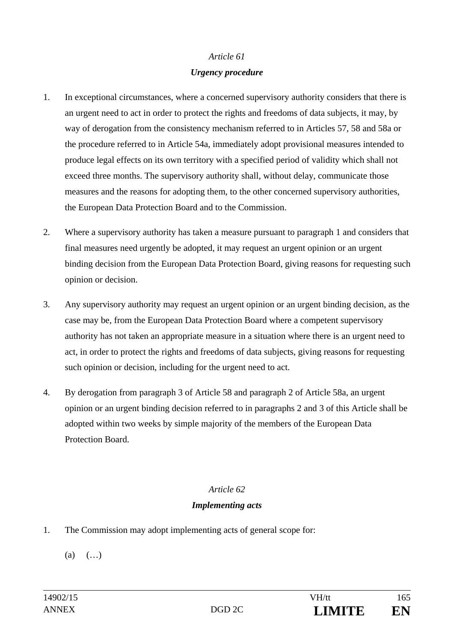### *Urgency procedure*

- 1. In exceptional circumstances, where a concerned supervisory authority considers that there is an urgent need to act in order to protect the rights and freedoms of data subjects, it may, by way of derogation from the consistency mechanism referred to in Articles 57, 58 and 58a or the procedure referred to in Article 54a, immediately adopt provisional measures intended to produce legal effects on its own territory with a specified period of validity which shall not exceed three months. The supervisory authority shall, without delay, communicate those measures and the reasons for adopting them, to the other concerned supervisory authorities, the European Data Protection Board and to the Commission.
- 2. Where a supervisory authority has taken a measure pursuant to paragraph 1 and considers that final measures need urgently be adopted, it may request an urgent opinion or an urgent binding decision from the European Data Protection Board, giving reasons for requesting such opinion or decision.
- 3. Any supervisory authority may request an urgent opinion or an urgent binding decision, as the case may be, from the European Data Protection Board where a competent supervisory authority has not taken an appropriate measure in a situation where there is an urgent need to act, in order to protect the rights and freedoms of data subjects, giving reasons for requesting such opinion or decision, including for the urgent need to act.
- 4. By derogation from paragraph 3 of Article 58 and paragraph 2 of Article 58a, an urgent opinion or an urgent binding decision referred to in paragraphs 2 and 3 of this Article shall be adopted within two weeks by simple majority of the members of the European Data Protection Board.

## *Article 62*

## *Implementing acts*

- 1. The Commission may adopt implementing acts of general scope for:
	- $(a)$   $($ ... $)$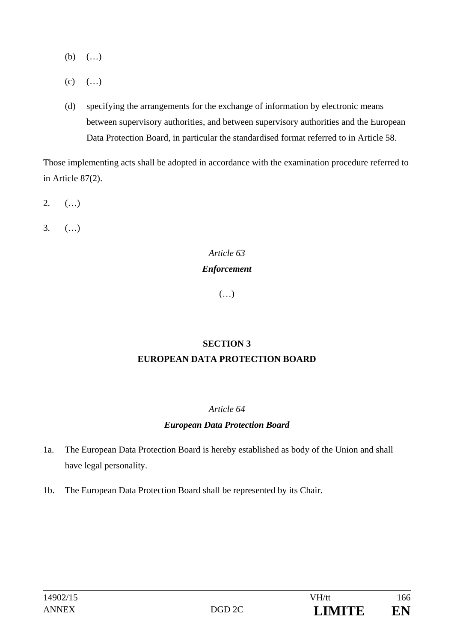- (b) (…)
- $(c)$   $(...)$
- (d) specifying the arrangements for the exchange of information by electronic means between supervisory authorities, and between supervisory authorities and the European Data Protection Board, in particular the standardised format referred to in Article 58.

Those implementing acts shall be adopted in accordance with the examination procedure referred to in Article 87(2).

- $2. \quad (\ldots)$
- 3. (…)

# *Article 63 Enforcement*

 $(\ldots)$ 

#### **SECTION 3**

#### **EUROPEAN DATA PROTECTION BOARD**

#### *Article 64*

#### *European Data Protection Board*

- 1a. The European Data Protection Board is hereby established as body of the Union and shall have legal personality.
- 1b. The European Data Protection Board shall be represented by its Chair.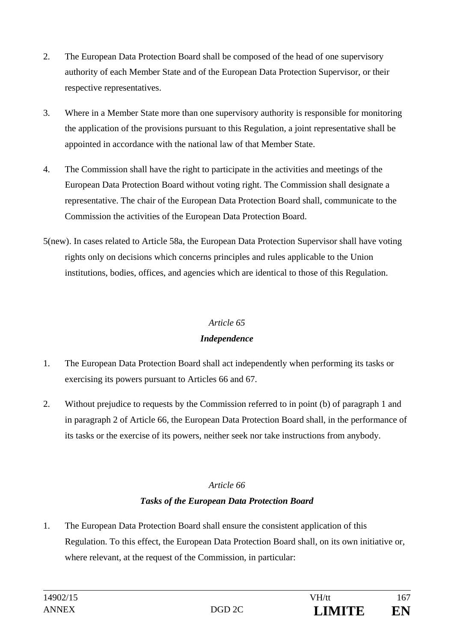- 2. The European Data Protection Board shall be composed of the head of one supervisory authority of each Member State and of the European Data Protection Supervisor, or their respective representatives.
- 3. Where in a Member State more than one supervisory authority is responsible for monitoring the application of the provisions pursuant to this Regulation, a joint representative shall be appointed in accordance with the national law of that Member State.
- 4. The Commission shall have the right to participate in the activities and meetings of the European Data Protection Board without voting right. The Commission shall designate a representative. The chair of the European Data Protection Board shall, communicate to the Commission the activities of the European Data Protection Board.
- 5(new). In cases related to Article 58a, the European Data Protection Supervisor shall have voting rights only on decisions which concerns principles and rules applicable to the Union institutions, bodies, offices, and agencies which are identical to those of this Regulation.

## *Article 65 Independence*

- 1. The European Data Protection Board shall act independently when performing its tasks or exercising its powers pursuant to Articles 66 and 67.
- 2. Without prejudice to requests by the Commission referred to in point (b) of paragraph 1 and in paragraph 2 of Article 66, the European Data Protection Board shall, in the performance of its tasks or the exercise of its powers, neither seek nor take instructions from anybody.

## *Article 66 Tasks of the European Data Protection Board*

1. The European Data Protection Board shall ensure the consistent application of this Regulation. To this effect, the European Data Protection Board shall, on its own initiative or, where relevant, at the request of the Commission, in particular: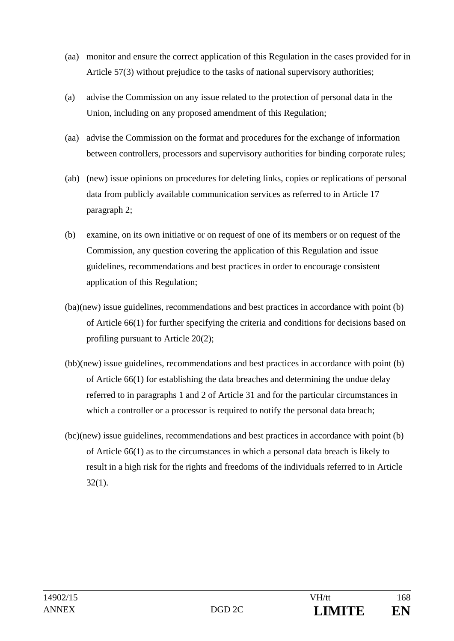- (aa) monitor and ensure the correct application of this Regulation in the cases provided for in Article 57(3) without prejudice to the tasks of national supervisory authorities;
- (a) advise the Commission on any issue related to the protection of personal data in the Union, including on any proposed amendment of this Regulation;
- (aa) advise the Commission on the format and procedures for the exchange of information between controllers, processors and supervisory authorities for binding corporate rules;
- (ab) (new) issue opinions on procedures for deleting links, copies or replications of personal data from publicly available communication services as referred to in Article 17 paragraph 2;
- (b) examine, on its own initiative or on request of one of its members or on request of the Commission, any question covering the application of this Regulation and issue guidelines, recommendations and best practices in order to encourage consistent application of this Regulation;
- (ba)(new) issue guidelines, recommendations and best practices in accordance with point (b) of Article 66(1) for further specifying the criteria and conditions for decisions based on profiling pursuant to Article 20(2);
- (bb)(new) issue guidelines, recommendations and best practices in accordance with point (b) of Article 66(1) for establishing the data breaches and determining the undue delay referred to in paragraphs 1 and 2 of Article 31 and for the particular circumstances in which a controller or a processor is required to notify the personal data breach;
- (bc)(new) issue guidelines, recommendations and best practices in accordance with point (b) of Article 66(1) as to the circumstances in which a personal data breach is likely to result in a high risk for the rights and freedoms of the individuals referred to in Article 32(1).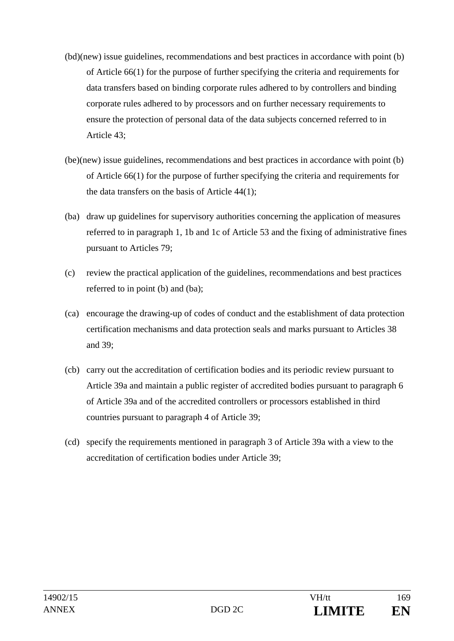- (bd)(new) issue guidelines, recommendations and best practices in accordance with point (b) of Article 66(1) for the purpose of further specifying the criteria and requirements for data transfers based on binding corporate rules adhered to by controllers and binding corporate rules adhered to by processors and on further necessary requirements to ensure the protection of personal data of the data subjects concerned referred to in Article 43;
- (be)(new) issue guidelines, recommendations and best practices in accordance with point (b) of Article 66(1) for the purpose of further specifying the criteria and requirements for the data transfers on the basis of Article 44(1);
- (ba) draw up guidelines for supervisory authorities concerning the application of measures referred to in paragraph 1, 1b and 1c of Article 53 and the fixing of administrative fines pursuant to Articles 79;
- (c) review the practical application of the guidelines, recommendations and best practices referred to in point (b) and (ba);
- (ca) encourage the drawing-up of codes of conduct and the establishment of data protection certification mechanisms and data protection seals and marks pursuant to Articles 38 and 39;
- (cb) carry out the accreditation of certification bodies and its periodic review pursuant to Article 39a and maintain a public register of accredited bodies pursuant to paragraph 6 of Article 39a and of the accredited controllers or processors established in third countries pursuant to paragraph 4 of Article 39;
- (cd) specify the requirements mentioned in paragraph 3 of Article 39a with a view to the accreditation of certification bodies under Article 39;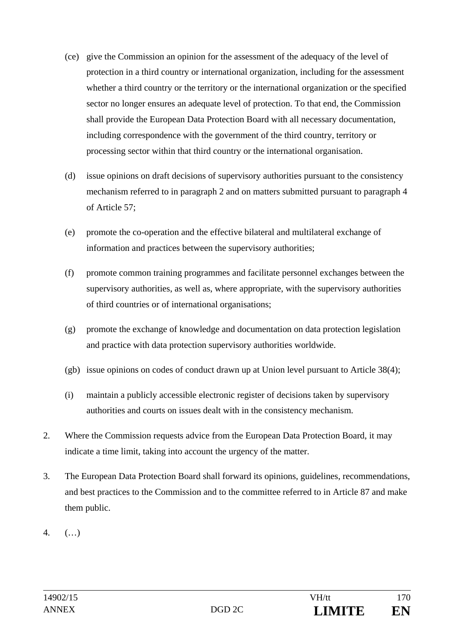- (ce) give the Commission an opinion for the assessment of the adequacy of the level of protection in a third country or international organization, including for the assessment whether a third country or the territory or the international organization or the specified sector no longer ensures an adequate level of protection. To that end, the Commission shall provide the European Data Protection Board with all necessary documentation, including correspondence with the government of the third country, territory or processing sector within that third country or the international organisation.
- (d) issue opinions on draft decisions of supervisory authorities pursuant to the consistency mechanism referred to in paragraph 2 and on matters submitted pursuant to paragraph 4 of Article 57;
- (e) promote the co-operation and the effective bilateral and multilateral exchange of information and practices between the supervisory authorities;
- (f) promote common training programmes and facilitate personnel exchanges between the supervisory authorities, as well as, where appropriate, with the supervisory authorities of third countries or of international organisations;
- (g) promote the exchange of knowledge and documentation on data protection legislation and practice with data protection supervisory authorities worldwide.
- (gb) issue opinions on codes of conduct drawn up at Union level pursuant to Article 38(4);
- (i) maintain a publicly accessible electronic register of decisions taken by supervisory authorities and courts on issues dealt with in the consistency mechanism.
- 2. Where the Commission requests advice from the European Data Protection Board, it may indicate a time limit, taking into account the urgency of the matter.
- 3. The European Data Protection Board shall forward its opinions, guidelines, recommendations, and best practices to the Commission and to the committee referred to in Article 87 and make them public.
- 4. (…)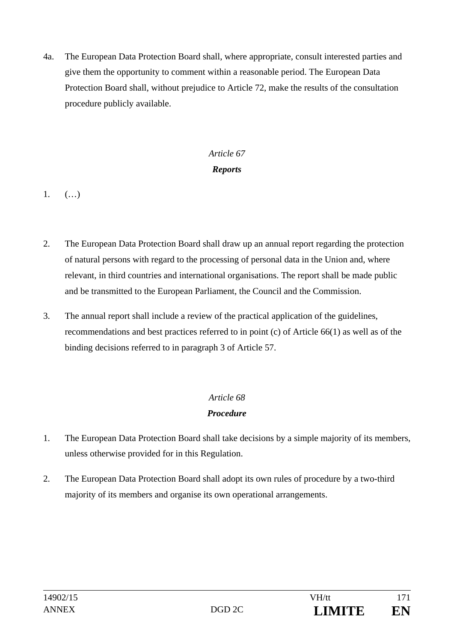4a. The European Data Protection Board shall, where appropriate, consult interested parties and give them the opportunity to comment within a reasonable period. The European Data Protection Board shall, without prejudice to Article 72, make the results of the consultation procedure publicly available.

# *Article 67 Reports*

 $1.$   $($ ...)

- 2. The European Data Protection Board shall draw up an annual report regarding the protection of natural persons with regard to the processing of personal data in the Union and, where relevant, in third countries and international organisations. The report shall be made public and be transmitted to the European Parliament, the Council and the Commission.
- 3. The annual report shall include a review of the practical application of the guidelines, recommendations and best practices referred to in point (c) of Article 66(1) as well as of the binding decisions referred to in paragraph 3 of Article 57.

# *Article 68*

## *Procedure*

- 1. The European Data Protection Board shall take decisions by a simple majority of its members, unless otherwise provided for in this Regulation.
- 2. The European Data Protection Board shall adopt its own rules of procedure by a two-third majority of its members and organise its own operational arrangements.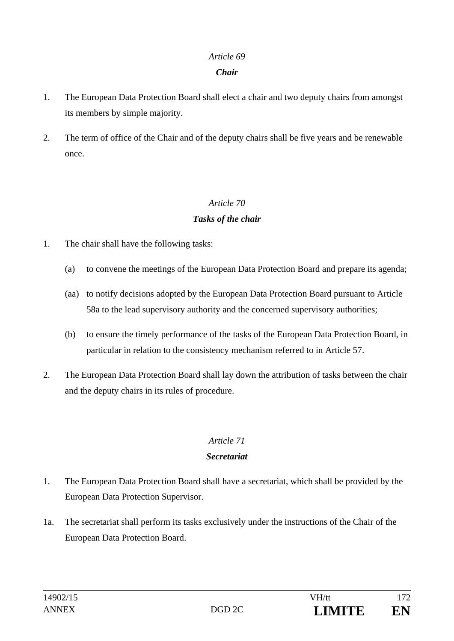## *Article 69 Chair*

- 1. The European Data Protection Board shall elect a chair and two deputy chairs from amongst its members by simple majority.
- 2. The term of office of the Chair and of the deputy chairs shall be five years and be renewable once.

### *Article 70*

#### *Tasks of the chair*

- 1. The chair shall have the following tasks:
	- (a) to convene the meetings of the European Data Protection Board and prepare its agenda;
	- (aa) to notify decisions adopted by the European Data Protection Board pursuant to Article 58a to the lead supervisory authority and the concerned supervisory authorities;
	- (b) to ensure the timely performance of the tasks of the European Data Protection Board, in particular in relation to the consistency mechanism referred to in Article 57.
- 2. The European Data Protection Board shall lay down the attribution of tasks between the chair and the deputy chairs in its rules of procedure.

## *Article 71*

#### *Secretariat*

- 1. The European Data Protection Board shall have a secretariat, which shall be provided by the European Data Protection Supervisor.
- 1a. The secretariat shall perform its tasks exclusively under the instructions of the Chair of the European Data Protection Board.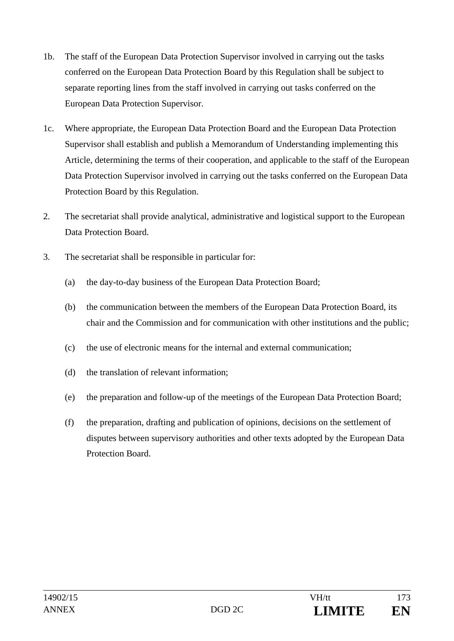- 1b. The staff of the European Data Protection Supervisor involved in carrying out the tasks conferred on the European Data Protection Board by this Regulation shall be subject to separate reporting lines from the staff involved in carrying out tasks conferred on the European Data Protection Supervisor.
- 1c. Where appropriate, the European Data Protection Board and the European Data Protection Supervisor shall establish and publish a Memorandum of Understanding implementing this Article, determining the terms of their cooperation, and applicable to the staff of the European Data Protection Supervisor involved in carrying out the tasks conferred on the European Data Protection Board by this Regulation.
- 2. The secretariat shall provide analytical, administrative and logistical support to the European Data Protection Board.
- 3. The secretariat shall be responsible in particular for:
	- (a) the day-to-day business of the European Data Protection Board;
	- (b) the communication between the members of the European Data Protection Board, its chair and the Commission and for communication with other institutions and the public;
	- (c) the use of electronic means for the internal and external communication;
	- (d) the translation of relevant information;
	- (e) the preparation and follow-up of the meetings of the European Data Protection Board;
	- (f) the preparation, drafting and publication of opinions, decisions on the settlement of disputes between supervisory authorities and other texts adopted by the European Data Protection Board.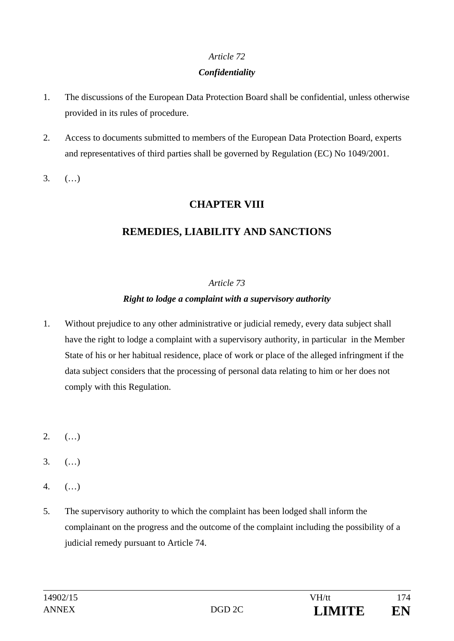## *Confidentiality*

- 1. The discussions of the European Data Protection Board shall be confidential, unless otherwise provided in its rules of procedure.
- 2. Access to documents submitted to members of the European Data Protection Board, experts and representatives of third parties shall be governed by Regulation (EC) No 1049/2001.

3. (…)

# **CHAPTER VIII**

# **REMEDIES, LIABILITY AND SANCTIONS**

## *Article 73*

## *Right to lodge a complaint with a supervisory authority*

- 1. Without prejudice to any other administrative or judicial remedy, every data subject shall have the right to lodge a complaint with a supervisory authority, in particular in the Member State of his or her habitual residence, place of work or place of the alleged infringment if the data subject considers that the processing of personal data relating to him or her does not comply with this Regulation.
- 2.  $(...)$
- 3. (…)
- 4. (…)
- 5. The supervisory authority to which the complaint has been lodged shall inform the complainant on the progress and the outcome of the complaint including the possibility of a judicial remedy pursuant to Article 74.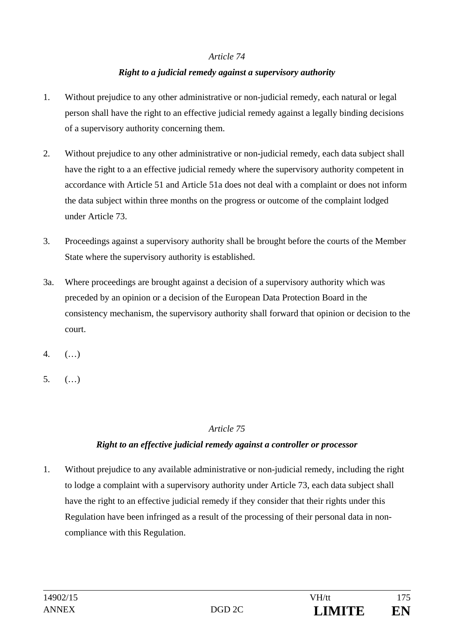### *Right to a judicial remedy against a supervisory authority*

- 1. Without prejudice to any other administrative or non-judicial remedy, each natural or legal person shall have the right to an effective judicial remedy against a legally binding decisions of a supervisory authority concerning them.
- 2. Without prejudice to any other administrative or non-judicial remedy, each data subject shall have the right to a an effective judicial remedy where the supervisory authority competent in accordance with Article 51 and Article 51a does not deal with a complaint or does not inform the data subject within three months on the progress or outcome of the complaint lodged under Article 73.
- 3. Proceedings against a supervisory authority shall be brought before the courts of the Member State where the supervisory authority is established.
- 3a. Where proceedings are brought against a decision of a supervisory authority which was preceded by an opinion or a decision of the European Data Protection Board in the consistency mechanism, the supervisory authority shall forward that opinion or decision to the court.
- 4. (…)
- 5. (…)

## *Article 75*

## *Right to an effective judicial remedy against a controller or processor*

1. Without prejudice to any available administrative or non-judicial remedy, including the right to lodge a complaint with a supervisory authority under Article 73, each data subject shall have the right to an effective judicial remedy if they consider that their rights under this Regulation have been infringed as a result of the processing of their personal data in noncompliance with this Regulation.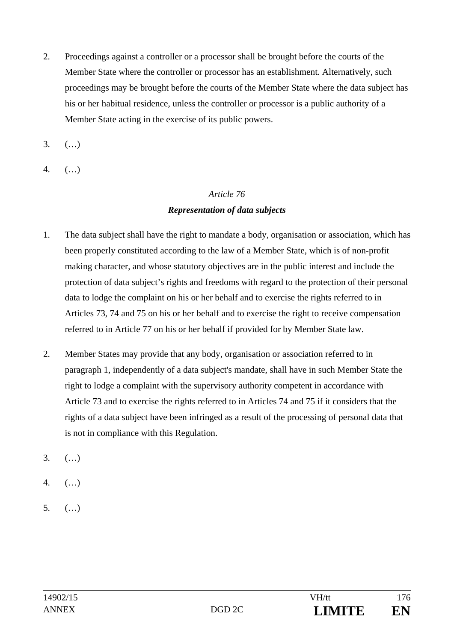- 2. Proceedings against a controller or a processor shall be brought before the courts of the Member State where the controller or processor has an establishment. Alternatively, such proceedings may be brought before the courts of the Member State where the data subject has his or her habitual residence, unless the controller or processor is a public authority of a Member State acting in the exercise of its public powers.
- 3. (…)
- 4. (…)

# *Article 76 Representation of data subjects*

- 1. The data subject shall have the right to mandate a body, organisation or association, which has been properly constituted according to the law of a Member State, which is of non-profit making character, and whose statutory objectives are in the public interest and include the protection of data subject's rights and freedoms with regard to the protection of their personal data to lodge the complaint on his or her behalf and to exercise the rights referred to in Articles 73, 74 and 75 on his or her behalf and to exercise the right to receive compensation referred to in Article 77 on his or her behalf if provided for by Member State law.
- 2. Member States may provide that any body, organisation or association referred to in paragraph 1, independently of a data subject's mandate, shall have in such Member State the right to lodge a complaint with the supervisory authority competent in accordance with Article 73 and to exercise the rights referred to in Articles 74 and 75 if it considers that the rights of a data subject have been infringed as a result of the processing of personal data that is not in compliance with this Regulation.
- 3. (…)
- 4. (…)
- 5. (…)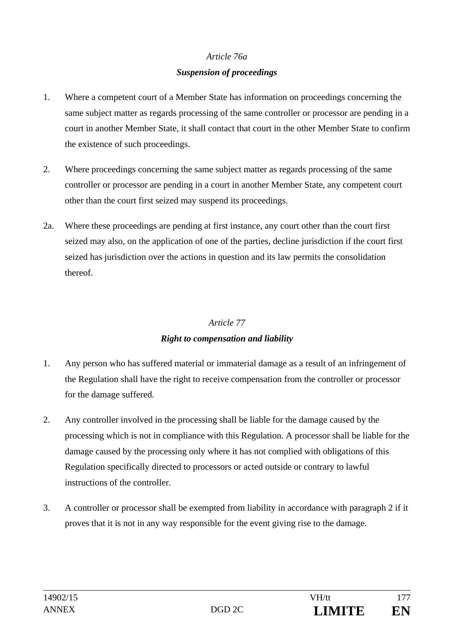#### *Article 76a*

### *Suspension of proceedings*

- 1. Where a competent court of a Member State has information on proceedings concerning the same subject matter as regards processing of the same controller or processor are pending in a court in another Member State, it shall contact that court in the other Member State to confirm the existence of such proceedings.
- 2. Where proceedings concerning the same subject matter as regards processing of the same controller or processor are pending in a court in another Member State, any competent court other than the court first seized may suspend its proceedings.
- 2a. Where these proceedings are pending at first instance, any court other than the court first seized may also, on the application of one of the parties, decline jurisdiction if the court first seized has jurisdiction over the actions in question and its law permits the consolidation thereof.

# *Article 77 Right to compensation and liability*

- 1. Any person who has suffered material or immaterial damage as a result of an infringement of the Regulation shall have the right to receive compensation from the controller or processor for the damage suffered.
- 2. Any controller involved in the processing shall be liable for the damage caused by the processing which is not in compliance with this Regulation. A processor shall be liable for the damage caused by the processing only where it has not complied with obligations of this Regulation specifically directed to processors or acted outside or contrary to lawful instructions of the controller.
- 3. A controller or processor shall be exempted from liability in accordance with paragraph 2 if it proves that it is not in any way responsible for the event giving rise to the damage.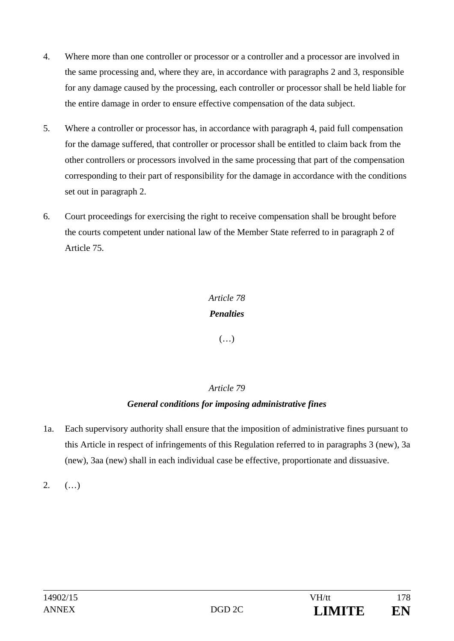- 4. Where more than one controller or processor or a controller and a processor are involved in the same processing and, where they are, in accordance with paragraphs 2 and 3, responsible for any damage caused by the processing, each controller or processor shall be held liable for the entire damage in order to ensure effective compensation of the data subject.
- 5. Where a controller or processor has, in accordance with paragraph 4, paid full compensation for the damage suffered, that controller or processor shall be entitled to claim back from the other controllers or processors involved in the same processing that part of the compensation corresponding to their part of responsibility for the damage in accordance with the conditions set out in paragraph 2.
- 6. Court proceedings for exercising the right to receive compensation shall be brought before the courts competent under national law of the Member State referred to in paragraph 2 of Article 75.

# *Article 78 Penalties*

(…)

## *Article 79*

# *General conditions for imposing administrative fines*

- 1a. Each supervisory authority shall ensure that the imposition of administrative fines pursuant to this Article in respect of infringements of this Regulation referred to in paragraphs 3 (new), 3a (new), 3aa (new) shall in each individual case be effective, proportionate and dissuasive.
- $2.$   $($ ...)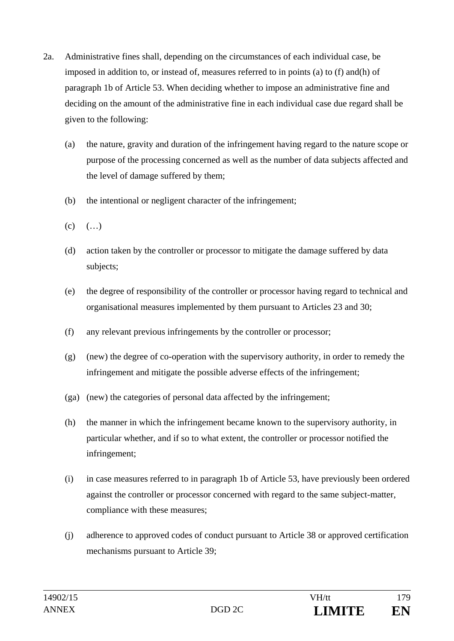- 2a. Administrative fines shall, depending on the circumstances of each individual case, be imposed in addition to, or instead of, measures referred to in points (a) to (f) and(h) of paragraph 1b of Article 53. When deciding whether to impose an administrative fine and deciding on the amount of the administrative fine in each individual case due regard shall be given to the following:
	- (a) the nature, gravity and duration of the infringement having regard to the nature scope or purpose of the processing concerned as well as the number of data subjects affected and the level of damage suffered by them;
	- (b) the intentional or negligent character of the infringement;
	- $(c)$   $($ ...)
	- (d) action taken by the controller or processor to mitigate the damage suffered by data subjects;
	- (e) the degree of responsibility of the controller or processor having regard to technical and organisational measures implemented by them pursuant to Articles 23 and 30;
	- (f) any relevant previous infringements by the controller or processor;
	- (g) (new) the degree of co-operation with the supervisory authority, in order to remedy the infringement and mitigate the possible adverse effects of the infringement;
	- (ga) (new) the categories of personal data affected by the infringement;
	- (h) the manner in which the infringement became known to the supervisory authority, in particular whether, and if so to what extent, the controller or processor notified the infringement;
	- (i) in case measures referred to in paragraph 1b of Article 53, have previously been ordered against the controller or processor concerned with regard to the same subject-matter, compliance with these measures;
	- (j) adherence to approved codes of conduct pursuant to Article 38 or approved certification mechanisms pursuant to Article 39;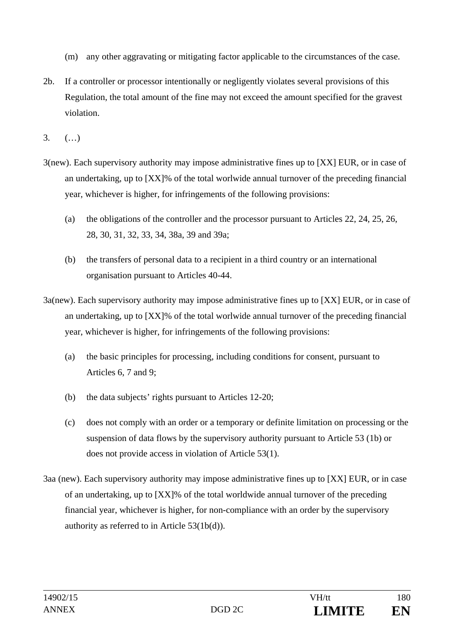- (m) any other aggravating or mitigating factor applicable to the circumstances of the case.
- 2b. If a controller or processor intentionally or negligently violates several provisions of this Regulation, the total amount of the fine may not exceed the amount specified for the gravest violation.
- 3. (…)
- 3(new). Each supervisory authority may impose administrative fines up to [XX] EUR, or in case of an undertaking, up to [XX]% of the total worlwide annual turnover of the preceding financial year, whichever is higher, for infringements of the following provisions:
	- (a) the obligations of the controller and the processor pursuant to Articles 22, 24, 25, 26, 28, 30, 31, 32, 33, 34, 38a, 39 and 39a;
	- (b) the transfers of personal data to a recipient in a third country or an international organisation pursuant to Articles 40-44.
- 3a(new). Each supervisory authority may impose administrative fines up to [XX] EUR, or in case of an undertaking, up to [XX]% of the total worlwide annual turnover of the preceding financial year, whichever is higher, for infringements of the following provisions:
	- (a) the basic principles for processing, including conditions for consent, pursuant to Articles 6, 7 and 9;
	- (b) the data subjects' rights pursuant to Articles 12-20;
	- (c) does not comply with an order or a temporary or definite limitation on processing or the suspension of data flows by the supervisory authority pursuant to Article 53 (1b) or does not provide access in violation of Article 53(1).
- 3aa (new). Each supervisory authority may impose administrative fines up to [XX] EUR, or in case of an undertaking, up to [XX]% of the total worldwide annual turnover of the preceding financial year, whichever is higher, for non-compliance with an order by the supervisory authority as referred to in Article 53(1b(d)).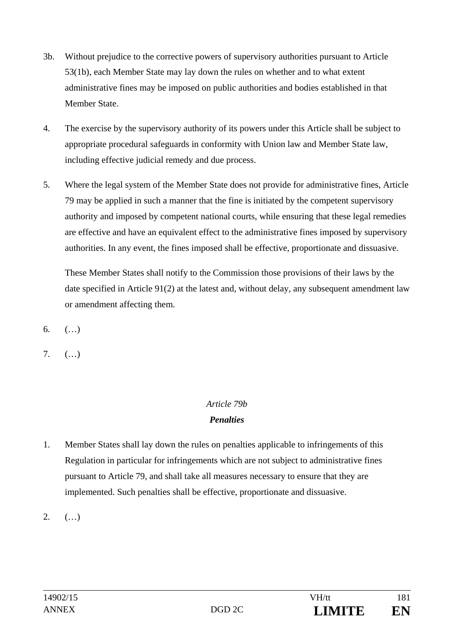- 3b. Without prejudice to the corrective powers of supervisory authorities pursuant to Article 53(1b), each Member State may lay down the rules on whether and to what extent administrative fines may be imposed on public authorities and bodies established in that Member State.
- 4. The exercise by the supervisory authority of its powers under this Article shall be subject to appropriate procedural safeguards in conformity with Union law and Member State law, including effective judicial remedy and due process.
- 5. Where the legal system of the Member State does not provide for administrative fines, Article 79 may be applied in such a manner that the fine is initiated by the competent supervisory authority and imposed by competent national courts, while ensuring that these legal remedies are effective and have an equivalent effect to the administrative fines imposed by supervisory authorities. In any event, the fines imposed shall be effective, proportionate and dissuasive.

 These Member States shall notify to the Commission those provisions of their laws by the date specified in Article 91(2) at the latest and, without delay, any subsequent amendment law or amendment affecting them.

- 6.  $($ ...)
- 7. (…)

## *Article 79b*

### *Penalties*

- 1. Member States shall lay down the rules on penalties applicable to infringements of this Regulation in particular for infringements which are not subject to administrative fines pursuant to Article 79, and shall take all measures necessary to ensure that they are implemented. Such penalties shall be effective, proportionate and dissuasive.
- 2. (…)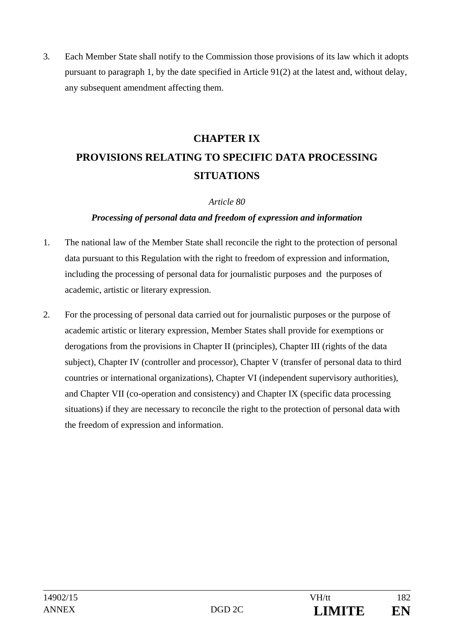3. Each Member State shall notify to the Commission those provisions of its law which it adopts pursuant to paragraph 1, by the date specified in Article 91(2) at the latest and, without delay, any subsequent amendment affecting them.

# **CHAPTER IX PROVISIONS RELATING TO SPECIFIC DATA PROCESSING SITUATIONS**

#### *Article 80*

### *Processing of personal data and freedom of expression and information*

- 1. The national law of the Member State shall reconcile the right to the protection of personal data pursuant to this Regulation with the right to freedom of expression and information, including the processing of personal data for journalistic purposes and the purposes of academic, artistic or literary expression.
- 2. For the processing of personal data carried out for journalistic purposes or the purpose of academic artistic or literary expression, Member States shall provide for exemptions or derogations from the provisions in Chapter II (principles), Chapter III (rights of the data subject), Chapter IV (controller and processor), Chapter V (transfer of personal data to third countries or international organizations), Chapter VI (independent supervisory authorities), and Chapter VII (co-operation and consistency) and Chapter IX (specific data processing situations) if they are necessary to reconcile the right to the protection of personal data with the freedom of expression and information.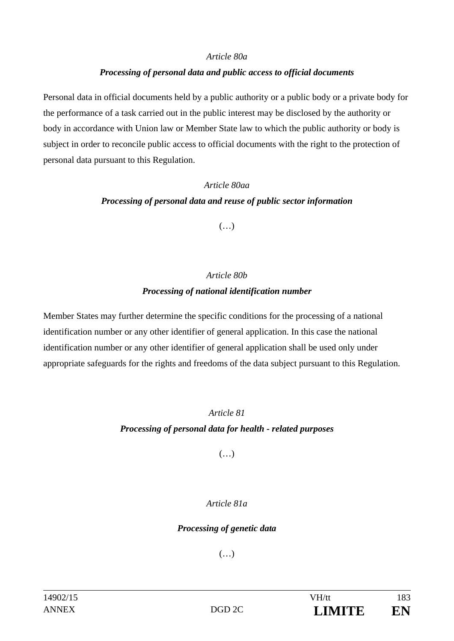#### *Article 80a*

#### *Processing of personal data and public access to official documents*

Personal data in official documents held by a public authority or a public body or a private body for the performance of a task carried out in the public interest may be disclosed by the authority or body in accordance with Union law or Member State law to which the public authority or body is subject in order to reconcile public access to official documents with the right to the protection of personal data pursuant to this Regulation.

#### *Article 80aa*

#### *Processing of personal data and reuse of public sector information*

(…)

# *Article 80b Processing of national identification number*

Member States may further determine the specific conditions for the processing of a national identification number or any other identifier of general application. In this case the national identification number or any other identifier of general application shall be used only under appropriate safeguards for the rights and freedoms of the data subject pursuant to this Regulation.

# *Article 81 Processing of personal data for health - related purposes*

 $(\ldots)$ 

### *Article 81a*

### *Processing of genetic data*

(…)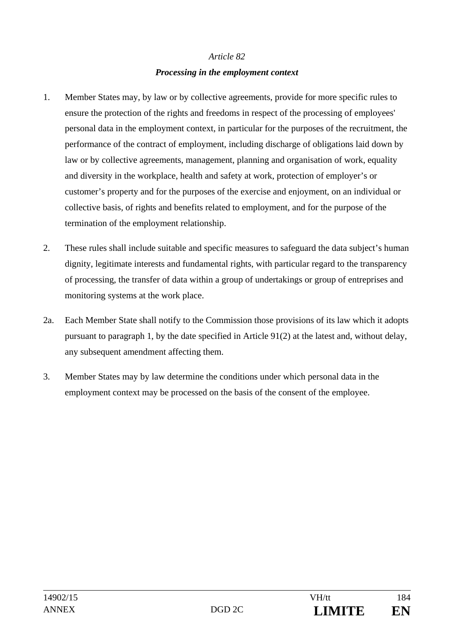#### *Processing in the employment context*

- 1. Member States may, by law or by collective agreements, provide for more specific rules to ensure the protection of the rights and freedoms in respect of the processing of employees' personal data in the employment context, in particular for the purposes of the recruitment, the performance of the contract of employment, including discharge of obligations laid down by law or by collective agreements, management, planning and organisation of work, equality and diversity in the workplace, health and safety at work, protection of employer's or customer's property and for the purposes of the exercise and enjoyment, on an individual or collective basis, of rights and benefits related to employment, and for the purpose of the termination of the employment relationship.
- 2. These rules shall include suitable and specific measures to safeguard the data subject's human dignity, legitimate interests and fundamental rights, with particular regard to the transparency of processing, the transfer of data within a group of undertakings or group of entreprises and monitoring systems at the work place.
- 2a. Each Member State shall notify to the Commission those provisions of its law which it adopts pursuant to paragraph 1, by the date specified in Article 91(2) at the latest and, without delay, any subsequent amendment affecting them.
- 3. Member States may by law determine the conditions under which personal data in the employment context may be processed on the basis of the consent of the employee.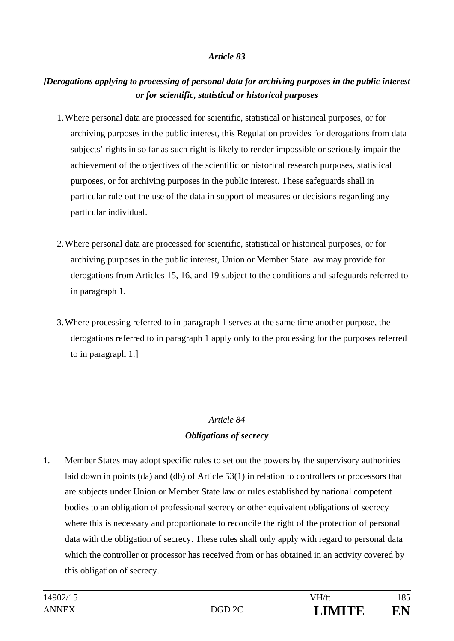## *[Derogations applying to processing of personal data for archiving purposes in the public interest or for scientific, statistical or historical purposes*

- 1.Where personal data are processed for scientific, statistical or historical purposes, or for archiving purposes in the public interest, this Regulation provides for derogations from data subjects' rights in so far as such right is likely to render impossible or seriously impair the achievement of the objectives of the scientific or historical research purposes, statistical purposes, or for archiving purposes in the public interest. These safeguards shall in particular rule out the use of the data in support of measures or decisions regarding any particular individual.
- 2.Where personal data are processed for scientific, statistical or historical purposes, or for archiving purposes in the public interest, Union or Member State law may provide for derogations from Articles 15, 16, and 19 subject to the conditions and safeguards referred to in paragraph 1.
- 3.Where processing referred to in paragraph 1 serves at the same time another purpose, the derogations referred to in paragraph 1 apply only to the processing for the purposes referred to in paragraph 1.]

#### *Article 84*

#### *Obligations of secrecy*

1. Member States may adopt specific rules to set out the powers by the supervisory authorities laid down in points (da) and (db) of Article 53(1) in relation to controllers or processors that are subjects under Union or Member State law or rules established by national competent bodies to an obligation of professional secrecy or other equivalent obligations of secrecy where this is necessary and proportionate to reconcile the right of the protection of personal data with the obligation of secrecy. These rules shall only apply with regard to personal data which the controller or processor has received from or has obtained in an activity covered by this obligation of secrecy.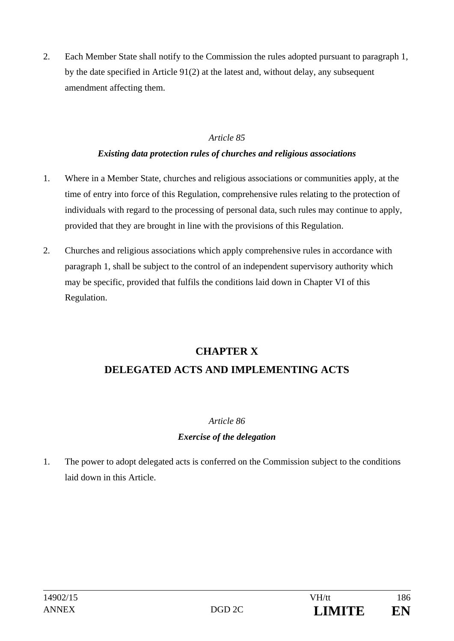2. Each Member State shall notify to the Commission the rules adopted pursuant to paragraph 1, by the date specified in Article 91(2) at the latest and, without delay, any subsequent amendment affecting them.

#### *Article 85*

### *Existing data protection rules of churches and religious associations*

- 1. Where in a Member State, churches and religious associations or communities apply, at the time of entry into force of this Regulation, comprehensive rules relating to the protection of individuals with regard to the processing of personal data, such rules may continue to apply, provided that they are brought in line with the provisions of this Regulation.
- 2. Churches and religious associations which apply comprehensive rules in accordance with paragraph 1, shall be subject to the control of an independent supervisory authority which may be specific, provided that fulfils the conditions laid down in Chapter VI of this Regulation.

# **CHAPTER X DELEGATED ACTS AND IMPLEMENTING ACTS**

### *Article 86*

### *Exercise of the delegation*

1. The power to adopt delegated acts is conferred on the Commission subject to the conditions laid down in this Article.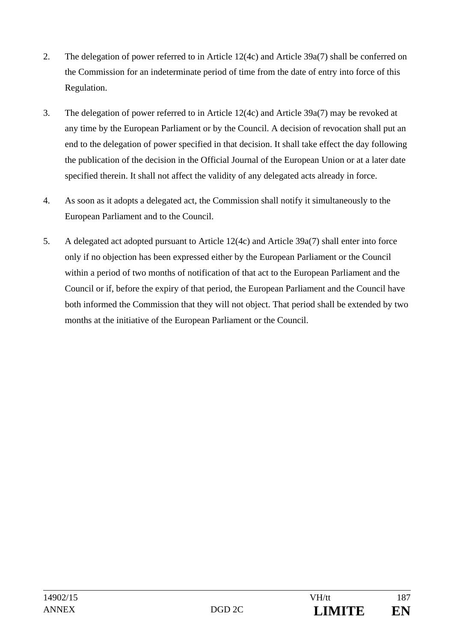- 2. The delegation of power referred to in Article 12(4c) and Article 39a(7) shall be conferred on the Commission for an indeterminate period of time from the date of entry into force of this Regulation.
- 3. The delegation of power referred to in Article 12(4c) and Article 39a(7) may be revoked at any time by the European Parliament or by the Council. A decision of revocation shall put an end to the delegation of power specified in that decision. It shall take effect the day following the publication of the decision in the Official Journal of the European Union or at a later date specified therein. It shall not affect the validity of any delegated acts already in force.
- 4. As soon as it adopts a delegated act, the Commission shall notify it simultaneously to the European Parliament and to the Council.
- 5. A delegated act adopted pursuant to Article 12(4c) and Article 39a(7) shall enter into force only if no objection has been expressed either by the European Parliament or the Council within a period of two months of notification of that act to the European Parliament and the Council or if, before the expiry of that period, the European Parliament and the Council have both informed the Commission that they will not object. That period shall be extended by two months at the initiative of the European Parliament or the Council.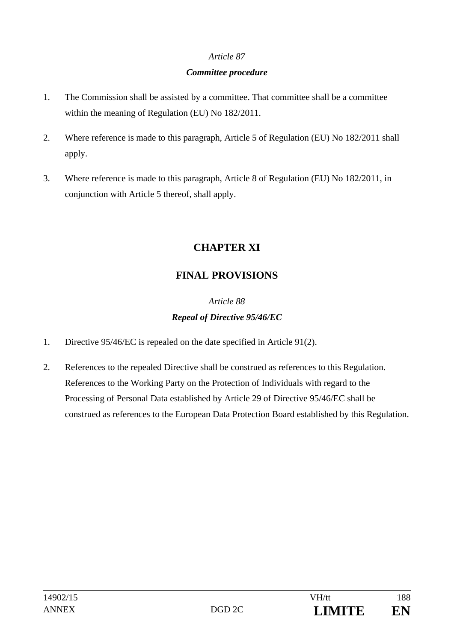### *Committee procedure*

- 1. The Commission shall be assisted by a committee. That committee shall be a committee within the meaning of Regulation (EU) No 182/2011.
- 2. Where reference is made to this paragraph, Article 5 of Regulation (EU) No 182/2011 shall apply.
- 3. Where reference is made to this paragraph, Article 8 of Regulation (EU) No 182/2011, in conjunction with Article 5 thereof, shall apply.

# **CHAPTER XI**

# **FINAL PROVISIONS**

# *Article 88 Repeal of Directive 95/46/EC*

- 1. Directive 95/46/EC is repealed on the date specified in Article 91(2).
- 2. References to the repealed Directive shall be construed as references to this Regulation. References to the Working Party on the Protection of Individuals with regard to the Processing of Personal Data established by Article 29 of Directive 95/46/EC shall be construed as references to the European Data Protection Board established by this Regulation.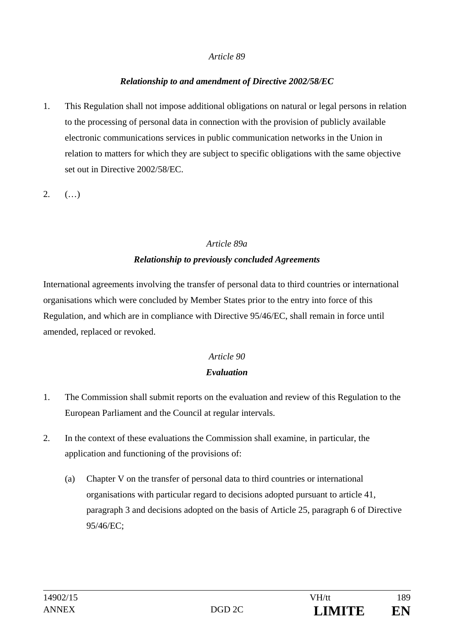#### *Relationship to and amendment of Directive 2002/58/EC*

1. This Regulation shall not impose additional obligations on natural or legal persons in relation to the processing of personal data in connection with the provision of publicly available electronic communications services in public communication networks in the Union in relation to matters for which they are subject to specific obligations with the same objective set out in Directive 2002/58/EC.

 $2.$  (...)

#### *Article 89a*

### *Relationship to previously concluded Agreements*

International agreements involving the transfer of personal data to third countries or international organisations which were concluded by Member States prior to the entry into force of this Regulation, and which are in compliance with Directive 95/46/EC, shall remain in force until amended, replaced or revoked.

#### *Article 90*

#### *Evaluation*

- 1. The Commission shall submit reports on the evaluation and review of this Regulation to the European Parliament and the Council at regular intervals.
- 2. In the context of these evaluations the Commission shall examine, in particular, the application and functioning of the provisions of:
	- (a) Chapter V on the transfer of personal data to third countries or international organisations with particular regard to decisions adopted pursuant to article 41, paragraph 3 and decisions adopted on the basis of Article 25, paragraph 6 of Directive 95/46/EC;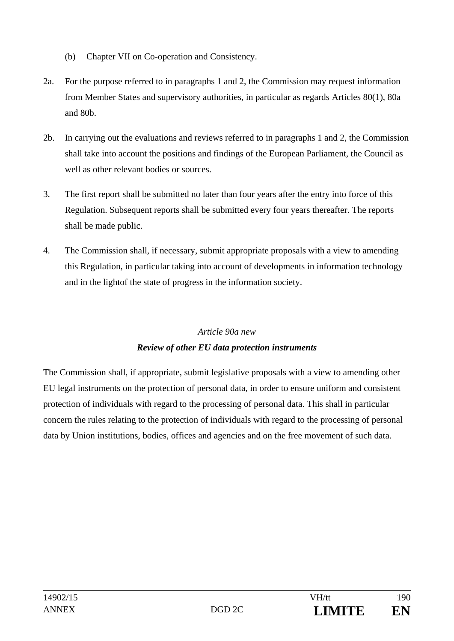- (b) Chapter VII on Co-operation and Consistency.
- 2a. For the purpose referred to in paragraphs 1 and 2, the Commission may request information from Member States and supervisory authorities, in particular as regards Articles 80(1), 80a and 80b.
- 2b. In carrying out the evaluations and reviews referred to in paragraphs 1 and 2, the Commission shall take into account the positions and findings of the European Parliament, the Council as well as other relevant bodies or sources.
- 3. The first report shall be submitted no later than four years after the entry into force of this Regulation. Subsequent reports shall be submitted every four years thereafter. The reports shall be made public.
- 4. The Commission shall, if necessary, submit appropriate proposals with a view to amending this Regulation, in particular taking into account of developments in information technology and in the lightof the state of progress in the information society.

# *Article 90a new Review of other EU data protection instruments*

The Commission shall, if appropriate, submit legislative proposals with a view to amending other EU legal instruments on the protection of personal data, in order to ensure uniform and consistent protection of individuals with regard to the processing of personal data. This shall in particular concern the rules relating to the protection of individuals with regard to the processing of personal data by Union institutions, bodies, offices and agencies and on the free movement of such data.